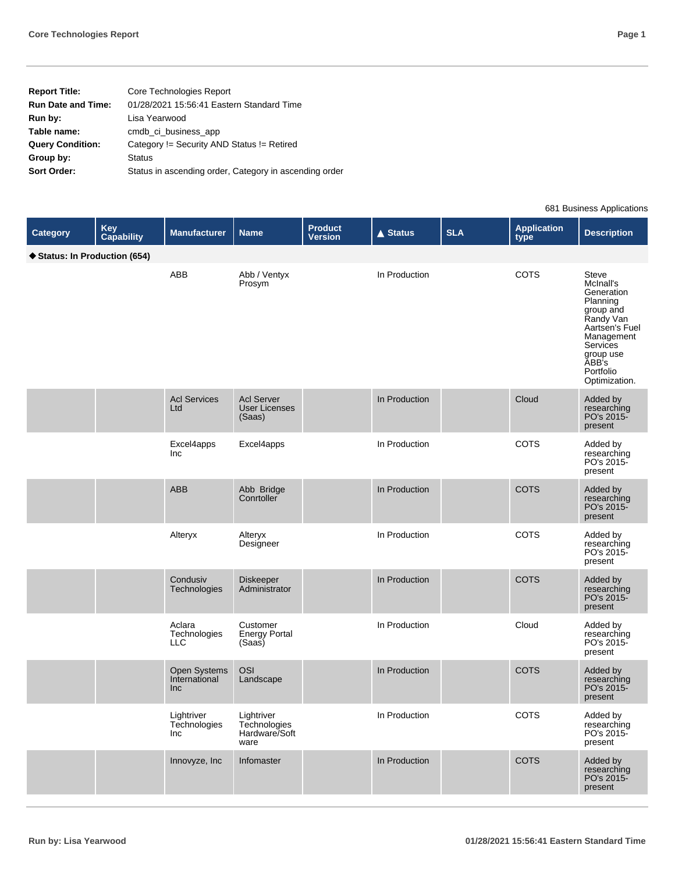| Core Technologies Report                               |
|--------------------------------------------------------|
| 01/28/2021 15:56:41 Eastern Standard Time              |
| Lisa Yearwood                                          |
| cmdb ci business app                                   |
| Category != Security AND Status != Retired             |
| <b>Status</b>                                          |
| Status in ascending order, Category in ascending order |
|                                                        |

681 Business Applications

| Category                    | Key<br>Capability | <b>Manufacturer</b>                  | <b>Name</b>                                         | <b>Product</b><br><b>Version</b> | $\triangle$ Status | <b>SLA</b> | <b>Application</b><br>type | <b>Description</b>                                                                                                                                                     |
|-----------------------------|-------------------|--------------------------------------|-----------------------------------------------------|----------------------------------|--------------------|------------|----------------------------|------------------------------------------------------------------------------------------------------------------------------------------------------------------------|
| Status: In Production (654) |                   |                                      |                                                     |                                  |                    |            |                            |                                                                                                                                                                        |
|                             |                   | ABB                                  | Abb / Ventyx<br>Prosym                              |                                  | In Production      |            | COTS                       | Steve<br>McInall's<br>Generation<br>Planning<br>group and<br>Randy Van<br>Aartsen's Fuel<br>Management<br>Services<br>group use<br>ABB's<br>Portfolio<br>Optimization. |
|                             |                   | <b>Acl Services</b><br>Ltd           | <b>Acl Server</b><br><b>User Licenses</b><br>(Saas) |                                  | In Production      |            | Cloud                      | Added by<br>researching<br>PO's 2015-<br>present                                                                                                                       |
|                             |                   | Excel4apps<br>Inc                    | Excel4apps                                          |                                  | In Production      |            | COTS                       | Added by<br>researching<br>PO's 2015-<br>present                                                                                                                       |
|                             |                   | <b>ABB</b>                           | Abb Bridge<br>Conrtoller                            |                                  | In Production      |            | <b>COTS</b>                | Added by<br>researching<br>PO's 2015-<br>present                                                                                                                       |
|                             |                   | Alteryx                              | Alteryx<br>Designeer                                |                                  | In Production      |            | <b>COTS</b>                | Added by<br>researching<br>PO's 2015-<br>present                                                                                                                       |
|                             |                   | Condusiv<br>Technologies             | Diskeeper<br>Administrator                          |                                  | In Production      |            | <b>COTS</b>                | Added by<br>researching<br>PO's 2015-<br>present                                                                                                                       |
|                             |                   | Aclara<br>Technologies<br><b>LLC</b> | Customer<br><b>Energy Portal</b><br>(Saas)          |                                  | In Production      |            | Cloud                      | Added by<br>researching<br>PO's 2015-<br>present                                                                                                                       |
|                             |                   | Open Systems<br>International<br>Inc | <b>OSI</b><br>Landscape                             |                                  | In Production      |            | <b>COTS</b>                | Added by<br>researching<br>PO's 2015-<br>present                                                                                                                       |
|                             |                   | Lightriver<br>Technologies<br>Inc    | Lightriver<br>Technologies<br>Hardware/Soft<br>ware |                                  | In Production      |            | COTS                       | Added by<br>researching<br>PO's 2015-<br>present                                                                                                                       |
|                             |                   | Innovyze, Inc                        | Infomaster                                          |                                  | In Production      |            | <b>COTS</b>                | Added by<br>researching<br>PO's 2015-<br>present                                                                                                                       |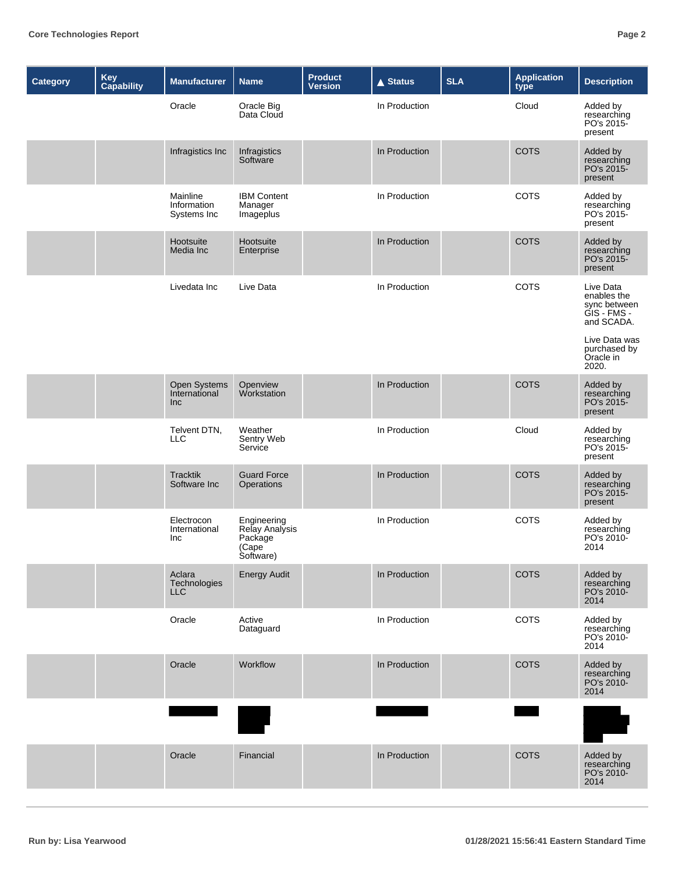| <b>Category</b> | Key<br>Capability | <b>Manufacturer</b>                         | <b>Name</b>                                                     | <b>Product</b><br><b>Version</b> | $\triangle$ Status | <b>SLA</b> | <b>Application</b><br>type | <b>Description</b>                                                    |
|-----------------|-------------------|---------------------------------------------|-----------------------------------------------------------------|----------------------------------|--------------------|------------|----------------------------|-----------------------------------------------------------------------|
|                 |                   | Oracle                                      | Oracle Big<br>Data Cloud                                        |                                  | In Production      |            | Cloud                      | Added by<br>researching<br>PO's 2015-<br>present                      |
|                 |                   | Infragistics Inc                            | Infragistics<br>Software                                        |                                  | In Production      |            | <b>COTS</b>                | Added by<br>researching<br>PO's 2015-<br>present                      |
|                 |                   | Mainline<br>Information<br>Systems Inc      | <b>IBM Content</b><br>Manager<br>Imageplus                      |                                  | In Production      |            | <b>COTS</b>                | Added by<br>researching<br>PO's 2015-<br>present                      |
|                 |                   | Hootsuite<br>Media Inc                      | Hootsuite<br>Enterprise                                         |                                  | In Production      |            | <b>COTS</b>                | Added by<br>researching<br>PO's 2015-<br>present                      |
|                 |                   | Livedata Inc                                | Live Data                                                       |                                  | In Production      |            | COTS                       | Live Data<br>enables the<br>sync between<br>GIS - FMS -<br>and SCADA. |
|                 |                   |                                             |                                                                 |                                  |                    |            |                            | Live Data was<br>purchased by<br>Oracle in<br>2020.                   |
|                 |                   | Open Systems<br>International<br><b>Inc</b> | Openview<br>Workstation                                         |                                  | In Production      |            | <b>COTS</b>                | Added by<br>researching<br>PO's 2015-<br>present                      |
|                 |                   | Telvent DTN,<br><b>LLC</b>                  | Weather<br>Sentry Web<br>Service                                |                                  | In Production      |            | Cloud                      | Added by<br>researching<br>PO's 2015-<br>present                      |
|                 |                   | <b>Tracktik</b><br>Software Inc             | <b>Guard Force</b><br>Operations                                |                                  | In Production      |            | <b>COTS</b>                | Added by<br>researching<br>PO's 2015-<br>present                      |
|                 |                   | Electrocon<br>International<br>Inc          | Engineering<br>Relay Analysis<br>Package<br>(Cape)<br>Software) |                                  | In Production      |            | <b>COTS</b>                | Added by<br>researching<br>PO's 2010-<br>2014                         |
|                 |                   | Aclara<br>Technologies<br><b>LLC</b>        | <b>Energy Audit</b>                                             |                                  | In Production      |            | <b>COTS</b>                | Added by<br>researching<br>PO's 2010-<br>2014                         |
|                 |                   | Oracle                                      | Active<br>Dataguard                                             |                                  | In Production      |            | COTS                       | Added by<br>researching<br>PO's 2010-<br>2014                         |
|                 |                   | Oracle                                      | Workflow                                                        |                                  | In Production      |            | <b>COTS</b>                | Added by<br>researching<br>PO's 2010-<br>2014                         |
|                 |                   |                                             |                                                                 |                                  |                    |            |                            |                                                                       |
|                 |                   | Oracle                                      | Financial                                                       |                                  | In Production      |            | <b>COTS</b>                | Added by<br>researching<br>PO's 2010-<br>2014                         |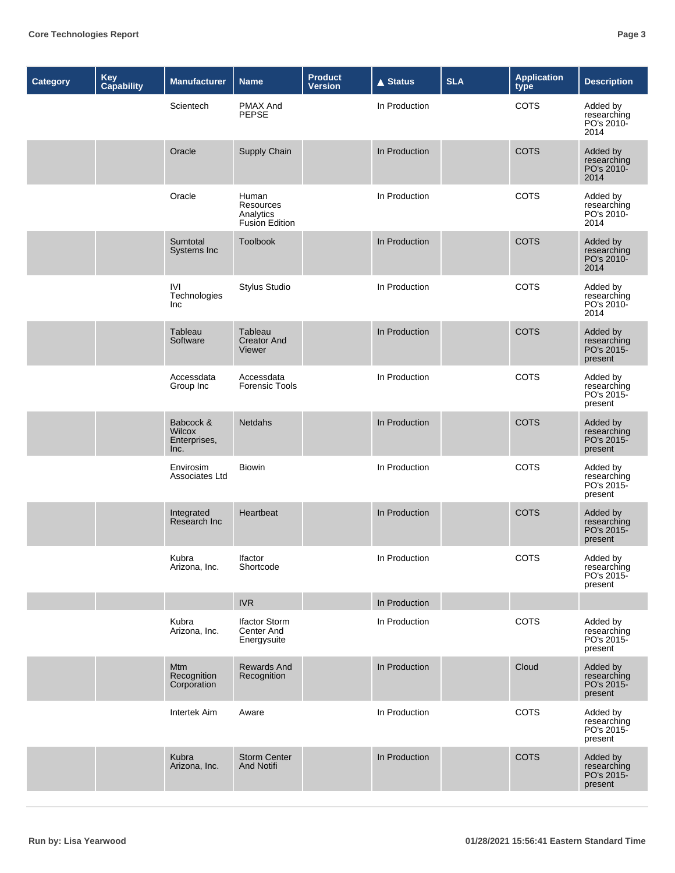| <b>Category</b> | Key<br>Capability | <b>Manufacturer</b>                         | <b>Name</b>                                              | <b>Product</b><br>Version | <b>▲ Status</b> | <b>SLA</b> | <b>Application</b><br>type | <b>Description</b>                               |
|-----------------|-------------------|---------------------------------------------|----------------------------------------------------------|---------------------------|-----------------|------------|----------------------------|--------------------------------------------------|
|                 |                   | Scientech                                   | PMAX And<br><b>PEPSE</b>                                 |                           | In Production   |            | <b>COTS</b>                | Added by<br>researching<br>PO's 2010-<br>2014    |
|                 |                   | Oracle                                      | Supply Chain                                             |                           | In Production   |            | <b>COTS</b>                | Added by<br>researching<br>PO's 2010-<br>2014    |
|                 |                   | Oracle                                      | Human<br>Resources<br>Analytics<br><b>Fusion Edition</b> |                           | In Production   |            | COTS                       | Added by<br>researching<br>PO's 2010-<br>2014    |
|                 |                   | Sumtotal<br>Systems Inc                     | Toolbook                                                 |                           | In Production   |            | <b>COTS</b>                | Added by<br>researching<br>PO's 2010-<br>2014    |
|                 |                   | <b>IVI</b><br>Technologies<br>Inc           | <b>Stylus Studio</b>                                     |                           | In Production   |            | <b>COTS</b>                | Added by<br>researching<br>PO's 2010-<br>2014    |
|                 |                   | Tableau<br>Software                         | Tableau<br><b>Creator And</b><br>Viewer                  |                           | In Production   |            | <b>COTS</b>                | Added by<br>researching<br>PO's 2015-<br>present |
|                 |                   | Accessdata<br>Group Inc                     | Accessdata<br><b>Forensic Tools</b>                      |                           | In Production   |            | COTS                       | Added by<br>researching<br>PO's 2015-<br>present |
|                 |                   | Babcock &<br>Wilcox<br>Enterprises,<br>Inc. | <b>Netdahs</b>                                           |                           | In Production   |            | <b>COTS</b>                | Added by<br>researching<br>PO's 2015-<br>present |
|                 |                   | Envirosim<br>Associates Ltd                 | <b>Biowin</b>                                            |                           | In Production   |            | COTS                       | Added by<br>researching<br>PO's 2015-<br>present |
|                 |                   | Integrated<br>Research Inc                  | Heartbeat                                                |                           | In Production   |            | <b>COTS</b>                | Added by<br>researching<br>PO's 2015-<br>present |
|                 |                   | Kubra<br>Arizona, Inc.                      | <b>Ifactor</b><br>Shortcode                              |                           | In Production   |            | COTS                       | Added by<br>researching<br>PO's 2015-<br>present |
|                 |                   |                                             | <b>IVR</b>                                               |                           | In Production   |            |                            |                                                  |
|                 |                   | Kubra<br>Arizona, Inc.                      | <b>Ifactor Storm</b><br>Center And<br>Energysuite        |                           | In Production   |            | COTS                       | Added by<br>researching<br>PO's 2015-<br>present |
|                 |                   | Mtm<br>Recognition<br>Corporation           | <b>Rewards And</b><br>Recognition                        |                           | In Production   |            | Cloud                      | Added by<br>researching<br>PO's 2015-<br>present |
|                 |                   | Intertek Aim                                | Aware                                                    |                           | In Production   |            | COTS                       | Added by<br>researching<br>PO's 2015-<br>present |
|                 |                   | Kubra<br>Arizona, Inc.                      | <b>Storm Center</b><br><b>And Notifi</b>                 |                           | In Production   |            | <b>COTS</b>                | Added by<br>researching<br>PO's 2015-<br>present |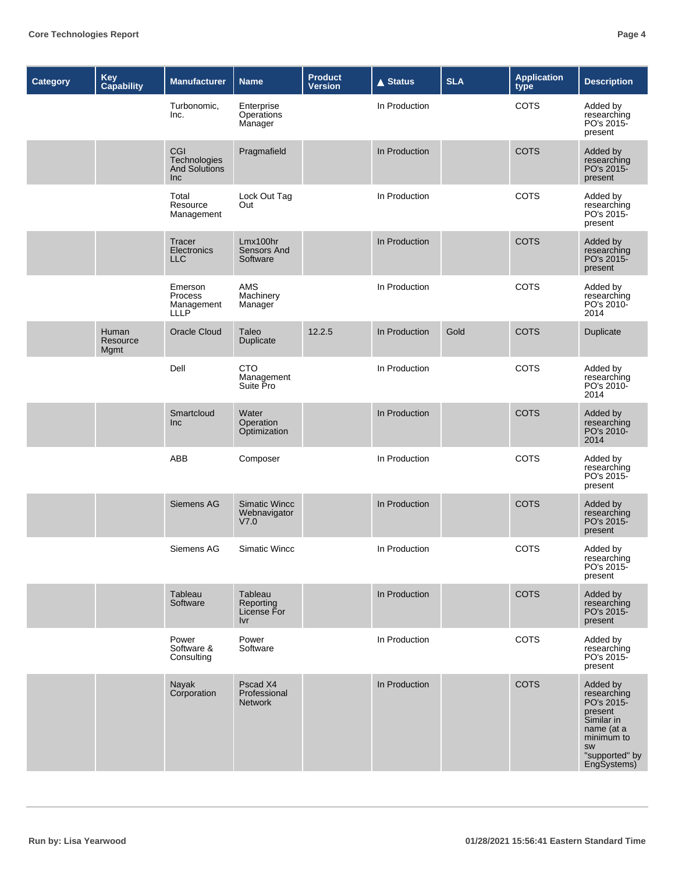| Category | Key<br>Capability         | <b>Manufacturer</b>                                    | <b>Name</b>                                  | <b>Product</b><br><b>Version</b> | <b>▲ Status</b> | <b>SLA</b> | <b>Application</b><br>type | <b>Description</b>                                                                                                                |
|----------|---------------------------|--------------------------------------------------------|----------------------------------------------|----------------------------------|-----------------|------------|----------------------------|-----------------------------------------------------------------------------------------------------------------------------------|
|          |                           | Turbonomic,<br>Inc.                                    | Enterprise<br>Operations<br>Manager          |                                  | In Production   |            | <b>COTS</b>                | Added by<br>researching<br>PO's 2015-<br>present                                                                                  |
|          |                           | CGI<br>Technologies<br><b>And Solutions</b><br>Inc     | Pragmafield                                  |                                  | In Production   |            | <b>COTS</b>                | Added by<br>researching<br>PO's 2015-<br>present                                                                                  |
|          |                           | Total<br>Resource<br>Management                        | Lock Out Tag<br>Out                          |                                  | In Production   |            | COTS                       | Added by<br>researching<br>PO's 2015-<br>present                                                                                  |
|          |                           | <b>Tracer</b><br>Electronics<br><b>LLC</b>             | Lmx100hr<br><b>Sensors And</b><br>Software   |                                  | In Production   |            | <b>COTS</b>                | Added by<br>researching<br>PO's 2015-<br>present                                                                                  |
|          |                           | Emerson<br><b>Process</b><br>Management<br><b>LLLP</b> | <b>AMS</b><br>Machinery<br>Manager           |                                  | In Production   |            | COTS                       | Added by<br>researching<br>PO's 2010-<br>2014                                                                                     |
|          | Human<br>Resource<br>Mgmt | <b>Oracle Cloud</b>                                    | Taleo<br>Duplicate                           | 12.2.5                           | In Production   | Gold       | <b>COTS</b>                | Duplicate                                                                                                                         |
|          |                           | Dell                                                   | <b>CTO</b><br>Management<br>Suite Pro        |                                  | In Production   |            | COTS                       | Added by<br>researching<br>PO's 2010-<br>2014                                                                                     |
|          |                           | Smartcloud<br>Inc                                      | Water<br>Operation<br>Optimization           |                                  | In Production   |            | <b>COTS</b>                | Added by<br>researching<br>PO's 2010-<br>2014                                                                                     |
|          |                           | ABB                                                    | Composer                                     |                                  | In Production   |            | COTS                       | Added by<br>researching<br>PO's 2015-<br>present                                                                                  |
|          |                           | Siemens AG                                             | <b>Simatic Wincc</b><br>Webnavigator<br>V7.0 |                                  | In Production   |            | <b>COTS</b>                | Added by<br>researching<br>PO's 2015-<br>present                                                                                  |
|          |                           | Siemens AG                                             | Simatic Wincc                                |                                  | In Production   |            | COTS                       | Added by<br>researching<br>PO's 2015-<br>present                                                                                  |
|          |                           | Tableau<br>Software                                    | Tableau<br>Reporting<br>License For<br>Ivr   |                                  | In Production   |            | <b>COTS</b>                | Added by<br>researching<br>PO's 2015-<br>present                                                                                  |
|          |                           | Power<br>Software &<br>Consulting                      | Power<br>Software                            |                                  | In Production   |            | COTS                       | Added by<br>researching<br>PO's 2015-<br>present                                                                                  |
|          |                           | Nayak<br>Corporation                                   | Pscad X4<br>Professional<br><b>Network</b>   |                                  | In Production   |            | <b>COTS</b>                | Added by<br>researching<br>PO's 2015-<br>present<br>Similar in<br>name (at a<br>minimum to<br>SW<br>"supported" by<br>EngSystems) |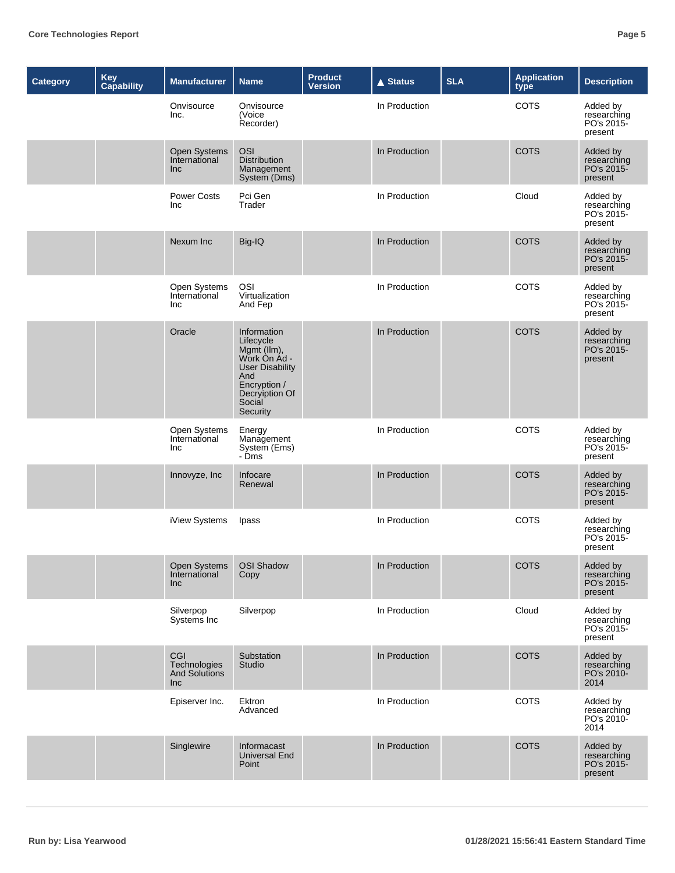| <b>Category</b> | Key<br>Capability | <b>Manufacturer</b>                         | <b>Name</b>                                                                                                                                      | <b>Product</b><br><b>Version</b> | <b>▲ Status</b> | <b>SLA</b> | <b>Application</b><br>type | <b>Description</b>                               |
|-----------------|-------------------|---------------------------------------------|--------------------------------------------------------------------------------------------------------------------------------------------------|----------------------------------|-----------------|------------|----------------------------|--------------------------------------------------|
|                 |                   | Onvisource<br>Inc.                          | Onvisource<br>(Voice<br>Recorder)                                                                                                                |                                  | In Production   |            | <b>COTS</b>                | Added by<br>researching<br>PO's 2015-<br>present |
|                 |                   | Open Systems<br>International<br>Inc        | <b>OSI</b><br><b>Distribution</b><br>Management<br>System (Dms)                                                                                  |                                  | In Production   |            | <b>COTS</b>                | Added by<br>researching<br>PO's 2015-<br>present |
|                 |                   | <b>Power Costs</b><br>Inc.                  | Pci Gen<br>Trader                                                                                                                                |                                  | In Production   |            | Cloud                      | Added by<br>researching<br>PO's 2015-<br>present |
|                 |                   | Nexum Inc                                   | Big-IQ                                                                                                                                           |                                  | In Production   |            | <b>COTS</b>                | Added by<br>researching<br>PO's 2015-<br>present |
|                 |                   | Open Systems<br>International<br>Inc.       | OSI<br>Virtualization<br>And Fep                                                                                                                 |                                  | In Production   |            | <b>COTS</b>                | Added by<br>researching<br>PO's 2015-<br>present |
|                 |                   | Oracle                                      | Information<br>Lifecycle<br>Mgmt (llm),<br>Work On Ad -<br><b>User Disability</b><br>And<br>Encryption /<br>Decryiption Of<br>Social<br>Security |                                  | In Production   |            | <b>COTS</b>                | Added by<br>researching<br>PO's 2015-<br>present |
|                 |                   | Open Systems<br>International<br>Inc        | Energy<br>Management<br>System (Ems)<br>- Dms                                                                                                    |                                  | In Production   |            | COTS                       | Added by<br>researching<br>PO's 2015-<br>present |
|                 |                   | Innovyze, Inc                               | Infocare<br>Renewal                                                                                                                              |                                  | In Production   |            | <b>COTS</b>                | Added by<br>researching<br>PO's 2015-<br>present |
|                 |                   | iView Systems                               | Ipass                                                                                                                                            |                                  | In Production   |            | COTS                       | Added by<br>researching<br>PO's 2015-<br>present |
|                 |                   | Open Systems<br>International<br>Inc        | <b>OSI Shadow</b><br>Copy                                                                                                                        |                                  | In Production   |            | <b>COTS</b>                | Added by<br>researching<br>PO's 2015-<br>present |
|                 |                   | Silverpop<br>Systems Inc                    | Silverpop                                                                                                                                        |                                  | In Production   |            | Cloud                      | Added by<br>researching<br>PO's 2015-<br>present |
|                 |                   | CGI<br>Technologies<br>And Solutions<br>Inc | Substation<br>Studio                                                                                                                             |                                  | In Production   |            | <b>COTS</b>                | Added by<br>researching<br>PO's 2010-<br>2014    |
|                 |                   | Episerver Inc.                              | Ektron<br>Advanced                                                                                                                               |                                  | In Production   |            | COTS                       | Added by<br>researching<br>PO's 2010-<br>2014    |
|                 |                   | Singlewire                                  | Informacast<br><b>Universal End</b><br>Point                                                                                                     |                                  | In Production   |            | <b>COTS</b>                | Added by<br>researching<br>PO's 2015-<br>present |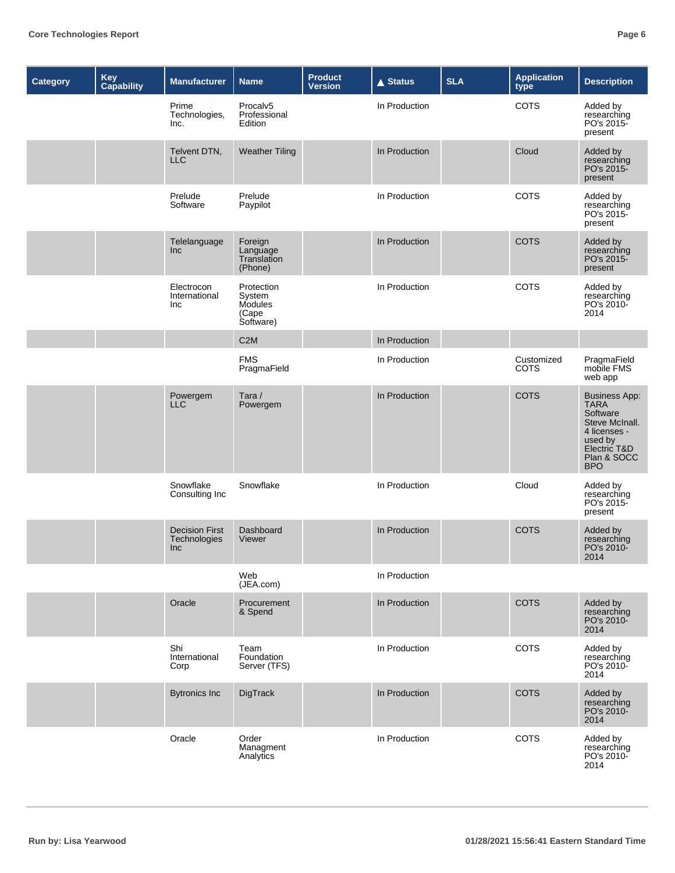| <b>Category</b> | <b>Key</b><br>Capability | <b>Manufacturer</b>                                 | <b>Name</b>                                           | <b>Product</b><br><b>Version</b> | <b>▲ Status</b> | <b>SLA</b> | <b>Application</b><br>type | <b>Description</b>                                                                                                                        |
|-----------------|--------------------------|-----------------------------------------------------|-------------------------------------------------------|----------------------------------|-----------------|------------|----------------------------|-------------------------------------------------------------------------------------------------------------------------------------------|
|                 |                          | Prime<br>Technologies,<br>Inc.                      | Procalv <sub>5</sub><br>Professional<br>Edition       |                                  | In Production   |            | <b>COTS</b>                | Added by<br>researching<br>PO's 2015-<br>present                                                                                          |
|                 |                          | Telvent DTN,<br><b>LLC</b>                          | <b>Weather Tiling</b>                                 |                                  | In Production   |            | Cloud                      | Added by<br>researching<br>PO's 2015-<br>present                                                                                          |
|                 |                          | Prelude<br>Software                                 | Prelude<br>Paypilot                                   |                                  | In Production   |            | <b>COTS</b>                | Added by<br>researching<br>PO's 2015-<br>present                                                                                          |
|                 |                          | Telelanguage<br>Inc                                 | Foreign<br>Language<br>Translation<br>(Phone)         |                                  | In Production   |            | <b>COTS</b>                | Added by<br>researching<br>PO's 2015-<br>present                                                                                          |
|                 |                          | Electrocon<br>International<br>Inc                  | Protection<br>System<br>Modules<br>(Cape<br>Software) |                                  | In Production   |            | <b>COTS</b>                | Added by<br>researching<br>PO's 2010-<br>2014                                                                                             |
|                 |                          |                                                     | C <sub>2</sub> M                                      |                                  | In Production   |            |                            |                                                                                                                                           |
|                 |                          |                                                     | <b>FMS</b><br>PragmaField                             |                                  | In Production   |            | Customized<br><b>COTS</b>  | PragmaField<br>mobile FMS<br>web app                                                                                                      |
|                 |                          | Powergem<br><b>LLC</b>                              | Tara /<br>Powergem                                    |                                  | In Production   |            | <b>COTS</b>                | <b>Business App:</b><br><b>TARA</b><br>Software<br>Steve McInall.<br>4 licenses -<br>used by<br>Electric T&D<br>Plan & SOCC<br><b>BPO</b> |
|                 |                          | Snowflake<br>Consulting Inc                         | Snowflake                                             |                                  | In Production   |            | Cloud                      | Added by<br>researching<br>PO's 2015-<br>present                                                                                          |
|                 |                          | <b>Decision First</b><br>Technologies<br><b>Inc</b> | Dashboard<br>Viewer                                   |                                  | In Production   |            | <b>COTS</b>                | Added by<br>researching<br>PO's 2010-<br>2014                                                                                             |
|                 |                          |                                                     | Web<br>(JEA.com)                                      |                                  | In Production   |            |                            |                                                                                                                                           |
|                 |                          | Oracle                                              | Procurement<br>& Spend                                |                                  | In Production   |            | <b>COTS</b>                | Added by<br>researching<br>PO's 2010-<br>2014                                                                                             |
|                 |                          | Shi<br>International<br>Corp                        | Team<br>Foundation<br>Server (TFS)                    |                                  | In Production   |            | COTS                       | Added by<br>researching<br>PO's 2010-<br>2014                                                                                             |
|                 |                          | <b>Bytronics Inc</b>                                | DigTrack                                              |                                  | In Production   |            | <b>COTS</b>                | Added by<br>researching<br>PO's 2010-<br>2014                                                                                             |
|                 |                          | Oracle                                              | Order<br>Managment<br>Analytics                       |                                  | In Production   |            | <b>COTS</b>                | Added by<br>researching<br>PO's 2010-<br>2014                                                                                             |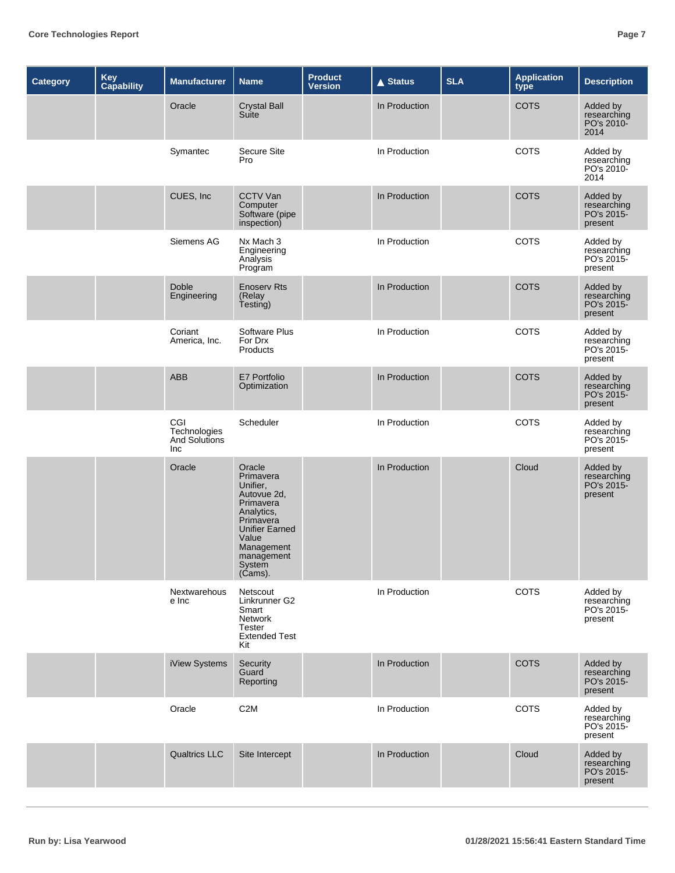| <b>Category</b> | <b>Key</b><br>Capability | <b>Manufacturer</b>                         | <b>Name</b>                                                                                                                                                                  | <b>Product</b><br><b>Version</b> | <b>A Status</b> | <b>SLA</b> | <b>Application</b><br>type | <b>Description</b>                               |
|-----------------|--------------------------|---------------------------------------------|------------------------------------------------------------------------------------------------------------------------------------------------------------------------------|----------------------------------|-----------------|------------|----------------------------|--------------------------------------------------|
|                 |                          | Oracle                                      | <b>Crystal Ball</b><br>Suite                                                                                                                                                 |                                  | In Production   |            | <b>COTS</b>                | Added by<br>researching<br>PO's 2010-<br>2014    |
|                 |                          | Symantec                                    | Secure Site<br>Pro                                                                                                                                                           |                                  | In Production   |            | COTS                       | Added by<br>researching<br>PO's 2010-<br>2014    |
|                 |                          | CUES, Inc                                   | <b>CCTV Van</b><br>Computer<br>Software (pipe<br>inspection)                                                                                                                 |                                  | In Production   |            | <b>COTS</b>                | Added by<br>researching<br>PO's 2015-<br>present |
|                 |                          | Siemens AG                                  | Nx Mach 3<br>Engineering<br>Analysis<br>Program                                                                                                                              |                                  | In Production   |            | COTS                       | Added by<br>researching<br>PO's 2015-<br>present |
|                 |                          | Doble<br>Engineering                        | <b>Enoserv Rts</b><br>(Relay<br>Testing)                                                                                                                                     |                                  | In Production   |            | <b>COTS</b>                | Added by<br>researching<br>PO's 2015-<br>present |
|                 |                          | Coriant<br>America, Inc.                    | Software Plus<br>For Drx<br>Products                                                                                                                                         |                                  | In Production   |            | <b>COTS</b>                | Added by<br>researching<br>PO's 2015-<br>present |
|                 |                          | ABB                                         | E7 Portfolio<br>Optimization                                                                                                                                                 |                                  | In Production   |            | <b>COTS</b>                | Added by<br>researching<br>PO's 2015-<br>present |
|                 |                          | CGI<br>Technologies<br>And Solutions<br>Inc | Scheduler                                                                                                                                                                    |                                  | In Production   |            | COTS                       | Added by<br>researching<br>PO's 2015-<br>present |
|                 |                          | Oracle                                      | Oracle<br>Primavera<br>Unifier,<br>Autovue 2d,<br>Primavera<br>Analytics,<br>Primavera<br><b>Unifier Earned</b><br>Value<br>Management<br>management<br>System<br>$(Cams)$ . |                                  | In Production   |            | Cloud                      | Added by<br>researching<br>PO's 2015-<br>present |
|                 |                          | Nextwarehous<br>e Inc                       | Netscout<br>Linkrunner G2<br>Smart<br>Network<br>Tester<br><b>Extended Test</b><br>Kit                                                                                       |                                  | In Production   |            | COTS                       | Added by<br>researching<br>PO's 2015-<br>present |
|                 |                          | iView Systems                               | Security<br>Guard<br>Reporting                                                                                                                                               |                                  | In Production   |            | <b>COTS</b>                | Added by<br>researching<br>PO's 2015-<br>present |
|                 |                          | Oracle                                      | C <sub>2</sub> M                                                                                                                                                             |                                  | In Production   |            | COTS                       | Added by<br>researching<br>PO's 2015-<br>present |
|                 |                          | <b>Qualtrics LLC</b>                        | Site Intercept                                                                                                                                                               |                                  | In Production   |            | Cloud                      | Added by<br>researching<br>PO's 2015-<br>present |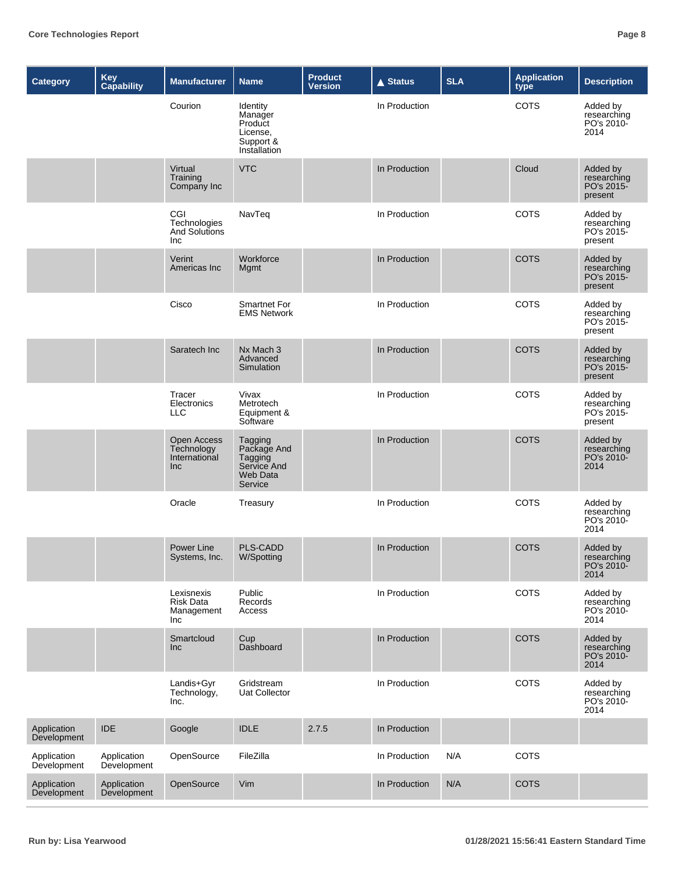| <b>Category</b>            | Key<br>Capability          | <b>Manufacturer</b>                                | <b>Name</b>                                                                    | <b>Product</b><br><b>Version</b> | <b>▲ Status</b> | <b>SLA</b> | <b>Application</b><br>type | <b>Description</b>                               |
|----------------------------|----------------------------|----------------------------------------------------|--------------------------------------------------------------------------------|----------------------------------|-----------------|------------|----------------------------|--------------------------------------------------|
|                            |                            | Courion                                            | Identity<br>Manager<br>Product<br>License,<br>Support &<br>Installation        |                                  | In Production   |            | COTS                       | Added by<br>researching<br>PO's 2010-<br>2014    |
|                            |                            | Virtual<br>Training<br>Company Inc                 | <b>VTC</b>                                                                     |                                  | In Production   |            | Cloud                      | Added by<br>researching<br>PO's 2015-<br>present |
|                            |                            | CGI<br>Technologies<br><b>And Solutions</b><br>Inc | NavTeq                                                                         |                                  | In Production   |            | COTS                       | Added by<br>researching<br>PO's 2015-<br>present |
|                            |                            | Verint<br>Americas Inc                             | Workforce<br>Mgmt                                                              |                                  | In Production   |            | <b>COTS</b>                | Added by<br>researching<br>PO's 2015-<br>present |
|                            |                            | Cisco                                              | <b>Smartnet For</b><br><b>EMS Network</b>                                      |                                  | In Production   |            | COTS                       | Added by<br>researching<br>PO's 2015-<br>present |
|                            |                            | Saratech Inc                                       | Nx Mach 3<br>Advanced<br>Simulation                                            |                                  | In Production   |            | <b>COTS</b>                | Added by<br>researching<br>PO's 2015-<br>present |
|                            |                            | Tracer<br>Electronics<br><b>LLC</b>                | Vivax<br>Metrotech<br>Equipment &<br>Software                                  |                                  | In Production   |            | COTS                       | Added by<br>researching<br>PO's 2015-<br>present |
|                            |                            | Open Access<br>Technology<br>International<br>Inc  | Tagging<br>Package And<br>Tagging<br>Service And<br><b>Web Data</b><br>Service |                                  | In Production   |            | <b>COTS</b>                | Added by<br>researching<br>PO's 2010-<br>2014    |
|                            |                            | Oracle                                             | Treasury                                                                       |                                  | In Production   |            | COTS                       | Added by<br>researching<br>PO's 2010-<br>2014    |
|                            |                            | Power Line<br>Systems, Inc.                        | <b>PLS-CADD</b><br>W/Spotting                                                  |                                  | In Production   |            | <b>COTS</b>                | Added by<br>researching<br>PO's 2010-<br>2014    |
|                            |                            | Lexisnexis<br>Risk Data<br>Management<br>Inc       | Public<br>Records<br>Access                                                    |                                  | In Production   |            | COTS                       | Added by<br>researching<br>PO's 2010-<br>2014    |
|                            |                            | Smartcloud<br><b>Inc</b>                           | Cup<br>Dashboard                                                               |                                  | In Production   |            | <b>COTS</b>                | Added by<br>researching<br>PO's 2010-<br>2014    |
|                            |                            | Landis+Gyr<br>Technology,<br>Inc.                  | Gridstream<br>Uat Collector                                                    |                                  | In Production   |            | COTS                       | Added by<br>researching<br>PO's 2010-<br>2014    |
| Application<br>Development | <b>IDE</b>                 | Google                                             | <b>IDLE</b>                                                                    | 2.7.5                            | In Production   |            |                            |                                                  |
| Application<br>Development | Application<br>Development | OpenSource                                         | FileZilla                                                                      |                                  | In Production   | N/A        | COTS                       |                                                  |
| Application<br>Development | Application<br>Development | OpenSource                                         | Vim                                                                            |                                  | In Production   | N/A        | <b>COTS</b>                |                                                  |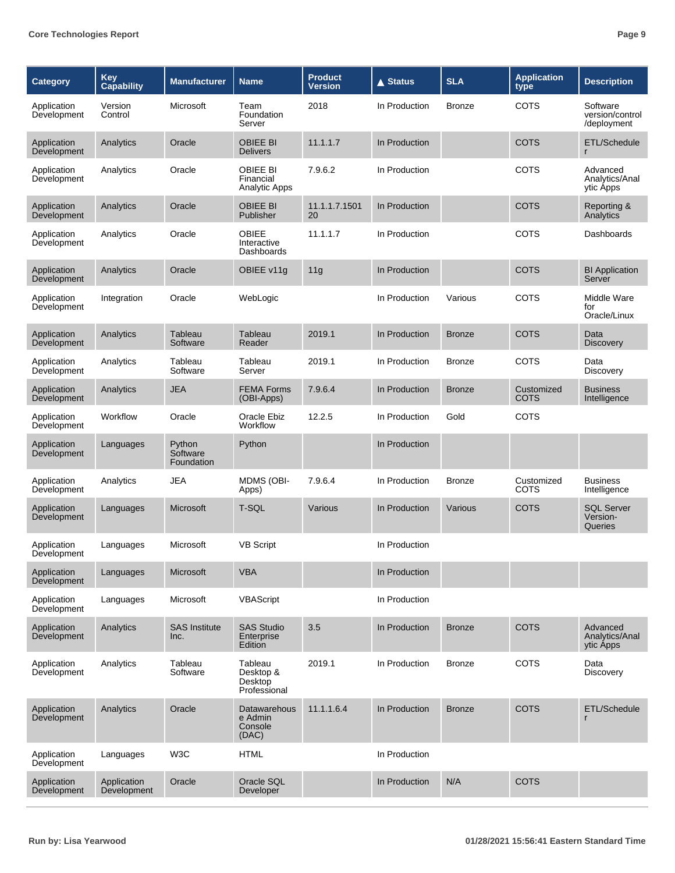| <b>Category</b>            | Key<br>Capability          | <b>Manufacturer</b>              | <b>Name</b>                                     | <b>Product</b><br>Version | <b>▲ Status</b> | <b>SLA</b>    | <b>Application</b><br>type | <b>Description</b>                         |
|----------------------------|----------------------------|----------------------------------|-------------------------------------------------|---------------------------|-----------------|---------------|----------------------------|--------------------------------------------|
| Application<br>Development | Version<br>Control         | Microsoft                        | Team<br>Foundation<br>Server                    | 2018                      | In Production   | <b>Bronze</b> | COTS                       | Software<br>version/control<br>/deployment |
| Application<br>Development | Analytics                  | Oracle                           | <b>OBIEE BI</b><br><b>Delivers</b>              | 11.1.1.7                  | In Production   |               | <b>COTS</b>                | ETL/Schedule<br>r                          |
| Application<br>Development | Analytics                  | Oracle                           | <b>OBIEE BI</b><br>Financial<br>Analytic Apps   | 7.9.6.2                   | In Production   |               | COTS                       | Advanced<br>Analytics/Anal<br>ytic Apps    |
| Application<br>Development | Analytics                  | Oracle                           | OBIEE BI<br>Publisher                           | 11.1.1.7.1501<br>20       | In Production   |               | <b>COTS</b>                | Reporting &<br>Analytics                   |
| Application<br>Development | Analytics                  | Oracle                           | <b>OBIEE</b><br>Interactive<br>Dashboards       | 11.1.1.7                  | In Production   |               | COTS                       | Dashboards                                 |
| Application<br>Development | Analytics                  | Oracle                           | OBIEE v11g                                      | 11g                       | In Production   |               | <b>COTS</b>                | <b>BI</b> Application<br>Server            |
| Application<br>Development | Integration                | Oracle                           | WebLogic                                        |                           | In Production   | Various       | COTS                       | Middle Ware<br>for<br>Oracle/Linux         |
| Application<br>Development | Analytics                  | Tableau<br>Software              | Tableau<br>Reader                               | 2019.1                    | In Production   | <b>Bronze</b> | <b>COTS</b>                | Data<br><b>Discovery</b>                   |
| Application<br>Development | Analytics                  | Tableau<br>Software              | Tableau<br>Server                               | 2019.1                    | In Production   | <b>Bronze</b> | <b>COTS</b>                | Data<br><b>Discovery</b>                   |
| Application<br>Development | Analytics                  | <b>JEA</b>                       | <b>FEMA Forms</b><br>(OBI-Apps)                 | 7.9.6.4                   | In Production   | <b>Bronze</b> | Customized<br>COTS         | <b>Business</b><br>Intelligence            |
| Application<br>Development | Workflow                   | Oracle                           | Oracle Ebiz<br>Workflow                         | 12.2.5                    | In Production   | Gold          | COTS                       |                                            |
| Application<br>Development | Languages                  | Python<br>Software<br>Foundation | Python                                          |                           | In Production   |               |                            |                                            |
| Application<br>Development | Analytics                  | <b>JEA</b>                       | MDMS (OBI-<br>Apps)                             | 7.9.6.4                   | In Production   | <b>Bronze</b> | Customized<br>COTS         | <b>Business</b><br>Intelligence            |
| Application<br>Development | Languages                  | Microsoft                        | T-SQL                                           | Various                   | In Production   | Various       | COTS                       | <b>SQL Server</b><br>Version-<br>Queries   |
| Application<br>Development | Languages                  | Microsoft                        | <b>VB Script</b>                                |                           | In Production   |               |                            |                                            |
| Application<br>Development | Languages                  | Microsoft                        | <b>VBA</b>                                      |                           | In Production   |               |                            |                                            |
| Application<br>Development | Languages                  | Microsoft                        | VBAScript                                       |                           | In Production   |               |                            |                                            |
| Application<br>Development | Analytics                  | <b>SAS Institute</b><br>Inc.     | <b>SAS Studio</b><br>Enterprise<br>Edition      | 3.5                       | In Production   | <b>Bronze</b> | <b>COTS</b>                | Advanced<br>Analytics/Anal<br>ytic Apps    |
| Application<br>Development | Analytics                  | Tableau<br>Software              | Tableau<br>Desktop &<br>Desktop<br>Professional | 2019.1                    | In Production   | <b>Bronze</b> | <b>COTS</b>                | Data<br>Discovery                          |
| Application<br>Development | Analytics                  | Oracle                           | Datawarehous<br>e Admin<br>Console<br>(DAC)     | 11.1.1.6.4                | In Production   | <b>Bronze</b> | <b>COTS</b>                | ETL/Schedule                               |
| Application<br>Development | Languages                  | W <sub>3</sub> C                 | <b>HTML</b>                                     |                           | In Production   |               |                            |                                            |
| Application<br>Development | Application<br>Development | Oracle                           | Oracle SQL<br>Developer                         |                           | In Production   | N/A           | <b>COTS</b>                |                                            |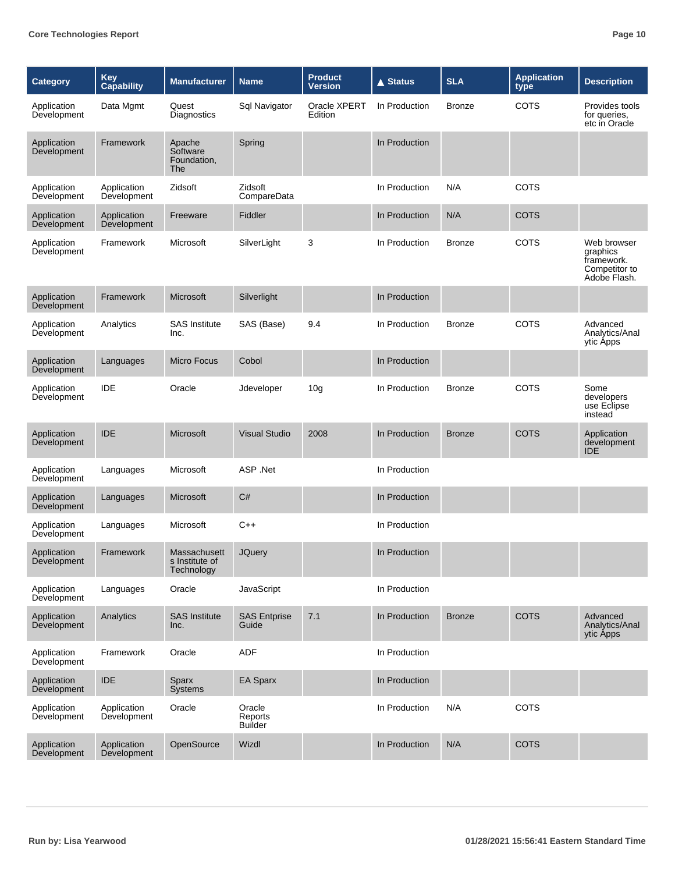| <b>Category</b>            | Key<br>Capability          | <b>Manufacturer</b>                          | <b>Name</b>                         | <b>Product</b><br>Version | $\triangle$ Status | <b>SLA</b>    | <b>Application</b><br>type | <b>Description</b>                                                     |
|----------------------------|----------------------------|----------------------------------------------|-------------------------------------|---------------------------|--------------------|---------------|----------------------------|------------------------------------------------------------------------|
| Application<br>Development | Data Mgmt                  | Quest<br>Diagnostics                         | Sql Navigator                       | Oracle XPERT<br>Edition   | In Production      | <b>Bronze</b> | <b>COTS</b>                | Provides tools<br>for queries,<br>etc in Oracle                        |
| Application<br>Development | Framework                  | Apache<br>Software<br>Foundation,<br>The     | Spring                              |                           | In Production      |               |                            |                                                                        |
| Application<br>Development | Application<br>Development | Zidsoft                                      | Zidsoft<br>CompareData              |                           | In Production      | N/A           | COTS                       |                                                                        |
| Application<br>Development | Application<br>Development | Freeware                                     | Fiddler                             |                           | In Production      | N/A           | <b>COTS</b>                |                                                                        |
| Application<br>Development | Framework                  | Microsoft                                    | SilverLight                         | 3                         | In Production      | <b>Bronze</b> | <b>COTS</b>                | Web browser<br>graphics<br>framework.<br>Competitor to<br>Adobe Flash. |
| Application<br>Development | Framework                  | Microsoft                                    | Silverlight                         |                           | In Production      |               |                            |                                                                        |
| Application<br>Development | Analytics                  | <b>SAS Institute</b><br>Inc.                 | SAS (Base)                          | 9.4                       | In Production      | <b>Bronze</b> | COTS                       | Advanced<br>Analytics/Anal<br>ytic Apps                                |
| Application<br>Development | Languages                  | <b>Micro Focus</b>                           | Cobol                               |                           | In Production      |               |                            |                                                                        |
| Application<br>Development | IDE                        | Oracle                                       | Jdeveloper                          | 10 <sub>g</sub>           | In Production      | <b>Bronze</b> | <b>COTS</b>                | Some<br>developers<br>use Eclipse<br>instead                           |
| Application<br>Development | <b>IDE</b>                 | <b>Microsoft</b>                             | <b>Visual Studio</b>                | 2008                      | In Production      | <b>Bronze</b> | <b>COTS</b>                | Application<br>development<br><b>IDE</b>                               |
| Application<br>Development | Languages                  | Microsoft                                    | ASP .Net                            |                           | In Production      |               |                            |                                                                        |
| Application<br>Development | Languages                  | Microsoft                                    | C#                                  |                           | In Production      |               |                            |                                                                        |
| Application<br>Development | Languages                  | Microsoft                                    | $C++$                               |                           | In Production      |               |                            |                                                                        |
| Application<br>Development | Framework                  | Massachusett<br>s Institute of<br>Technology | <b>JQuery</b>                       |                           | In Production      |               |                            |                                                                        |
| Application<br>Development | Languages                  | Oracle                                       | JavaScript                          |                           | In Production      |               |                            |                                                                        |
| Application<br>Development | Analytics                  | <b>SAS Institute</b><br>Inc.                 | <b>SAS Entprise</b><br>Guide        | 7.1                       | In Production      | <b>Bronze</b> | <b>COTS</b>                | Advanced<br>Analytics/Anal<br>ytic Apps                                |
| Application<br>Development | Framework                  | Oracle                                       | <b>ADF</b>                          |                           | In Production      |               |                            |                                                                        |
| Application<br>Development | <b>IDE</b>                 | Sparx<br>Systems                             | EA Sparx                            |                           | In Production      |               |                            |                                                                        |
| Application<br>Development | Application<br>Development | Oracle                                       | Oracle<br>Reports<br><b>Builder</b> |                           | In Production      | N/A           | COTS                       |                                                                        |
| Application<br>Development | Application<br>Development | OpenSource                                   | Wizdl                               |                           | In Production      | N/A           | <b>COTS</b>                |                                                                        |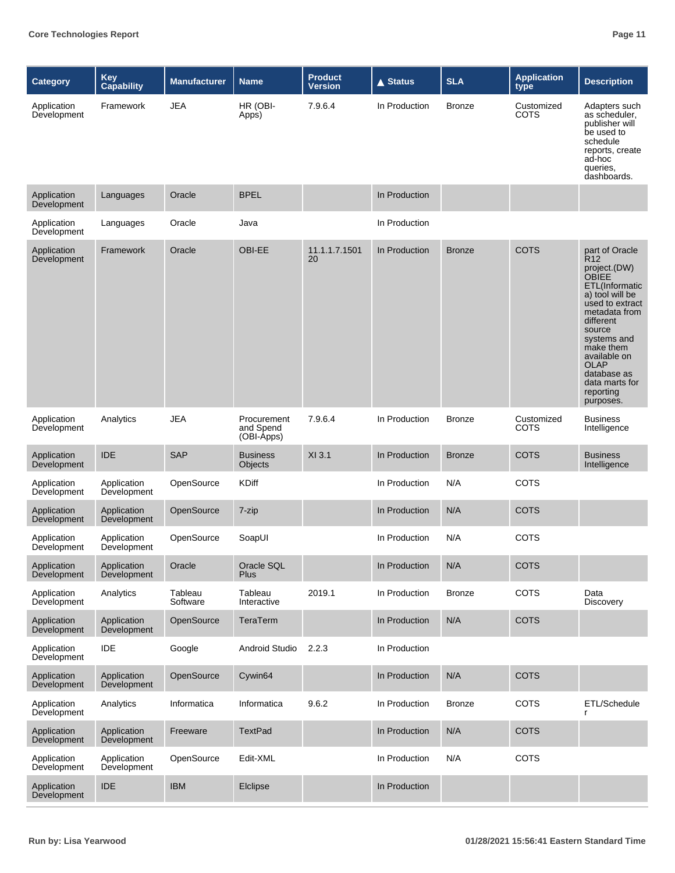| <b>Category</b>            | <b>Key</b><br>Capability   | <b>Manufacturer</b> | <b>Name</b>                            | <b>Product</b><br><b>Version</b> | <b>▲ Status</b> | <b>SLA</b>    | <b>Application</b><br>type | <b>Description</b>                                                                                                                                                                                                                                                               |
|----------------------------|----------------------------|---------------------|----------------------------------------|----------------------------------|-----------------|---------------|----------------------------|----------------------------------------------------------------------------------------------------------------------------------------------------------------------------------------------------------------------------------------------------------------------------------|
| Application<br>Development | Framework                  | <b>JEA</b>          | HR (OBI-<br>Apps)                      | 7.9.6.4                          | In Production   | <b>Bronze</b> | Customized<br>COTS         | Adapters such<br>as scheduler.<br>publisher will<br>be used to<br>schedule<br>reports, create<br>ad-hoc<br>queries,<br>dashboards.                                                                                                                                               |
| Application<br>Development | Languages                  | Oracle              | <b>BPEL</b>                            |                                  | In Production   |               |                            |                                                                                                                                                                                                                                                                                  |
| Application<br>Development | Languages                  | Oracle              | Java                                   |                                  | In Production   |               |                            |                                                                                                                                                                                                                                                                                  |
| Application<br>Development | Framework                  | Oracle              | <b>OBI-EE</b>                          | 11.1.1.7.1501<br>20              | In Production   | <b>Bronze</b> | <b>COTS</b>                | part of Oracle<br>R <sub>12</sub><br>project.(DW)<br>OBIEE<br>ETL(Informatic<br>a) tool will be<br>used to extract<br>metadata from<br>different<br>source<br>systems and<br>make them<br>available on<br><b>OLAP</b><br>database as<br>data marts for<br>reporting<br>purposes. |
| Application<br>Development | Analytics                  | <b>JEA</b>          | Procurement<br>and Spend<br>(OBI-Apps) | 7.9.6.4                          | In Production   | <b>Bronze</b> | Customized<br><b>COTS</b>  | <b>Business</b><br>Intelligence                                                                                                                                                                                                                                                  |
| Application<br>Development | <b>IDE</b>                 | <b>SAP</b>          | <b>Business</b><br>Objects             | XI 3.1                           | In Production   | <b>Bronze</b> | <b>COTS</b>                | <b>Business</b><br>Intelligence                                                                                                                                                                                                                                                  |
| Application<br>Development | Application<br>Development | OpenSource          | <b>KDiff</b>                           |                                  | In Production   | N/A           | <b>COTS</b>                |                                                                                                                                                                                                                                                                                  |
| Application<br>Development | Application<br>Development | OpenSource          | 7-zip                                  |                                  | In Production   | N/A           | <b>COTS</b>                |                                                                                                                                                                                                                                                                                  |
| Application<br>Development | Application<br>Development | OpenSource          | SoapUI                                 |                                  | In Production   | N/A           | <b>COTS</b>                |                                                                                                                                                                                                                                                                                  |
| Application<br>Development | Application<br>Development | Oracle              | Oracle SQL<br><b>Plus</b>              |                                  | In Production   | N/A           | <b>COTS</b>                |                                                                                                                                                                                                                                                                                  |
| Application<br>Development | Analytics                  | Tableau<br>Software | Tableau<br>Interactive                 | 2019.1                           | In Production   | <b>Bronze</b> | <b>COTS</b>                | Data<br><b>Discovery</b>                                                                                                                                                                                                                                                         |
| Application<br>Development | Application<br>Development | OpenSource          | TeraTerm                               |                                  | In Production   | N/A           | <b>COTS</b>                |                                                                                                                                                                                                                                                                                  |
| Application<br>Development | <b>IDE</b>                 | Google              | Android Studio                         | 2.2.3                            | In Production   |               |                            |                                                                                                                                                                                                                                                                                  |
| Application<br>Development | Application<br>Development | OpenSource          | Cywin64                                |                                  | In Production   | N/A           | <b>COTS</b>                |                                                                                                                                                                                                                                                                                  |
| Application<br>Development | Analytics                  | Informatica         | Informatica                            | 9.6.2                            | In Production   | <b>Bronze</b> | <b>COTS</b>                | ETL/Schedule<br>r                                                                                                                                                                                                                                                                |
| Application<br>Development | Application<br>Development | Freeware            | <b>TextPad</b>                         |                                  | In Production   | N/A           | <b>COTS</b>                |                                                                                                                                                                                                                                                                                  |
| Application<br>Development | Application<br>Development | OpenSource          | Edit-XML                               |                                  | In Production   | N/A           | COTS                       |                                                                                                                                                                                                                                                                                  |
| Application<br>Development | <b>IDE</b>                 | <b>IBM</b>          | Elclipse                               |                                  | In Production   |               |                            |                                                                                                                                                                                                                                                                                  |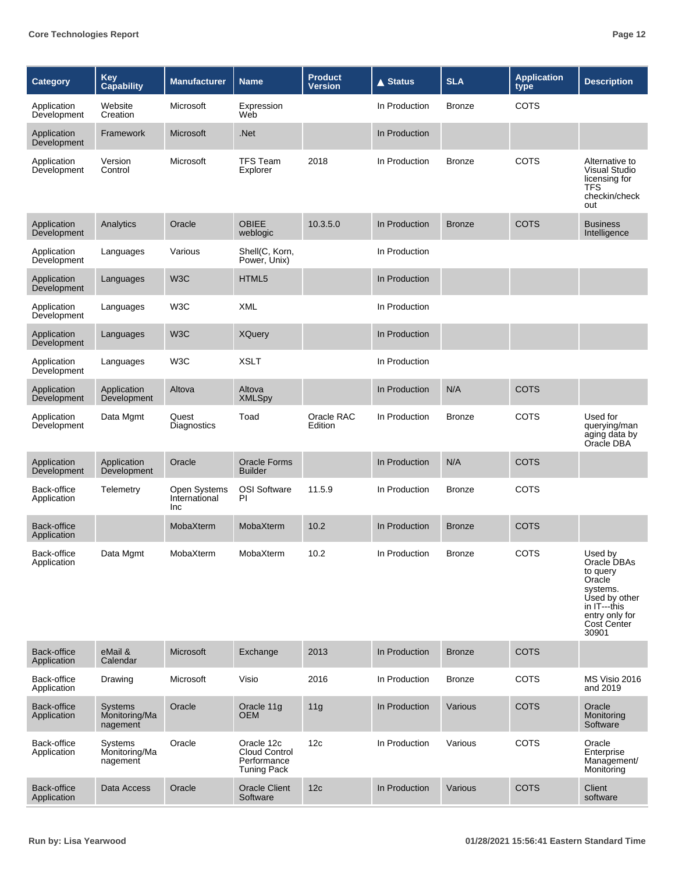| Category                   | Key<br><b>Capability</b>                    | <b>Manufacturer</b>                  | <b>Name</b>                                                             | <b>Product</b><br><b>Version</b> | $\triangle$ Status | <b>SLA</b>    | <b>Application</b><br>type | <b>Description</b>                                                                                                                  |
|----------------------------|---------------------------------------------|--------------------------------------|-------------------------------------------------------------------------|----------------------------------|--------------------|---------------|----------------------------|-------------------------------------------------------------------------------------------------------------------------------------|
| Application<br>Development | Website<br>Creation                         | Microsoft                            | Expression<br>Web                                                       |                                  | In Production      | <b>Bronze</b> | <b>COTS</b>                |                                                                                                                                     |
| Application<br>Development | Framework                                   | Microsoft                            | .Net                                                                    |                                  | In Production      |               |                            |                                                                                                                                     |
| Application<br>Development | Version<br>Control                          | Microsoft                            | <b>TFS Team</b><br>Explorer                                             | 2018                             | In Production      | <b>Bronze</b> | <b>COTS</b>                | Alternative to<br><b>Visual Studio</b><br>licensing for<br>TFS<br>checkin/check<br>out                                              |
| Application<br>Development | Analytics                                   | Oracle                               | <b>OBIEE</b><br>weblogic                                                | 10.3.5.0                         | In Production      | <b>Bronze</b> | <b>COTS</b>                | <b>Business</b><br>Intelligence                                                                                                     |
| Application<br>Development | Languages                                   | Various                              | Shell(C, Korn,<br>Power, Unix)                                          |                                  | In Production      |               |                            |                                                                                                                                     |
| Application<br>Development | Languages                                   | W <sub>3</sub> C                     | HTML5                                                                   |                                  | In Production      |               |                            |                                                                                                                                     |
| Application<br>Development | Languages                                   | W <sub>3</sub> C                     | <b>XML</b>                                                              |                                  | In Production      |               |                            |                                                                                                                                     |
| Application<br>Development | Languages                                   | W <sub>3</sub> C                     | <b>XQuery</b>                                                           |                                  | In Production      |               |                            |                                                                                                                                     |
| Application<br>Development | Languages                                   | W <sub>3</sub> C                     | <b>XSLT</b>                                                             |                                  | In Production      |               |                            |                                                                                                                                     |
| Application<br>Development | Application<br>Development                  | Altova                               | Altova<br><b>XMLSpy</b>                                                 |                                  | In Production      | N/A           | <b>COTS</b>                |                                                                                                                                     |
| Application<br>Development | Data Mgmt                                   | Quest<br>Diagnostics                 | Toad                                                                    | Oracle RAC<br>Edition            | In Production      | <b>Bronze</b> | <b>COTS</b>                | Used for<br>querying/man<br>aging data by<br>Oracle DBA                                                                             |
| Application<br>Development | Application<br>Development                  | Oracle                               | <b>Oracle Forms</b><br><b>Builder</b>                                   |                                  | In Production      | N/A           | <b>COTS</b>                |                                                                                                                                     |
| Back-office<br>Application | Telemetry                                   | Open Systems<br>International<br>Inc | OSI Software<br>PI                                                      | 11.5.9                           | In Production      | <b>Bronze</b> | <b>COTS</b>                |                                                                                                                                     |
| Back-office<br>Application |                                             | MobaXterm                            | MobaXterm                                                               | 10.2                             | In Production      | <b>Bronze</b> | <b>COTS</b>                |                                                                                                                                     |
| Back-office<br>Application | Data Mgmt                                   | MobaXterm                            | MobaXterm                                                               | 10.2                             | In Production      | <b>Bronze</b> | COTS                       | Used by<br>Oracle DBAs<br>to query<br>Oracle<br>systems.<br>Used by other<br>in IT---this<br>entry only for<br>Cost Center<br>30901 |
| Back-office<br>Application | eMail &<br>Calendar                         | Microsoft                            | Exchange                                                                | 2013                             | In Production      | <b>Bronze</b> | <b>COTS</b>                |                                                                                                                                     |
| Back-office<br>Application | Drawing                                     | Microsoft                            | Visio                                                                   | 2016                             | In Production      | <b>Bronze</b> | <b>COTS</b>                | MS Visio 2016<br>and 2019                                                                                                           |
| Back-office<br>Application | <b>Systems</b><br>Monitoring/Ma<br>nagement | Oracle                               | Oracle 11g<br><b>OEM</b>                                                | 11g                              | In Production      | Various       | <b>COTS</b>                | Oracle<br>Monitoring<br>Software                                                                                                    |
| Back-office<br>Application | Systems<br>Monitoring/Ma<br>nagement        | Oracle                               | Oracle 12c<br><b>Cloud Control</b><br>Performance<br><b>Tuning Pack</b> | 12c                              | In Production      | Various       | <b>COTS</b>                | Oracle<br>Enterprise<br>Management/<br>Monitoring                                                                                   |
| Back-office<br>Application | Data Access                                 | Oracle                               | Oracle Client<br>Software                                               | 12c                              | In Production      | Various       | <b>COTS</b>                | Client<br>software                                                                                                                  |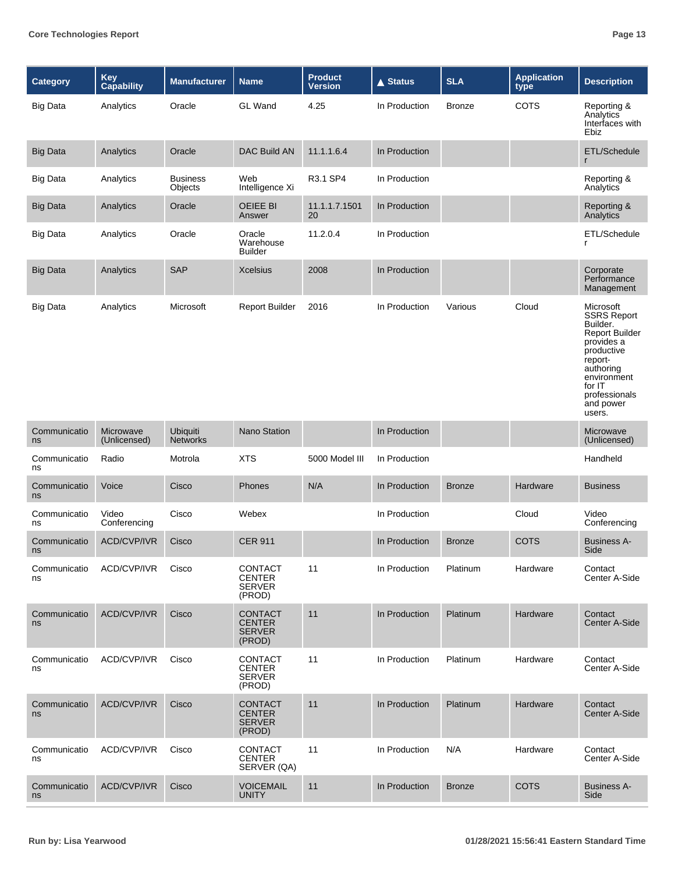| Category           | Key<br>Capability         | <b>Manufacturer</b>        | <b>Name</b>                                                | <b>Product</b><br><b>Version</b> | $\triangle$ Status | <b>SLA</b>    | <b>Application</b><br>type | <b>Description</b>                                                                                                                                                                        |
|--------------------|---------------------------|----------------------------|------------------------------------------------------------|----------------------------------|--------------------|---------------|----------------------------|-------------------------------------------------------------------------------------------------------------------------------------------------------------------------------------------|
| <b>Big Data</b>    | Analytics                 | Oracle                     | <b>GL</b> Wand                                             | 4.25                             | In Production      | <b>Bronze</b> | COTS                       | Reporting &<br>Analytics<br>Interfaces with<br>Ebiz                                                                                                                                       |
| <b>Big Data</b>    | Analytics                 | Oracle                     | <b>DAC Build AN</b>                                        | 11.1.1.6.4                       | In Production      |               |                            | ETL/Schedule<br>$\mathsf{r}$                                                                                                                                                              |
| <b>Big Data</b>    | Analytics                 | <b>Business</b><br>Objects | Web<br>Intelligence Xi                                     | R3.1 SP4                         | In Production      |               |                            | Reporting &<br>Analytics                                                                                                                                                                  |
| <b>Big Data</b>    | Analytics                 | Oracle                     | <b>OEIEE BI</b><br>Answer                                  | 11.1.1.7.1501<br>20              | In Production      |               |                            | Reporting &<br>Analytics                                                                                                                                                                  |
| <b>Big Data</b>    | Analytics                 | Oracle                     | Oracle<br>Warehouse<br><b>Builder</b>                      | 11.2.0.4                         | In Production      |               |                            | ETL/Schedule<br>r                                                                                                                                                                         |
| <b>Big Data</b>    | Analytics                 | <b>SAP</b>                 | <b>Xcelsius</b>                                            | 2008                             | In Production      |               |                            | Corporate<br>Performance<br>Management                                                                                                                                                    |
| <b>Big Data</b>    | Analytics                 | Microsoft                  | <b>Report Builder</b>                                      | 2016                             | In Production      | Various       | Cloud                      | Microsoft<br><b>SSRS Report</b><br>Builder.<br><b>Report Builder</b><br>provides a<br>productive<br>report-<br>authoring<br>environment<br>for IT<br>professionals<br>and power<br>users. |
| Communicatio<br>ns | Microwave<br>(Unlicensed) | Ubiquiti<br>Networks       | <b>Nano Station</b>                                        |                                  | In Production      |               |                            | Microwave<br>(Unlicensed)                                                                                                                                                                 |
| Communicatio<br>ns | Radio                     | Motrola                    | <b>XTS</b>                                                 | 5000 Model III                   | In Production      |               |                            | Handheld                                                                                                                                                                                  |
| Communicatio<br>ns | Voice                     | Cisco                      | Phones                                                     | N/A                              | In Production      | <b>Bronze</b> | Hardware                   | <b>Business</b>                                                                                                                                                                           |
| Communicatio<br>ns | Video<br>Conferencing     | Cisco                      | Webex                                                      |                                  | In Production      |               | Cloud                      | Video<br>Conferencing                                                                                                                                                                     |
| Communicatio<br>ns | <b>ACD/CVP/IVR</b>        | Cisco                      | <b>CER 911</b>                                             |                                  | In Production      | <b>Bronze</b> | <b>COTS</b>                | <b>Business A-</b><br>Side                                                                                                                                                                |
| Communicatio<br>ns | ACD/CVP/IVR               | Cisco                      | CONTACT<br><b>CENTER</b><br><b>SERVER</b><br>(PROD)        | 11                               | In Production      | Platinum      | Hardware                   | Contact<br>Center A-Side                                                                                                                                                                  |
| Communicatio<br>ns | ACD/CVP/IVR               | Cisco                      | <b>CONTACT</b><br><b>CENTER</b><br><b>SERVER</b><br>(PROD) | 11                               | In Production      | Platinum      | Hardware                   | Contact<br>Center A-Side                                                                                                                                                                  |
| Communicatio<br>ns | ACD/CVP/IVR               | Cisco                      | <b>CONTACT</b><br><b>CENTER</b><br><b>SERVER</b><br>(PROD) | 11                               | In Production      | Platinum      | Hardware                   | Contact<br>Center A-Side                                                                                                                                                                  |
| Communicatio<br>ns | ACD/CVP/IVR               | Cisco                      | <b>CONTACT</b><br><b>CENTER</b><br><b>SERVER</b><br>(PROD) | 11                               | In Production      | Platinum      | Hardware                   | Contact<br>Center A-Side                                                                                                                                                                  |
| Communicatio<br>ns | ACD/CVP/IVR               | Cisco                      | <b>CONTACT</b><br><b>CENTER</b><br>SERVER (QA)             | 11                               | In Production      | N/A           | Hardware                   | Contact<br>Center A-Side                                                                                                                                                                  |
| Communicatio<br>ns | ACD/CVP/IVR               | Cisco                      | <b>VOICEMAIL</b><br><b>UNITY</b>                           | 11                               | In Production      | <b>Bronze</b> | <b>COTS</b>                | <b>Business A-</b><br>Side                                                                                                                                                                |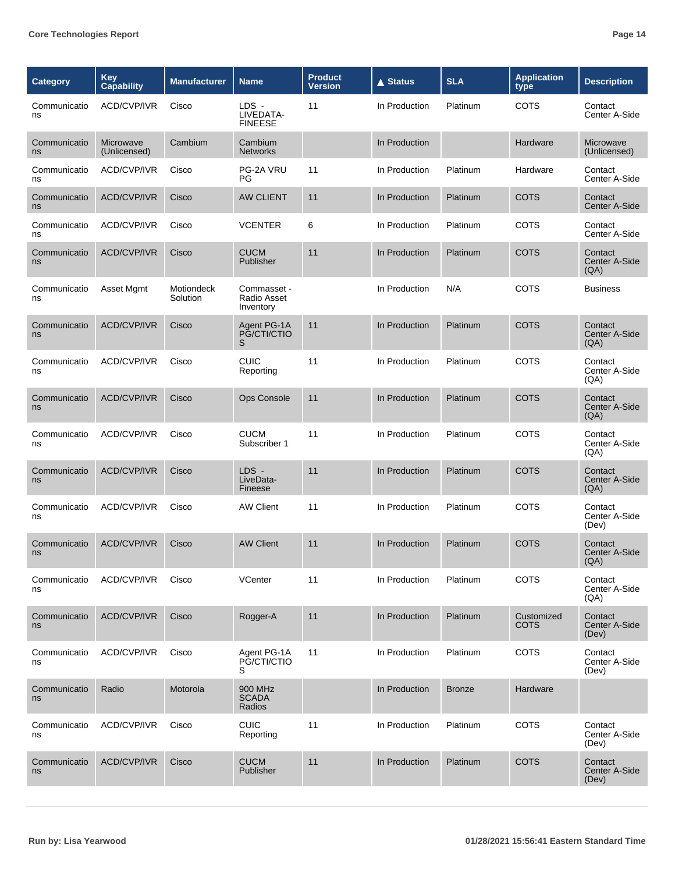| <b>Category</b>    | Key<br><b>Capability</b>  | <b>Manufacturer</b>    | <b>Name</b>                             | <b>Product</b><br><b>Version</b> | <b>▲ Status</b> | <b>SLA</b>    | <b>Application</b><br>type | <b>Description</b>                |
|--------------------|---------------------------|------------------------|-----------------------------------------|----------------------------------|-----------------|---------------|----------------------------|-----------------------------------|
| Communicatio<br>ns | ACD/CVP/IVR               | Cisco                  | LDS -<br>LIVEDATA-<br><b>FINEESE</b>    | 11                               | In Production   | Platinum      | COTS                       | Contact<br>Center A-Side          |
| Communicatio<br>ns | Microwave<br>(Unlicensed) | Cambium                | Cambium<br><b>Networks</b>              |                                  | In Production   |               | Hardware                   | Microwave<br>(Unlicensed)         |
| Communicatio<br>ns | ACD/CVP/IVR               | Cisco                  | PG-2A VRU<br>PG                         | 11                               | In Production   | Platinum      | Hardware                   | Contact<br>Center A-Side          |
| Communicatio<br>ns | <b>ACD/CVP/IVR</b>        | Cisco                  | <b>AW CLIENT</b>                        | 11                               | In Production   | Platinum      | <b>COTS</b>                | Contact<br>Center A-Side          |
| Communicatio<br>ns | ACD/CVP/IVR               | Cisco                  | <b>VCENTER</b>                          | 6                                | In Production   | Platinum      | COTS                       | Contact<br>Center A-Side          |
| Communicatio<br>ns | <b>ACD/CVP/IVR</b>        | Cisco                  | <b>CUCM</b><br>Publisher                | 11                               | In Production   | Platinum      | <b>COTS</b>                | Contact<br>Center A-Side<br>(QA)  |
| Communicatio<br>ns | Asset Mgmt                | Motiondeck<br>Solution | Commasset -<br>Radio Asset<br>Inventory |                                  | In Production   | N/A           | COTS                       | <b>Business</b>                   |
| Communicatio<br>ns | ACD/CVP/IVR               | Cisco                  | Agent PG-1A<br>PG/CTI/CTIO<br>S         | 11                               | In Production   | Platinum      | <b>COTS</b>                | Contact<br>Center A-Side<br>(QA)  |
| Communicatio<br>ns | ACD/CVP/IVR               | Cisco                  | <b>CUIC</b><br>Reporting                | 11                               | In Production   | Platinum      | COTS                       | Contact<br>Center A-Side<br>(AA)  |
| Communicatio<br>ns | <b>ACD/CVP/IVR</b>        | Cisco                  | <b>Ops Console</b>                      | 11                               | In Production   | Platinum      | <b>COTS</b>                | Contact<br>Center A-Side<br>(QA)  |
| Communicatio<br>ns | <b>ACD/CVP/IVR</b>        | Cisco                  | <b>CUCM</b><br>Subscriber 1             | 11                               | In Production   | Platinum      | COTS                       | Contact<br>Center A-Side<br>(A)   |
| Communicatio<br>ns | ACD/CVP/IVR               | Cisco                  | LDS -<br>LiveData-<br>Fineese           | 11                               | In Production   | Platinum      | <b>COTS</b>                | Contact<br>Center A-Side<br>(QA)  |
| Communicatio<br>ns | <b>ACD/CVP/IVR</b>        | Cisco                  | <b>AW Client</b>                        | 11                               | In Production   | Platinum      | COTS                       | Contact<br>Center A-Side<br>(Dev) |
| Communicatio<br>ns | <b>ACD/CVP/IVR</b>        | Cisco                  | <b>AW Client</b>                        | 11                               | In Production   | Platinum      | COTS                       | Contact<br>Center A-Side<br>(A)   |
| Communicatio<br>ns | ACD/CVP/IVR               | Cisco                  | VCenter                                 | 11                               | In Production   | Platinum      | <b>COTS</b>                | Contact<br>Center A-Side<br>(QA)  |
| Communicatio<br>ns | ACD/CVP/IVR               | Cisco                  | Rogger-A                                | 11                               | In Production   | Platinum      | Customized<br><b>COTS</b>  | Contact<br>Center A-Side<br>(Dev) |
| Communicatio<br>ns | ACD/CVP/IVR               | Cisco                  | Agent PG-1A<br>PG/CTI/CTIO<br>S         | 11                               | In Production   | Platinum      | <b>COTS</b>                | Contact<br>Center A-Side<br>(Dev) |
| Communicatio<br>ns | Radio                     | Motorola               | 900 MHz<br><b>SCADA</b><br>Radios       |                                  | In Production   | <b>Bronze</b> | Hardware                   |                                   |
| Communicatio<br>ns | ACD/CVP/IVR               | Cisco                  | <b>CUIC</b><br>Reporting                | 11                               | In Production   | Platinum      | <b>COTS</b>                | Contact<br>Center A-Side<br>(Dev) |
| Communicatio<br>ns | ACD/CVP/IVR               | Cisco                  | <b>CUCM</b><br>Publisher                | 11                               | In Production   | Platinum      | <b>COTS</b>                | Contact<br>Center A-Side<br>(Dev) |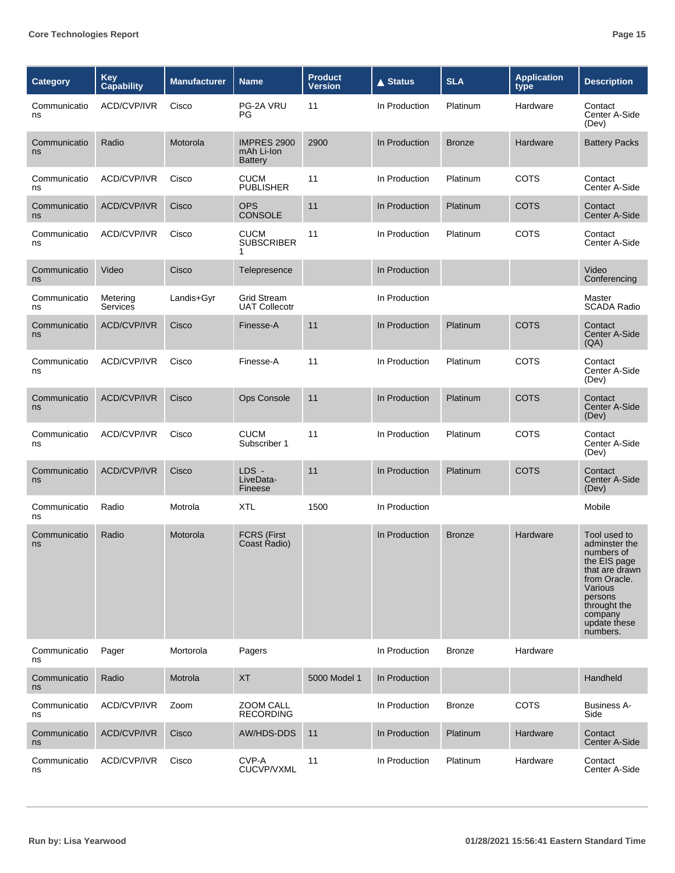| Category           | <b>Key</b><br>Capability | <b>Manufacturer</b> | <b>Name</b>                                        | <b>Product</b><br>Version | <b>▲ Status</b> | <b>SLA</b>    | <b>Application</b><br>type | <b>Description</b>                                                                                                                                                         |
|--------------------|--------------------------|---------------------|----------------------------------------------------|---------------------------|-----------------|---------------|----------------------------|----------------------------------------------------------------------------------------------------------------------------------------------------------------------------|
| Communicatio<br>ns | ACD/CVP/IVR              | Cisco               | PG-2A VRU<br>PG                                    | 11                        | In Production   | Platinum      | Hardware                   | Contact<br>Center A-Side<br>(Dev)                                                                                                                                          |
| Communicatio<br>ns | Radio                    | Motorola            | <b>IMPRES 2900</b><br>mAh Li-Ion<br><b>Battery</b> | 2900                      | In Production   | <b>Bronze</b> | Hardware                   | <b>Battery Packs</b>                                                                                                                                                       |
| Communicatio<br>ns | ACD/CVP/IVR              | Cisco               | <b>CUCM</b><br><b>PUBLISHER</b>                    | 11                        | In Production   | Platinum      | COTS                       | Contact<br>Center A-Side                                                                                                                                                   |
| Communicatio<br>ns | <b>ACD/CVP/IVR</b>       | Cisco               | <b>OPS</b><br>CONSOLE                              | 11                        | In Production   | Platinum      | <b>COTS</b>                | Contact<br>Center A-Side                                                                                                                                                   |
| Communicatio<br>ns | ACD/CVP/IVR              | Cisco               | <b>CUCM</b><br><b>SUBSCRIBER</b><br>1              | 11                        | In Production   | Platinum      | <b>COTS</b>                | Contact<br>Center A-Side                                                                                                                                                   |
| Communicatio<br>ns | Video                    | Cisco               | Telepresence                                       |                           | In Production   |               |                            | Video<br>Conferencing                                                                                                                                                      |
| Communicatio<br>ns | Metering<br>Services     | Landis+Gyr          | <b>Grid Stream</b><br><b>UAT Collecotr</b>         |                           | In Production   |               |                            | Master<br><b>SCADA Radio</b>                                                                                                                                               |
| Communicatio<br>ns | <b>ACD/CVP/IVR</b>       | Cisco               | Finesse-A                                          | 11                        | In Production   | Platinum      | <b>COTS</b>                | Contact<br>Center A-Side<br>(QA)                                                                                                                                           |
| Communicatio<br>ns | ACD/CVP/IVR              | Cisco               | Finesse-A                                          | 11                        | In Production   | Platinum      | <b>COTS</b>                | Contact<br>Center A-Side<br>(Dev)                                                                                                                                          |
| Communicatio<br>ns | <b>ACD/CVP/IVR</b>       | Cisco               | <b>Ops Console</b>                                 | 11                        | In Production   | Platinum      | <b>COTS</b>                | Contact<br>Center A-Side<br>(Dev)                                                                                                                                          |
| Communicatio<br>ns | ACD/CVP/IVR              | Cisco               | <b>CUCM</b><br>Subscriber 1                        | 11                        | In Production   | Platinum      | COTS                       | Contact<br>Center A-Side<br>(Dev)                                                                                                                                          |
| Communicatio<br>ns | <b>ACD/CVP/IVR</b>       | Cisco               | LDS -<br>LiveData-<br>Fineese                      | 11                        | In Production   | Platinum      | <b>COTS</b>                | Contact<br>Center A-Side<br>(Dev)                                                                                                                                          |
| Communicatio<br>ns | Radio                    | Motrola             | <b>XTL</b>                                         | 1500                      | In Production   |               |                            | Mobile                                                                                                                                                                     |
| Communicatio<br>ns | Radio                    | Motorola            | <b>FCRS (First</b><br>Coast Radio)                 |                           | In Production   | <b>Bronze</b> | Hardware                   | Tool used to<br>adminster the<br>numbers of<br>the EIS page<br>that are drawn<br>from Oracle.<br>Various<br>persons<br>throught the<br>company<br>update these<br>numbers. |
| Communicatio<br>ns | Pager                    | Mortorola           | Pagers                                             |                           | In Production   | <b>Bronze</b> | Hardware                   |                                                                                                                                                                            |
| Communicatio<br>ns | Radio                    | Motrola             | <b>XT</b>                                          | 5000 Model 1              | In Production   |               |                            | Handheld                                                                                                                                                                   |
| Communicatio<br>ns | ACD/CVP/IVR              | Zoom                | ZOOM CALL<br><b>RECORDING</b>                      |                           | In Production   | <b>Bronze</b> | <b>COTS</b>                | <b>Business A-</b><br>Side                                                                                                                                                 |
| Communicatio<br>ns | ACD/CVP/IVR              | Cisco               | AW/HDS-DDS                                         | 11                        | In Production   | Platinum      | Hardware                   | Contact<br>Center A-Side                                                                                                                                                   |
| Communicatio<br>ns | ACD/CVP/IVR              | Cisco               | CVP-A<br>CUCVP/VXML                                | 11                        | In Production   | Platinum      | Hardware                   | Contact<br>Center A-Side                                                                                                                                                   |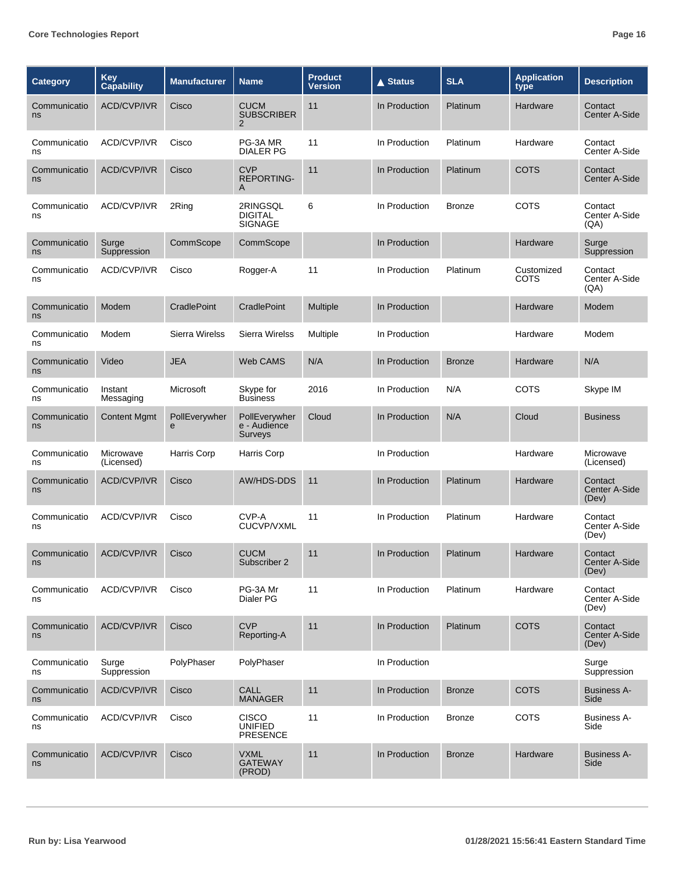| Category           | Key<br>Capability       | <b>Manufacturer</b> | <b>Name</b>                                        | <b>Product</b><br>Version | <b>▲ Status</b> | <b>SLA</b>    | <b>Application</b><br>type | <b>Description</b>                |
|--------------------|-------------------------|---------------------|----------------------------------------------------|---------------------------|-----------------|---------------|----------------------------|-----------------------------------|
| Communicatio<br>ns | <b>ACD/CVP/IVR</b>      | Cisco               | <b>CUCM</b><br><b>SUBSCRIBER</b><br>$\overline{2}$ | 11                        | In Production   | Platinum      | Hardware                   | Contact<br>Center A-Side          |
| Communicatio<br>ns | ACD/CVP/IVR             | Cisco               | PG-3A MR<br>DIALER PG                              | 11                        | In Production   | Platinum      | Hardware                   | Contact<br>Center A-Side          |
| Communicatio<br>ns | <b>ACD/CVP/IVR</b>      | Cisco               | <b>CVP</b><br><b>REPORTING-</b><br>A               | 11                        | In Production   | Platinum      | <b>COTS</b>                | Contact<br>Center A-Side          |
| Communicatio<br>ns | ACD/CVP/IVR             | 2Ring               | 2RINGSQL<br><b>DIGITAL</b><br><b>SIGNAGE</b>       | 6                         | In Production   | <b>Bronze</b> | <b>COTS</b>                | Contact<br>Center A-Side<br>(QA)  |
| Communicatio<br>ns | Surge<br>Suppression    | CommScope           | CommScope                                          |                           | In Production   |               | Hardware                   | Surge<br>Suppression              |
| Communicatio<br>ns | ACD/CVP/IVR             | Cisco               | Rogger-A                                           | 11                        | In Production   | Platinum      | Customized<br>COTS         | Contact<br>Center A-Side<br>(AA)  |
| Communicatio<br>ns | Modem                   | CradlePoint         | CradlePoint                                        | Multiple                  | In Production   |               | Hardware                   | Modem                             |
| Communicatio<br>ns | Modem                   | Sierra Wirelss      | <b>Sierra Wirelss</b>                              | Multiple                  | In Production   |               | Hardware                   | Modem                             |
| Communicatio<br>ns | Video                   | <b>JEA</b>          | <b>Web CAMS</b>                                    | N/A                       | In Production   | <b>Bronze</b> | Hardware                   | N/A                               |
| Communicatio<br>ns | Instant<br>Messaging    | Microsoft           | Skype for<br><b>Business</b>                       | 2016                      | In Production   | N/A           | <b>COTS</b>                | Skype IM                          |
| Communicatio<br>ns | <b>Content Mgmt</b>     | PollEverywher<br>e  | PollEverywher<br>e - Audience<br><b>Surveys</b>    | Cloud                     | In Production   | N/A           | Cloud                      | <b>Business</b>                   |
| Communicatio<br>ns | Microwave<br>(Licensed) | Harris Corp         | Harris Corp                                        |                           | In Production   |               | Hardware                   | Microwave<br>(Licensed)           |
| Communicatio<br>ns | <b>ACD/CVP/IVR</b>      | Cisco               | <b>AW/HDS-DDS</b>                                  | 11                        | In Production   | Platinum      | Hardware                   | Contact<br>Center A-Side<br>(Dev) |
| Communicatio<br>ns | ACD/CVP/IVR             | Cisco               | CVP-A<br><b>CUCVP/VXML</b>                         | 11                        | In Production   | Platinum      | Hardware                   | Contact<br>Center A-Side<br>(Dev) |
| Communicatio<br>ns | ACD/CVP/IVR             | Cisco               | <b>CUCM</b><br>Subscriber 2                        | 11                        | In Production   | Platinum      | Hardware                   | Contact<br>Center A-Side<br>(Dev) |
| Communicatio<br>ns | <b>ACD/CVP/IVR</b>      | Cisco               | PG-3A Mr<br>Dialer PG                              | 11                        | In Production   | Platinum      | Hardware                   | Contact<br>Center A-Side<br>(Dev) |
| Communicatio<br>ns | ACD/CVP/IVR             | Cisco               | <b>CVP</b><br>Reporting-A                          | 11                        | In Production   | Platinum      | <b>COTS</b>                | Contact<br>Center A-Side<br>(Dev) |
| Communicatio<br>ns | Surge<br>Suppression    | PolyPhaser          | PolyPhaser                                         |                           | In Production   |               |                            | Surge<br>Suppression              |
| Communicatio<br>ns | ACD/CVP/IVR             | Cisco               | <b>CALL</b><br><b>MANAGER</b>                      | 11                        | In Production   | <b>Bronze</b> | <b>COTS</b>                | <b>Business A-</b><br>Side        |
| Communicatio<br>ns | ACD/CVP/IVR             | Cisco               | <b>CISCO</b><br><b>UNIFIED</b><br><b>PRESENCE</b>  | 11                        | In Production   | <b>Bronze</b> | <b>COTS</b>                | <b>Business A-</b><br>Side        |
| Communicatio<br>ns | ACD/CVP/IVR             | Cisco               | <b>VXML</b><br><b>GATEWAY</b><br>(PROD)            | 11                        | In Production   | <b>Bronze</b> | Hardware                   | <b>Business A-</b><br>Side        |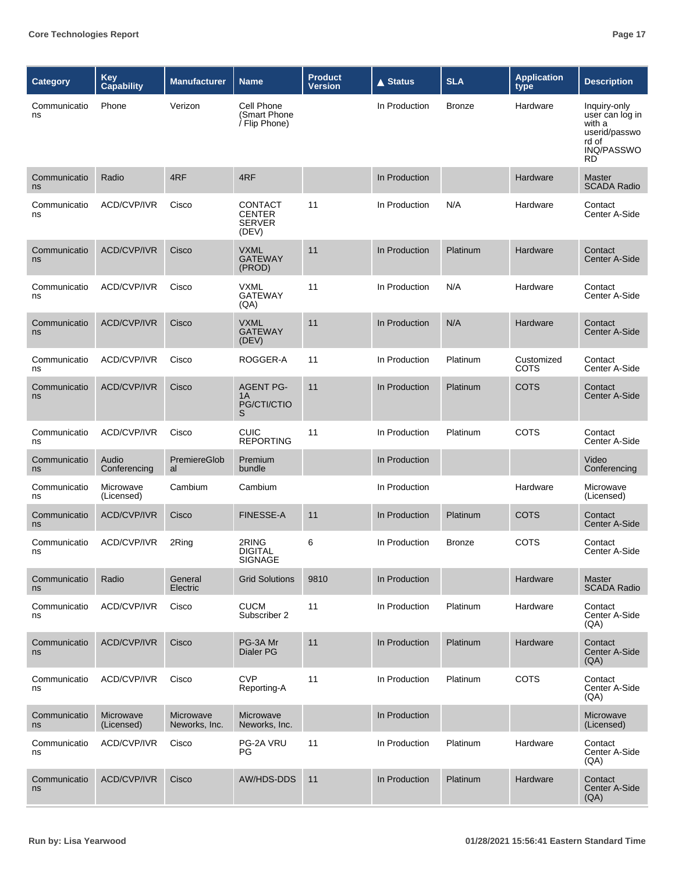| <b>Category</b>    | <b>Key</b><br>Capability | <b>Manufacturer</b>        | <b>Name</b>                                               | <b>Product</b><br><b>Version</b> | <b>▲ Status</b> | <b>SLA</b>    | <b>Application</b><br>type | <b>Description</b>                                                                             |
|--------------------|--------------------------|----------------------------|-----------------------------------------------------------|----------------------------------|-----------------|---------------|----------------------------|------------------------------------------------------------------------------------------------|
| Communicatio<br>ns | Phone                    | Verizon                    | Cell Phone<br>(Smart Phone)<br>/ Flip Phone)              |                                  | In Production   | <b>Bronze</b> | Hardware                   | Inquiry-only<br>user can log in<br>with a<br>userid/passwo<br>rd of<br>INQ/PASSWO<br><b>RD</b> |
| Communicatio<br>ns | Radio                    | 4RF                        | 4RF                                                       |                                  | In Production   |               | Hardware                   | <b>Master</b><br><b>SCADA Radio</b>                                                            |
| Communicatio<br>ns | ACD/CVP/IVR              | Cisco                      | <b>CONTACT</b><br><b>CENTER</b><br><b>SERVER</b><br>(DEV) | 11                               | In Production   | N/A           | Hardware                   | Contact<br>Center A-Side                                                                       |
| Communicatio<br>ns | <b>ACD/CVP/IVR</b>       | Cisco                      | <b>VXML</b><br><b>GATEWAY</b><br>(PROD)                   | 11                               | In Production   | Platinum      | Hardware                   | Contact<br>Center A-Side                                                                       |
| Communicatio<br>ns | ACD/CVP/IVR              | Cisco                      | <b>VXML</b><br><b>GATEWAY</b><br>(AA)                     | 11                               | In Production   | N/A           | Hardware                   | Contact<br>Center A-Side                                                                       |
| Communicatio<br>ns | ACD/CVP/IVR              | Cisco                      | <b>VXML</b><br><b>GATEWAY</b><br>(DEV)                    | 11                               | In Production   | N/A           | Hardware                   | Contact<br>Center A-Side                                                                       |
| Communicatio<br>ns | ACD/CVP/IVR              | Cisco                      | ROGGER-A                                                  | 11                               | In Production   | Platinum      | Customized<br>COTS         | Contact<br>Center A-Side                                                                       |
| Communicatio<br>ns | <b>ACD/CVP/IVR</b>       | Cisco                      | <b>AGENT PG-</b><br>1A<br>PG/CTI/CTIO<br>S                | 11                               | In Production   | Platinum      | <b>COTS</b>                | Contact<br>Center A-Side                                                                       |
| Communicatio<br>ns | ACD/CVP/IVR              | Cisco                      | <b>CUIC</b><br><b>REPORTING</b>                           | 11                               | In Production   | Platinum      | COTS                       | Contact<br>Center A-Side                                                                       |
| Communicatio<br>ns | Audio<br>Conferencing    | PremiereGlob<br>al         | Premium<br>bundle                                         |                                  | In Production   |               |                            | Video<br>Conferencing                                                                          |
| Communicatio<br>ns | Microwave<br>(Licensed)  | Cambium                    | Cambium                                                   |                                  | In Production   |               | Hardware                   | Microwave<br>(Licensed)                                                                        |
| Communicatio<br>ns | <b>ACD/CVP/IVR</b>       | Cisco                      | <b>FINESSE-A</b>                                          | 11                               | In Production   | Platinum      | <b>COTS</b>                | Contact<br>Center A-Side                                                                       |
| Communicatio<br>ns | ACD/CVP/IVR              | 2Ring                      | 2RING<br><b>DIGITAL</b><br>SIGNAGE                        | 6                                | In Production   | <b>Bronze</b> | COTS                       | Contact<br>Center A-Side                                                                       |
| Communicatio<br>ns | Radio                    | General<br>Electric        | <b>Grid Solutions</b>                                     | 9810                             | In Production   |               | Hardware                   | <b>Master</b><br><b>SCADA Radio</b>                                                            |
| Communicatio<br>ns | ACD/CVP/IVR              | Cisco                      | <b>CUCM</b><br>Subscriber 2                               | 11                               | In Production   | Platinum      | Hardware                   | Contact<br>Center A-Side<br>(AA)                                                               |
| Communicatio<br>ns | ACD/CVP/IVR              | Cisco                      | PG-3A Mr<br>Dialer PG                                     | 11                               | In Production   | Platinum      | Hardware                   | Contact<br>Center A-Side<br>(QA)                                                               |
| Communicatio<br>ns | ACD/CVP/IVR              | Cisco                      | <b>CVP</b><br>Reporting-A                                 | 11                               | In Production   | Platinum      | COTS                       | Contact<br>Center A-Side<br>(QA)                                                               |
| Communicatio<br>ns | Microwave<br>(Licensed)  | Microwave<br>Neworks, Inc. | Microwave<br>Neworks, Inc.                                |                                  | In Production   |               |                            | Microwave<br>(Licensed)                                                                        |
| Communicatio<br>ns | ACD/CVP/IVR              | Cisco                      | PG-2A VRU<br>PG.                                          | 11                               | In Production   | Platinum      | Hardware                   | Contact<br>Center A-Side<br>(QA)                                                               |
| Communicatio<br>ns | ACD/CVP/IVR              | Cisco                      | AW/HDS-DDS                                                | 11                               | In Production   | Platinum      | Hardware                   | Contact<br>Center A-Side<br>(QA)                                                               |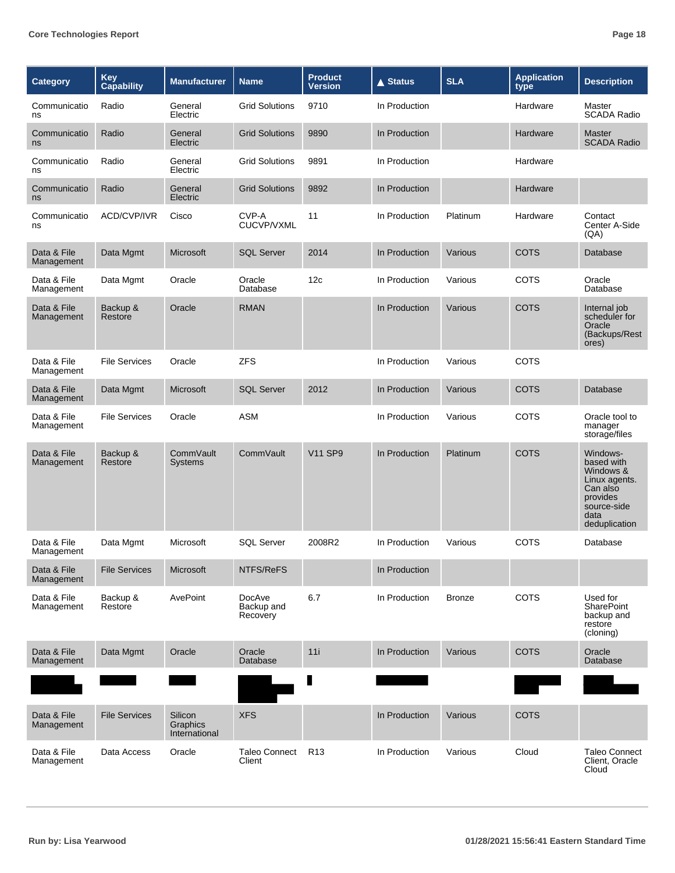| Category                  | Key<br>Capability    | <b>Manufacturer</b>                  | <b>Name</b>                      | <b>Product</b><br>Version | <b>▲ Status</b> | <b>SLA</b>    | <b>Application</b><br>type | <b>Description</b>                                                                                                   |
|---------------------------|----------------------|--------------------------------------|----------------------------------|---------------------------|-----------------|---------------|----------------------------|----------------------------------------------------------------------------------------------------------------------|
| Communicatio<br>ns        | Radio                | General<br>Electric                  | <b>Grid Solutions</b>            | 9710                      | In Production   |               | Hardware                   | Master<br><b>SCADA Radio</b>                                                                                         |
| Communicatio<br>ns        | Radio                | General<br>Electric                  | <b>Grid Solutions</b>            | 9890                      | In Production   |               | Hardware                   | <b>Master</b><br><b>SCADA Radio</b>                                                                                  |
| Communicatio<br>ns        | Radio                | General<br>Electric                  | <b>Grid Solutions</b>            | 9891                      | In Production   |               | Hardware                   |                                                                                                                      |
| Communicatio<br>ns        | Radio                | General<br>Electric                  | <b>Grid Solutions</b>            | 9892                      | In Production   |               | Hardware                   |                                                                                                                      |
| Communicatio<br>ns        | ACD/CVP/IVR          | Cisco                                | CVP-A<br>CUCVP/VXML              | 11                        | In Production   | Platinum      | Hardware                   | Contact<br>Center A-Side<br>(AA)                                                                                     |
| Data & File<br>Management | Data Mgmt            | Microsoft                            | <b>SQL Server</b>                | 2014                      | In Production   | Various       | <b>COTS</b>                | Database                                                                                                             |
| Data & File<br>Management | Data Mgmt            | Oracle                               | Oracle<br>Database               | 12c                       | In Production   | Various       | <b>COTS</b>                | Oracle<br>Database                                                                                                   |
| Data & File<br>Management | Backup &<br>Restore  | Oracle                               | <b>RMAN</b>                      |                           | In Production   | Various       | <b>COTS</b>                | Internal job<br>scheduler for<br>Oracle<br>(Backups/Rest<br>ores)                                                    |
| Data & File<br>Management | <b>File Services</b> | Oracle                               | <b>ZFS</b>                       |                           | In Production   | Various       | COTS                       |                                                                                                                      |
| Data & File<br>Management | Data Mgmt            | Microsoft                            | <b>SQL Server</b>                | 2012                      | In Production   | Various       | <b>COTS</b>                | Database                                                                                                             |
| Data & File<br>Management | <b>File Services</b> | Oracle                               | <b>ASM</b>                       |                           | In Production   | Various       | COTS                       | Oracle tool to<br>manager<br>storage/files                                                                           |
| Data & File<br>Management | Backup &<br>Restore  | CommVault<br>Systems                 | CommVault                        | <b>V11 SP9</b>            | In Production   | Platinum      | <b>COTS</b>                | Windows-<br>based with<br>Windows &<br>Linux agents.<br>Can also<br>provides<br>source-side<br>data<br>deduplication |
| Data & File<br>Management | Data Mgmt            | Microsoft                            | <b>SQL Server</b>                | 2008R2                    | In Production   | Various       | COTS                       | Database                                                                                                             |
| Data & File<br>Management | <b>File Services</b> | <b>Microsoft</b>                     | NTFS/ReFS                        |                           | In Production   |               |                            |                                                                                                                      |
| Data & File<br>Management | Backup &<br>Restore  | AvePoint                             | DocAve<br>Backup and<br>Recovery | 6.7                       | In Production   | <b>Bronze</b> | COTS                       | Used for<br>SharePoint<br>backup and<br>restore<br>(cloning)                                                         |
| Data & File<br>Management | Data Mgmt            | Oracle                               | Oracle<br>Database               | 11i                       | In Production   | Various       | <b>COTS</b>                | Oracle<br>Database                                                                                                   |
|                           |                      |                                      |                                  |                           |                 |               |                            |                                                                                                                      |
| Data & File<br>Management | <b>File Services</b> | Silicon<br>Graphics<br>International | <b>XFS</b>                       |                           | In Production   | Various       | <b>COTS</b>                |                                                                                                                      |
| Data & File<br>Management | Data Access          | Oracle                               | <b>Taleo Connect</b><br>Client   | R <sub>13</sub>           | In Production   | Various       | Cloud                      | <b>Taleo Connect</b><br>Client, Oracle<br>Cloud                                                                      |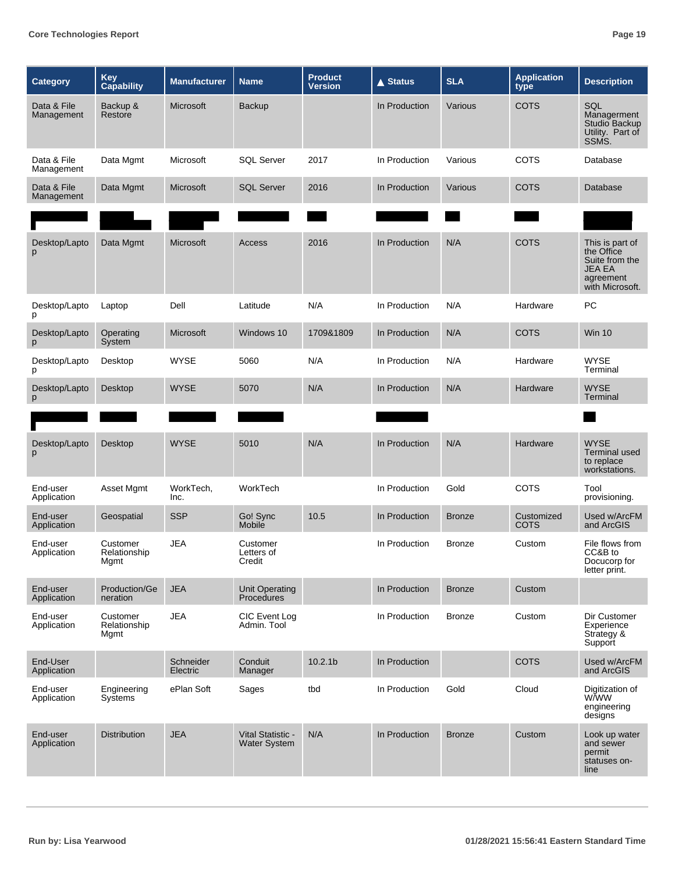| <b>Category</b>           | <b>Key</b><br>Capability         | <b>Manufacturer</b>   | <b>Name</b>                              | <b>Product</b><br>Version | <b>▲ Status</b> | <b>SLA</b>    | <b>Application</b><br>type | <b>Description</b>                                                                               |
|---------------------------|----------------------------------|-----------------------|------------------------------------------|---------------------------|-----------------|---------------|----------------------------|--------------------------------------------------------------------------------------------------|
| Data & File<br>Management | Backup &<br>Restore              | Microsoft             | <b>Backup</b>                            |                           | In Production   | Various       | <b>COTS</b>                | SQL<br>Managerment<br>Studio Backup<br>Utility. Part of<br>SSMS.                                 |
| Data & File<br>Management | Data Mgmt                        | Microsoft             | <b>SQL Server</b>                        | 2017                      | In Production   | Various       | COTS                       | Database                                                                                         |
| Data & File<br>Management | Data Mgmt                        | Microsoft             | <b>SQL Server</b>                        | 2016                      | In Production   | Various       | <b>COTS</b>                | Database                                                                                         |
|                           |                                  |                       |                                          |                           |                 |               |                            |                                                                                                  |
| Desktop/Lapto<br>p        | Data Mgmt                        | Microsoft             | Access                                   | 2016                      | In Production   | N/A           | <b>COTS</b>                | This is part of<br>the Office<br>Suite from the<br><b>JEA EA</b><br>agreement<br>with Microsoft. |
| Desktop/Lapto<br>p        | Laptop                           | Dell                  | Latitude                                 | N/A                       | In Production   | N/A           | Hardware                   | PC                                                                                               |
| Desktop/Lapto<br>p        | Operating<br>System              | Microsoft             | Windows 10                               | 1709&1809                 | In Production   | N/A           | <b>COTS</b>                | Win 10                                                                                           |
| Desktop/Lapto<br>р        | Desktop                          | <b>WYSE</b>           | 5060                                     | N/A                       | In Production   | N/A           | Hardware                   | <b>WYSE</b><br>Terminal                                                                          |
| Desktop/Lapto<br>p        | Desktop                          | <b>WYSE</b>           | 5070                                     | N/A                       | In Production   | N/A           | Hardware                   | <b>WYSE</b><br>Terminal                                                                          |
|                           |                                  |                       |                                          |                           |                 |               |                            |                                                                                                  |
| Desktop/Lapto<br>p        | Desktop                          | <b>WYSE</b>           | 5010                                     | N/A                       | In Production   | N/A           | Hardware                   | <b>WYSE</b><br><b>Terminal used</b><br>to replace<br>workstations.                               |
| End-user<br>Application   | Asset Mgmt                       | WorkTech,<br>Inc.     | WorkTech                                 |                           | In Production   | Gold          | COTS                       | Tool<br>provisioning.                                                                            |
| End-user<br>Application   | Geospatial                       | <b>SSP</b>            | Go! Sync<br>Mobile                       | 10.5                      | In Production   | <b>Bronze</b> | Customized<br><b>COTS</b>  | Used w/ArcFM<br>and ArcGIS                                                                       |
| End-user<br>Application   | Customer<br>Relationship<br>Mgmt | <b>JEA</b>            | Customer<br>Letters of<br>Credit         |                           | In Production   | <b>Bronze</b> | Custom                     | File flows from<br>CC&B to<br>Docucorp for<br>letter print.                                      |
| End-user<br>Application   | Production/Ge<br>neration        | <b>JEA</b>            | Unit Operating<br>Procedures             |                           | In Production   | <b>Bronze</b> | Custom                     |                                                                                                  |
| End-user<br>Application   | Customer<br>Relationship<br>Mgmt | <b>JEA</b>            | CIC Event Log<br>Admin. Tool             |                           | In Production   | <b>Bronze</b> | Custom                     | Dir Customer<br>Experience<br>Strategy &<br>Support                                              |
| End-User<br>Application   |                                  | Schneider<br>Electric | Conduit<br>Manager                       | 10.2.1 <sub>b</sub>       | In Production   |               | <b>COTS</b>                | Used w/ArcFM<br>and ArcGIS                                                                       |
| End-user<br>Application   | Engineering<br>Systems           | ePlan Soft            | Sages                                    | tbd                       | In Production   | Gold          | Cloud                      | Digitization of<br><b>WWW</b><br>engineering<br>designs                                          |
| End-user<br>Application   | <b>Distribution</b>              | <b>JEA</b>            | Vital Statistic -<br><b>Water System</b> | N/A                       | In Production   | <b>Bronze</b> | Custom                     | Look up water<br>and sewer<br>permit<br>statuses on-<br>line                                     |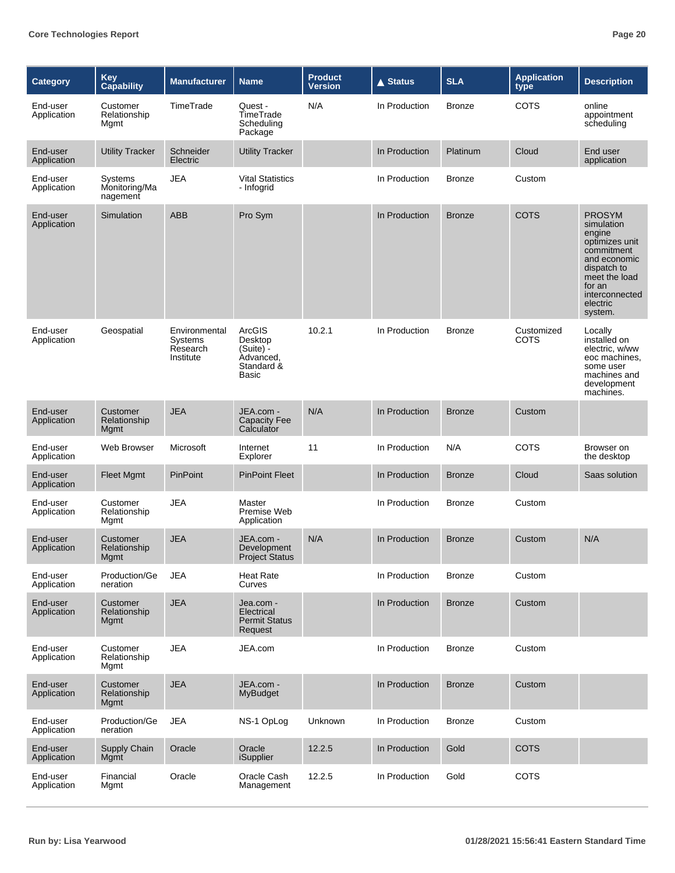| <b>Category</b>         | Key<br>Capability                    | <b>Manufacturer</b>                                      | <b>Name</b>                                                        | <b>Product</b><br><b>Version</b> | <b>▲ Status</b> | <b>SLA</b>    | <b>Application</b><br>type | <b>Description</b>                                                                                                                                                       |
|-------------------------|--------------------------------------|----------------------------------------------------------|--------------------------------------------------------------------|----------------------------------|-----------------|---------------|----------------------------|--------------------------------------------------------------------------------------------------------------------------------------------------------------------------|
| End-user<br>Application | Customer<br>Relationship<br>Mgmt     | TimeTrade                                                | Quest -<br>TimeTrade<br>Scheduling<br>Package                      | N/A                              | In Production   | <b>Bronze</b> | <b>COTS</b>                | online<br>appointment<br>scheduling                                                                                                                                      |
| End-user<br>Application | <b>Utility Tracker</b>               | Schneider<br>Electric                                    | <b>Utility Tracker</b>                                             |                                  | In Production   | Platinum      | Cloud                      | End user<br>application                                                                                                                                                  |
| End-user<br>Application | Systems<br>Monitoring/Ma<br>nagement | JEA                                                      | <b>Vital Statistics</b><br>- Infogrid                              |                                  | In Production   | <b>Bronze</b> | Custom                     |                                                                                                                                                                          |
| End-user<br>Application | Simulation                           | <b>ABB</b>                                               | Pro Sym                                                            |                                  | In Production   | <b>Bronze</b> | <b>COTS</b>                | <b>PROSYM</b><br>simulation<br>engine<br>optimizes unit<br>commitment<br>and economic<br>dispatch to<br>meet the load<br>for an<br>interconnected<br>electric<br>system. |
| End-user<br>Application | Geospatial                           | Environmental<br><b>Systems</b><br>Research<br>Institute | ArcGIS<br>Desktop<br>(Suite) -<br>Advanced.<br>Standard &<br>Basic | 10.2.1                           | In Production   | <b>Bronze</b> | Customized<br><b>COTS</b>  | Locally<br>installed on<br>electric, w/ww<br>eoc machines,<br>some user<br>machines and<br>development<br>machines.                                                      |
| End-user<br>Application | Customer<br>Relationship<br>Mgmt     | <b>JEA</b>                                               | JEA.com -<br><b>Capacity Fee</b><br>Calculator                     | N/A                              | In Production   | <b>Bronze</b> | Custom                     |                                                                                                                                                                          |
| End-user<br>Application | Web Browser                          | Microsoft                                                | Internet<br>Explorer                                               | 11                               | In Production   | N/A           | <b>COTS</b>                | Browser on<br>the desktop                                                                                                                                                |
| End-user<br>Application | Fleet Mgmt                           | PinPoint                                                 | <b>PinPoint Fleet</b>                                              |                                  | In Production   | <b>Bronze</b> | Cloud                      | Saas solution                                                                                                                                                            |
| End-user<br>Application | Customer<br>Relationship<br>Mgmt     | <b>JEA</b>                                               | Master<br>Premise Web<br>Application                               |                                  | In Production   | <b>Bronze</b> | Custom                     |                                                                                                                                                                          |
| End-user<br>Application | Customer<br>Relationship<br>Mgmt     | <b>JEA</b>                                               | JEA.com -<br>Development<br><b>Project Status</b>                  | N/A                              | In Production   | <b>Bronze</b> | Custom                     | N/A                                                                                                                                                                      |
| End-user<br>Application | Production/Ge<br>neration            | <b>JEA</b>                                               | Heat Rate<br>Curves                                                |                                  | In Production   | <b>Bronze</b> | Custom                     |                                                                                                                                                                          |
| End-user<br>Application | Customer<br>Relationship<br>Mgmt     | <b>JEA</b>                                               | Jea.com -<br>Electrical<br><b>Permit Status</b><br>Request         |                                  | In Production   | <b>Bronze</b> | Custom                     |                                                                                                                                                                          |
| End-user<br>Application | Customer<br>Relationship<br>Mgmt     | <b>JEA</b>                                               | JEA.com                                                            |                                  | In Production   | <b>Bronze</b> | Custom                     |                                                                                                                                                                          |
| End-user<br>Application | Customer<br>Relationship<br>Mgmt     | <b>JEA</b>                                               | JEA.com -<br><b>MyBudget</b>                                       |                                  | In Production   | <b>Bronze</b> | Custom                     |                                                                                                                                                                          |
| End-user<br>Application | Production/Ge<br>neration            | <b>JEA</b>                                               | NS-1 OpLog                                                         | Unknown                          | In Production   | <b>Bronze</b> | Custom                     |                                                                                                                                                                          |
| End-user<br>Application | Supply Chain<br>Mgmt                 | Oracle                                                   | Oracle<br><b>iSupplier</b>                                         | 12.2.5                           | In Production   | Gold          | <b>COTS</b>                |                                                                                                                                                                          |
| End-user<br>Application | Financial<br>Mgmt                    | Oracle                                                   | Oracle Cash<br>Management                                          | 12.2.5                           | In Production   | Gold          | COTS                       |                                                                                                                                                                          |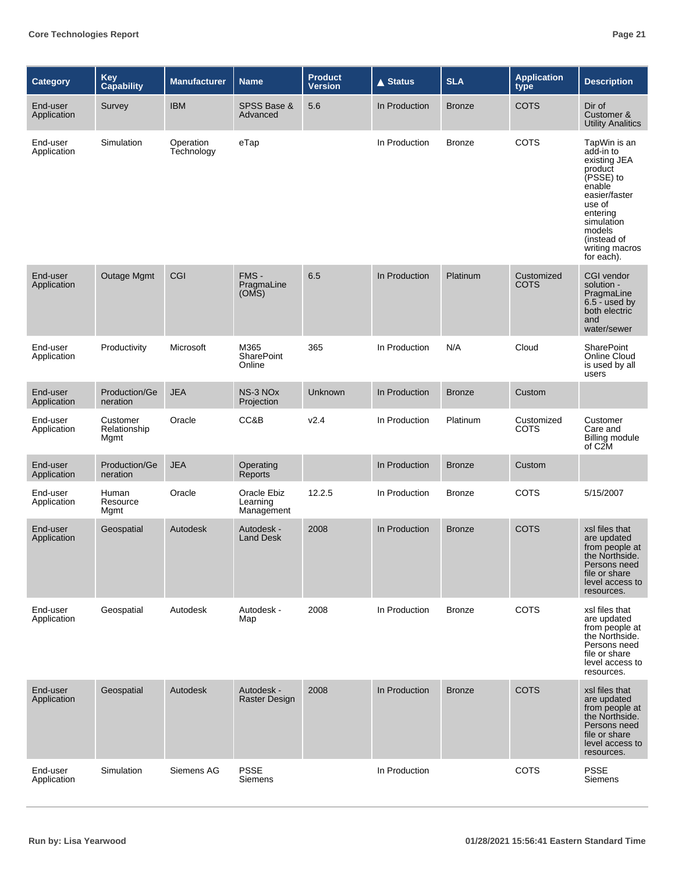| <b>Category</b>         | Key<br>Capability                | <b>Manufacturer</b>     | <b>Name</b>                           | <b>Product</b><br><b>Version</b> | $\triangle$ Status | <b>SLA</b>    | <b>Application</b><br>type | <b>Description</b>                                                                                                                                                                        |
|-------------------------|----------------------------------|-------------------------|---------------------------------------|----------------------------------|--------------------|---------------|----------------------------|-------------------------------------------------------------------------------------------------------------------------------------------------------------------------------------------|
| End-user<br>Application | Survey                           | <b>IBM</b>              | SPSS Base &<br>Advanced               | 5.6                              | In Production      | <b>Bronze</b> | <b>COTS</b>                | Dir of<br>Customer &<br><b>Utility Analitics</b>                                                                                                                                          |
| End-user<br>Application | Simulation                       | Operation<br>Technology | eTap                                  |                                  | In Production      | <b>Bronze</b> | <b>COTS</b>                | TapWin is an<br>add-in to<br>existing JEA<br>product<br>(PSSE) to<br>enable<br>easier/faster<br>use of<br>entering<br>simulation<br>models<br>(instead of<br>writing macros<br>for each). |
| End-user<br>Application | Outage Mgmt                      | CGI                     | FMS-<br>PragmaLine<br>(OMS)           | 6.5                              | In Production      | Platinum      | Customized<br><b>COTS</b>  | CGI vendor<br>solution -<br>PragmaLine<br>$6.5 - used by$<br>both electric<br>and<br>water/sewer                                                                                          |
| End-user<br>Application | Productivity                     | Microsoft               | M365<br><b>SharePoint</b><br>Online   | 365                              | In Production      | N/A           | Cloud                      | <b>SharePoint</b><br>Online Cloud<br>is used by all<br>users                                                                                                                              |
| End-user<br>Application | Production/Ge<br>neration        | <b>JEA</b>              | NS-3 NO <sub>x</sub><br>Projection    | <b>Unknown</b>                   | In Production      | <b>Bronze</b> | Custom                     |                                                                                                                                                                                           |
| End-user<br>Application | Customer<br>Relationship<br>Mgmt | Oracle                  | CC&B                                  | V <sub>2.4</sub>                 | In Production      | Platinum      | Customized<br>COTS         | Customer<br>Care and<br><b>Billing module</b><br>of C <sub>2</sub> M                                                                                                                      |
| End-user<br>Application | Production/Ge<br>neration        | <b>JEA</b>              | Operating<br>Reports                  |                                  | In Production      | <b>Bronze</b> | Custom                     |                                                                                                                                                                                           |
| End-user<br>Application | Human<br>Resource<br>Mgmt        | Oracle                  | Oracle Ebiz<br>Learning<br>Management | 12.2.5                           | In Production      | <b>Bronze</b> | <b>COTS</b>                | 5/15/2007                                                                                                                                                                                 |
| End-user<br>Application | Geospatial                       | Autodesk                | Autodesk -<br><b>Land Desk</b>        | 2008                             | In Production      | <b>Bronze</b> | <b>COTS</b>                | xsl files that<br>are updated<br>from people at<br>the Northside.<br>Persons need<br>file or share<br>level access to<br>resources.                                                       |
| End-user<br>Application | Geospatial                       | Autodesk                | Autodesk -<br>Map                     | 2008                             | In Production      | <b>Bronze</b> | <b>COTS</b>                | xsl files that<br>are updated<br>from people at<br>the Northside.<br>Persons need<br>file or share<br>level access to<br>resources.                                                       |
| End-user<br>Application | Geospatial                       | Autodesk                | Autodesk -<br><b>Raster Design</b>    | 2008                             | In Production      | <b>Bronze</b> | <b>COTS</b>                | xsl files that<br>are updated<br>from people at<br>the Northside.<br>Persons need<br>file or share<br>level access to<br>resources.                                                       |
| End-user<br>Application | Simulation                       | Siemens AG              | <b>PSSE</b><br>Siemens                |                                  | In Production      |               | COTS                       | <b>PSSE</b><br>Siemens                                                                                                                                                                    |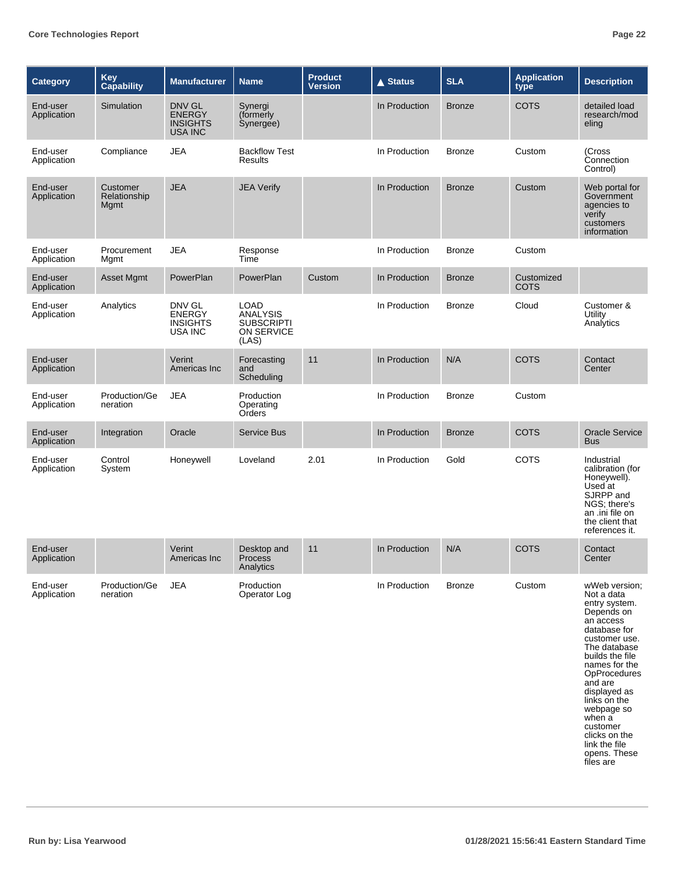| <b>Category</b>         | Key<br>Capability                | <b>Manufacturer</b>                                          | <b>Name</b>                                                                | <b>Product</b><br><b>Version</b> | $\triangle$ Status | <b>SLA</b>    | <b>Application</b><br>type | <b>Description</b>                                                                                                                                                                                                                                                                                   |
|-------------------------|----------------------------------|--------------------------------------------------------------|----------------------------------------------------------------------------|----------------------------------|--------------------|---------------|----------------------------|------------------------------------------------------------------------------------------------------------------------------------------------------------------------------------------------------------------------------------------------------------------------------------------------------|
| End-user<br>Application | Simulation                       | DNV GL<br><b>ENERGY</b><br><b>INSIGHTS</b><br><b>USA INC</b> | Synergi<br>(formerly<br>Synergee)                                          |                                  | In Production      | <b>Bronze</b> | <b>COTS</b>                | detailed load<br>research/mod<br>eling                                                                                                                                                                                                                                                               |
| End-user<br>Application | Compliance                       | <b>JEA</b>                                                   | <b>Backflow Test</b><br><b>Results</b>                                     |                                  | In Production      | <b>Bronze</b> | Custom                     | (Cross<br>Connection<br>Control)                                                                                                                                                                                                                                                                     |
| End-user<br>Application | Customer<br>Relationship<br>Mgmt | <b>JEA</b>                                                   | <b>JEA Verify</b>                                                          |                                  | In Production      | <b>Bronze</b> | Custom                     | Web portal for<br>Government<br>agencies to<br>verify<br>customers<br>information                                                                                                                                                                                                                    |
| End-user<br>Application | Procurement<br>Mgmt              | <b>JEA</b>                                                   | Response<br>Time                                                           |                                  | In Production      | <b>Bronze</b> | Custom                     |                                                                                                                                                                                                                                                                                                      |
| End-user<br>Application | Asset Mgmt                       | PowerPlan                                                    | PowerPlan                                                                  | Custom                           | In Production      | <b>Bronze</b> | Customized<br><b>COTS</b>  |                                                                                                                                                                                                                                                                                                      |
| End-user<br>Application | Analytics                        | DNV GL<br><b>ENERGY</b><br><b>INSIGHTS</b><br>USA INC        | <b>LOAD</b><br><b>ANALYSIS</b><br><b>SUBSCRIPTI</b><br>ON SERVICE<br>(LAS) |                                  | In Production      | <b>Bronze</b> | Cloud                      | Customer &<br>Utility<br>Analytics                                                                                                                                                                                                                                                                   |
| End-user<br>Application |                                  | Verint<br>Americas Inc                                       | Forecasting<br>and<br>Scheduling                                           | 11                               | In Production      | N/A           | <b>COTS</b>                | Contact<br>Center                                                                                                                                                                                                                                                                                    |
| End-user<br>Application | Production/Ge<br>neration        | <b>JEA</b>                                                   | Production<br>Operating<br>Orders                                          |                                  | In Production      | <b>Bronze</b> | Custom                     |                                                                                                                                                                                                                                                                                                      |
| End-user<br>Application | Integration                      | Oracle                                                       | <b>Service Bus</b>                                                         |                                  | In Production      | <b>Bronze</b> | <b>COTS</b>                | <b>Oracle Service</b><br><b>Bus</b>                                                                                                                                                                                                                                                                  |
| End-user<br>Application | Control<br>System                | Honeywell                                                    | Loveland                                                                   | 2.01                             | In Production      | Gold          | COTS                       | Industrial<br>calibration (for<br>Honeywell).<br>Used at<br>SJRPP and<br>NGS; there's<br>an .ini file on<br>the client that<br>references it.                                                                                                                                                        |
| End-user<br>Application |                                  | Verint<br>Americas Inc                                       | Desktop and<br>Process<br>Analytics                                        | 11                               | In Production      | N/A           | <b>COTS</b>                | Contact<br>Center                                                                                                                                                                                                                                                                                    |
| End-user<br>Application | Production/Ge<br>neration        | <b>JEA</b>                                                   | Production<br>Operator Log                                                 |                                  | In Production      | Bronze        | Custom                     | wWeb version;<br>Not a data<br>entry system.<br>Depends on<br>an access<br>database for<br>customer use.<br>The database<br>builds the file<br>names for the<br><b>OpProcedures</b><br>and are<br>displayed as<br>links on the<br>webpage so<br>when a<br>customer<br>clicks on the<br>link the file |

opens. These files are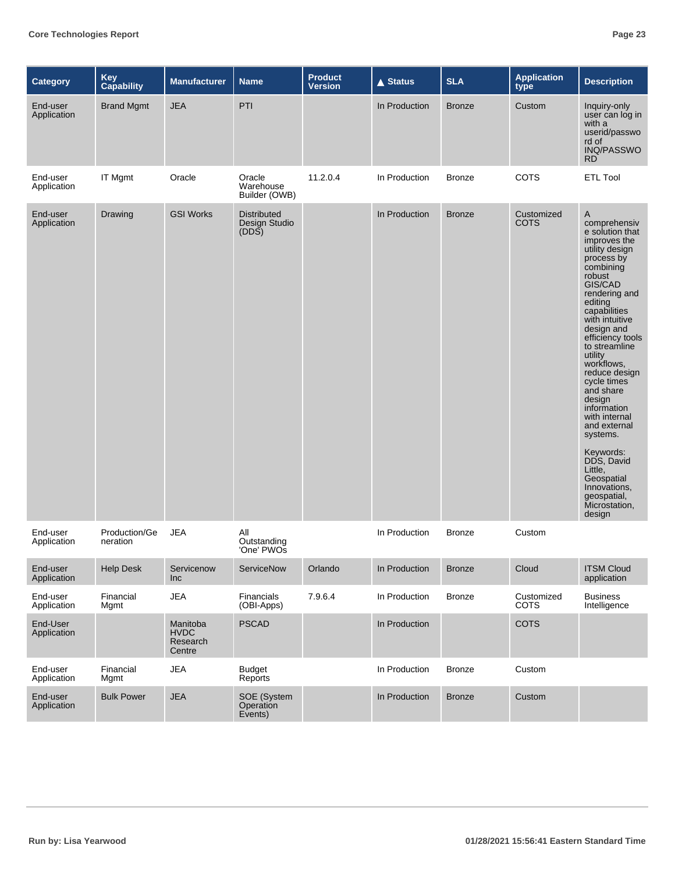| <b>Category</b>         | <b>Key</b><br>Capability  | <b>Manufacturer</b>                           | <b>Name</b>                                  | <b>Product</b><br><b>Version</b> | <b>▲ Status</b> | <b>SLA</b>    | <b>Application</b><br>type | <b>Description</b>                                                                                                                                                                                                                                                                                                                                                                                                                                                                                |
|-------------------------|---------------------------|-----------------------------------------------|----------------------------------------------|----------------------------------|-----------------|---------------|----------------------------|---------------------------------------------------------------------------------------------------------------------------------------------------------------------------------------------------------------------------------------------------------------------------------------------------------------------------------------------------------------------------------------------------------------------------------------------------------------------------------------------------|
| End-user<br>Application | <b>Brand Mgmt</b>         | <b>JEA</b>                                    | PTI                                          |                                  | In Production   | <b>Bronze</b> | Custom                     | Inquiry-only<br>user can log in<br>with a<br>userid/passwo<br>rd of<br>INQ/PASSWO<br><b>RD</b>                                                                                                                                                                                                                                                                                                                                                                                                    |
| End-user<br>Application | IT Mgmt                   | Oracle                                        | Oracle<br>Warehouse<br>Builder (OWB)         | 11.2.0.4                         | In Production   | <b>Bronze</b> | COTS                       | <b>ETL Tool</b>                                                                                                                                                                                                                                                                                                                                                                                                                                                                                   |
| End-user<br>Application | Drawing                   | <b>GSI Works</b>                              | <b>Distributed</b><br>Design Studio<br>(DDS) |                                  | In Production   | <b>Bronze</b> | Customized<br><b>COTS</b>  | A<br>comprehensiv<br>e solution that<br>improves the<br>utility design<br>process by<br>combining<br>robust<br>GIS/CAD<br>rendering and<br>editing<br>capabilities<br>with intuitive<br>design and<br>efficiency tools<br>to streamline<br>utility<br>workflows,<br>reduce design<br>cycle times<br>and share<br>design<br>information<br>with internal<br>and external<br>systems.<br>Keywords:<br>DDS, David<br>Little,<br>Geospatial<br>Innovations,<br>geospatial,<br>Microstation,<br>design |
| End-user<br>Application | Production/Ge<br>neration | <b>JEA</b>                                    | All<br>Outstanding<br>'One' PWOs             |                                  | In Production   | <b>Bronze</b> | Custom                     |                                                                                                                                                                                                                                                                                                                                                                                                                                                                                                   |
| End-user<br>Application | <b>Help Desk</b>          | Servicenow<br>Inc                             | ServiceNow                                   | Orlando                          | In Production   | <b>Bronze</b> | Cloud                      | <b>ITSM Cloud</b><br>application                                                                                                                                                                                                                                                                                                                                                                                                                                                                  |
| End-user<br>Application | Financial<br>Mgmt         | <b>JEA</b>                                    | Financials<br>(OBI-Apps)                     | 7.9.6.4                          | In Production   | <b>Bronze</b> | Customized<br><b>COTS</b>  | <b>Business</b><br>Intelligence                                                                                                                                                                                                                                                                                                                                                                                                                                                                   |
| End-User<br>Application |                           | Manitoba<br><b>HVDC</b><br>Research<br>Centre | <b>PSCAD</b>                                 |                                  | In Production   |               | <b>COTS</b>                |                                                                                                                                                                                                                                                                                                                                                                                                                                                                                                   |
| End-user<br>Application | Financial<br>Mgmt         | JEA                                           | <b>Budget</b><br>Reports                     |                                  | In Production   | <b>Bronze</b> | Custom                     |                                                                                                                                                                                                                                                                                                                                                                                                                                                                                                   |
| End-user<br>Application | <b>Bulk Power</b>         | <b>JEA</b>                                    | SOE (System<br>Operation<br>Events)          |                                  | In Production   | <b>Bronze</b> | Custom                     |                                                                                                                                                                                                                                                                                                                                                                                                                                                                                                   |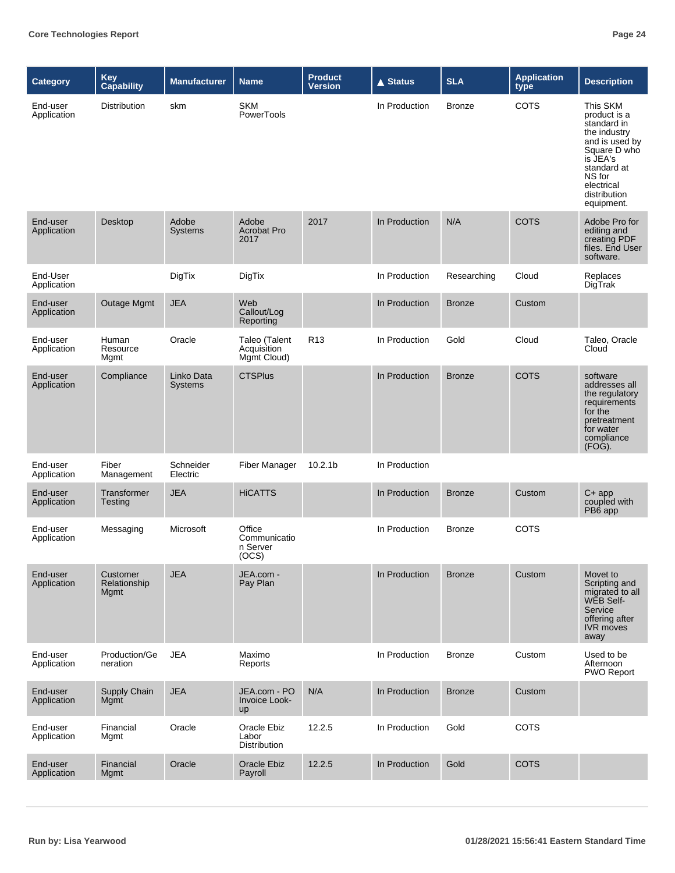| Category                | Key<br>Capability                | <b>Manufacturer</b>          | <b>Name</b>                                 | <b>Product</b><br><b>Version</b> | $\triangle$ Status | <b>SLA</b>    | <b>Application</b><br>type | <b>Description</b>                                                                                                                                                         |
|-------------------------|----------------------------------|------------------------------|---------------------------------------------|----------------------------------|--------------------|---------------|----------------------------|----------------------------------------------------------------------------------------------------------------------------------------------------------------------------|
| End-user<br>Application | Distribution                     | skm                          | <b>SKM</b><br>PowerTools                    |                                  | In Production      | <b>Bronze</b> | <b>COTS</b>                | This SKM<br>product is a<br>standard in<br>the industry<br>and is used by<br>Square D who<br>is JEA's<br>standard at<br>NS for<br>electrical<br>distribution<br>equipment. |
| End-user<br>Application | Desktop                          | Adobe<br><b>Systems</b>      | Adobe<br><b>Acrobat Pro</b><br>2017         | 2017                             | In Production      | N/A           | <b>COTS</b>                | Adobe Pro for<br>editing and<br>creating PDF<br>files. End User<br>software.                                                                                               |
| End-User<br>Application |                                  | DigTix                       | DigTix                                      |                                  | In Production      | Researching   | Cloud                      | Replaces<br>DigTrak                                                                                                                                                        |
| End-user<br>Application | <b>Outage Mgmt</b>               | <b>JEA</b>                   | Web<br>Callout/Log<br>Reporting             |                                  | In Production      | <b>Bronze</b> | Custom                     |                                                                                                                                                                            |
| End-user<br>Application | Human<br>Resource<br>Mgmt        | Oracle                       | Taleo (Talent<br>Acquisition<br>Mgmt Cloud) | R <sub>13</sub>                  | In Production      | Gold          | Cloud                      | Taleo, Oracle<br>Cloud                                                                                                                                                     |
| End-user<br>Application | Compliance                       | Linko Data<br><b>Systems</b> | <b>CTSPlus</b>                              |                                  | In Production      | <b>Bronze</b> | <b>COTS</b>                | software<br>addresses all<br>the regulatory<br>requirements<br>for the<br>pretreatment<br>for water<br>compliance<br>$(FO\ddot{G})$ .                                      |
| End-user<br>Application | Fiber<br>Management              | Schneider<br>Electric        | Fiber Manager                               | 10.2.1 <sub>b</sub>              | In Production      |               |                            |                                                                                                                                                                            |
| End-user<br>Application | Transformer<br>Testing           | <b>JEA</b>                   | <b>HiCATTS</b>                              |                                  | In Production      | <b>Bronze</b> | Custom                     | $C+app$<br>coupled with<br>PB6 app                                                                                                                                         |
| End-user<br>Application | Messaging                        | Microsoft                    | Office<br>Communicatio<br>n Server<br>(OCS) |                                  | In Production      | <b>Bronze</b> | COTS                       |                                                                                                                                                                            |
| End-user<br>Application | Customer<br>Relationship<br>Mgmt | <b>JEA</b>                   | JEA.com -<br>Pay Plan                       |                                  | In Production      | <b>Bronze</b> | Custom                     | Movet to<br>Scripting and<br>migrated to all<br>WEB Self-<br>Service<br>offering after<br><b>IVR</b> moves<br>away                                                         |
| End-user<br>Application | Production/Ge<br>neration        | <b>JEA</b>                   | Maximo<br>Reports                           |                                  | In Production      | <b>Bronze</b> | Custom                     | Used to be<br>Afternoon<br>PWO Report                                                                                                                                      |
| End-user<br>Application | Supply Chain<br>Mgmt             | <b>JEA</b>                   | JEA.com - PO<br>Invoice Look-<br>up         | N/A                              | In Production      | <b>Bronze</b> | Custom                     |                                                                                                                                                                            |
| End-user<br>Application | Financial<br>Mgmt                | Oracle                       | Oracle Ebiz<br>Labor<br>Distribution        | 12.2.5                           | In Production      | Gold          | <b>COTS</b>                |                                                                                                                                                                            |
| End-user<br>Application | Financial<br>Mgmt                | Oracle                       | Oracle Ebiz<br>Payroll                      | 12.2.5                           | In Production      | Gold          | <b>COTS</b>                |                                                                                                                                                                            |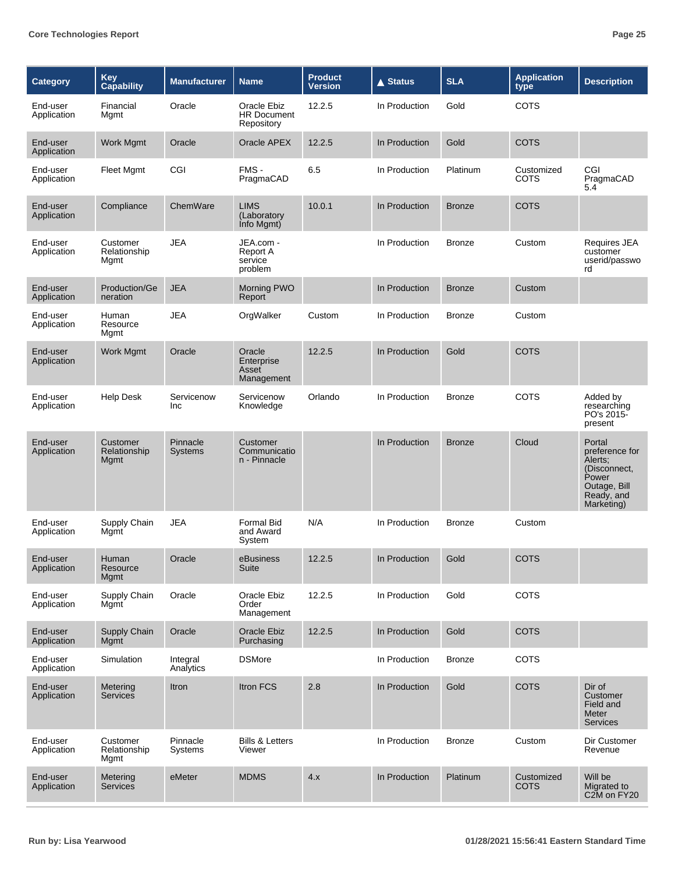| <b>Category</b>         | <b>Key</b><br>Capability         | <b>Manufacturer</b>        | <b>Name</b>                                     | <b>Product</b><br><b>Version</b> | <b>▲ Status</b> | <b>SLA</b>    | <b>Application</b><br>type | <b>Description</b>                                                                                       |
|-------------------------|----------------------------------|----------------------------|-------------------------------------------------|----------------------------------|-----------------|---------------|----------------------------|----------------------------------------------------------------------------------------------------------|
| End-user<br>Application | Financial<br>Mgmt                | Oracle                     | Oracle Ebiz<br><b>HR Document</b><br>Repository | 12.2.5                           | In Production   | Gold          | <b>COTS</b>                |                                                                                                          |
| End-user<br>Application | Work Mgmt                        | Oracle                     | Oracle APEX                                     | 12.2.5                           | In Production   | Gold          | <b>COTS</b>                |                                                                                                          |
| End-user<br>Application | Fleet Mgmt                       | CGI                        | FMS-<br>PragmaCAD                               | 6.5                              | In Production   | Platinum      | Customized<br>COTS         | CGI<br>PragmaCAD<br>5.4                                                                                  |
| End-user<br>Application | Compliance                       | ChemWare                   | <b>LIMS</b><br>(Laboratory<br>Info Mgmt)        | 10.0.1                           | In Production   | <b>Bronze</b> | COTS                       |                                                                                                          |
| End-user<br>Application | Customer<br>Relationship<br>Mgmt | <b>JEA</b>                 | JEA.com -<br>Report A<br>service<br>problem     |                                  | In Production   | <b>Bronze</b> | Custom                     | Requires JEA<br>customer<br>userid/passwo<br>rd                                                          |
| End-user<br>Application | Production/Ge<br>neration        | <b>JEA</b>                 | Morning PWO<br>Report                           |                                  | In Production   | <b>Bronze</b> | Custom                     |                                                                                                          |
| End-user<br>Application | Human<br>Resource<br>Mgmt        | <b>JEA</b>                 | OrgWalker                                       | Custom                           | In Production   | <b>Bronze</b> | Custom                     |                                                                                                          |
| End-user<br>Application | Work Mgmt                        | Oracle                     | Oracle<br>Enterprise<br>Asset<br>Management     | 12.2.5                           | In Production   | Gold          | <b>COTS</b>                |                                                                                                          |
| End-user<br>Application | <b>Help Desk</b>                 | Servicenow<br>Inc          | Servicenow<br>Knowledge                         | Orlando                          | In Production   | <b>Bronze</b> | <b>COTS</b>                | Added by<br>researching<br>PO's 2015-<br>present                                                         |
| End-user<br>Application | Customer<br>Relationship<br>Mgmt | Pinnacle<br><b>Systems</b> | Customer<br>Communicatio<br>n - Pinnacle        |                                  | In Production   | <b>Bronze</b> | Cloud                      | Portal<br>preference for<br>Alerts:<br>(Disconnect,<br>Power<br>Outage, Bill<br>Ready, and<br>Marketing) |
| End-user<br>Application | Supply Chain<br>Mgmt             | <b>JEA</b>                 | <b>Formal Bid</b><br>and Award<br>System        | N/A                              | In Production   | <b>Bronze</b> | Custom                     |                                                                                                          |
| End-user<br>Application | Human<br>Resource<br>Mgmt        | Oracle                     | eBusiness<br>Suite                              | 12.2.5                           | In Production   | Gold          | COTS                       |                                                                                                          |
| End-user<br>Application | Supply Chain<br>Mgmt             | Oracle                     | Oracle Ebiz<br>Order<br>Management              | 12.2.5                           | In Production   | Gold          | COTS                       |                                                                                                          |
| End-user<br>Application | Supply Chain<br>Mgmt             | Oracle                     | Oracle Ebiz<br>Purchasing                       | 12.2.5                           | In Production   | Gold          | <b>COTS</b>                |                                                                                                          |
| End-user<br>Application | Simulation                       | Integral<br>Analytics      | <b>DSMore</b>                                   |                                  | In Production   | <b>Bronze</b> | <b>COTS</b>                |                                                                                                          |
| End-user<br>Application | Metering<br><b>Services</b>      | Itron                      | Itron FCS                                       | 2.8                              | In Production   | Gold          | <b>COTS</b>                | Dir of<br>Customer<br>Field and<br>Meter<br><b>Services</b>                                              |
| End-user<br>Application | Customer<br>Relationship<br>Mgmt | Pinnacle<br>Systems        | <b>Bills &amp; Letters</b><br>Viewer            |                                  | In Production   | <b>Bronze</b> | Custom                     | Dir Customer<br>Revenue                                                                                  |
| End-user<br>Application | Metering<br>Services             | eMeter                     | <b>MDMS</b>                                     | 4.x                              | In Production   | Platinum      | Customized<br><b>COTS</b>  | Will be<br>Migrated to<br>C <sub>2</sub> M on FY <sub>20</sub>                                           |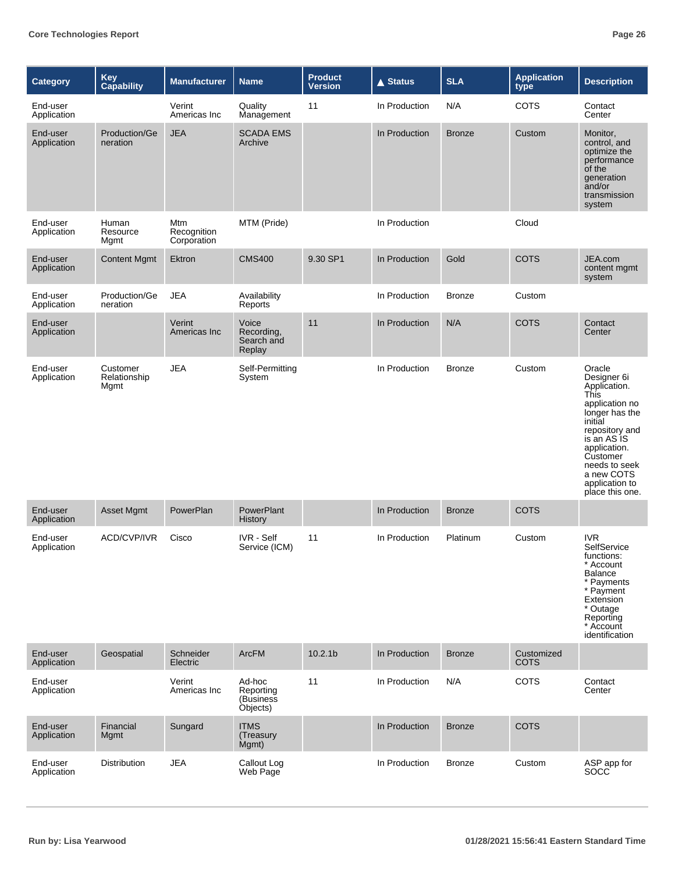| Category                | <b>Key</b><br>Capability         | <b>Manufacturer</b>               | <b>Name</b>                                   | <b>Product</b><br><b>Version</b> | <b>▲ Status</b> | <b>SLA</b>    | <b>Application</b><br>type | <b>Description</b>                                                                                                                                                                                                                              |
|-------------------------|----------------------------------|-----------------------------------|-----------------------------------------------|----------------------------------|-----------------|---------------|----------------------------|-------------------------------------------------------------------------------------------------------------------------------------------------------------------------------------------------------------------------------------------------|
| End-user<br>Application |                                  | Verint<br>Americas Inc            | Quality<br>Management                         | 11                               | In Production   | N/A           | <b>COTS</b>                | Contact<br>Center                                                                                                                                                                                                                               |
| End-user<br>Application | Production/Ge<br>neration        | <b>JEA</b>                        | <b>SCADA EMS</b><br>Archive                   |                                  | In Production   | <b>Bronze</b> | Custom                     | Monitor,<br>control, and<br>optimize the<br>performance<br>of the<br>generation<br>and/or<br>transmission<br>system                                                                                                                             |
| End-user<br>Application | Human<br>Resource<br>Mgmt        | Mtm<br>Recognition<br>Corporation | MTM (Pride)                                   |                                  | In Production   |               | Cloud                      |                                                                                                                                                                                                                                                 |
| End-user<br>Application | <b>Content Mgmt</b>              | Ektron                            | <b>CMS400</b>                                 | 9.30 SP1                         | In Production   | Gold          | <b>COTS</b>                | JEA.com<br>content mgmt<br>system                                                                                                                                                                                                               |
| End-user<br>Application | Production/Ge<br>neration        | <b>JEA</b>                        | Availability<br>Reports                       |                                  | In Production   | <b>Bronze</b> | Custom                     |                                                                                                                                                                                                                                                 |
| End-user<br>Application |                                  | Verint<br>Americas Inc            | Voice<br>Recording,<br>Search and<br>Replay   | 11                               | In Production   | N/A           | <b>COTS</b>                | Contact<br>Center                                                                                                                                                                                                                               |
| End-user<br>Application | Customer<br>Relationship<br>Mgmt | <b>JEA</b>                        | Self-Permitting<br>System                     |                                  | In Production   | <b>Bronze</b> | Custom                     | Oracle<br>Designer 6i<br>Application.<br><b>This</b><br>application no<br>longer has the<br>initial<br>repository and<br>is an AS <sub>IS</sub><br>application.<br>Customer<br>needs to seek<br>a new COTS<br>application to<br>place this one. |
| End-user<br>Application | Asset Mgmt                       | PowerPlan                         | PowerPlant<br>History                         |                                  | In Production   | <b>Bronze</b> | <b>COTS</b>                |                                                                                                                                                                                                                                                 |
| End-user<br>Application | ACD/CVP/IVR                      | Cisco                             | <b>IVR</b> - Self<br>Service (ICM)            | 11                               | In Production   | Platinum      | Custom                     | <b>IVR</b><br>SelfService<br>functions:<br>* Account<br>Balance<br>* Payments<br>* Payment<br>Extension<br>* Outage<br>Reporting<br>* Account<br>identification                                                                                 |
| End-user<br>Application | Geospatial                       | Schneider<br>Electric             | <b>ArcFM</b>                                  | 10.2.1 <sub>b</sub>              | In Production   | <b>Bronze</b> | Customized<br><b>COTS</b>  |                                                                                                                                                                                                                                                 |
| End-user<br>Application |                                  | Verint<br>Americas Inc            | Ad-hoc<br>Reporting<br>(Business)<br>Objects) | 11                               | In Production   | N/A           | <b>COTS</b>                | Contact<br>Center                                                                                                                                                                                                                               |
| End-user<br>Application | Financial<br><b>Mgmt</b>         | Sungard                           | <b>ITMS</b><br>(Treasury<br>Mgmt)             |                                  | In Production   | <b>Bronze</b> | <b>COTS</b>                |                                                                                                                                                                                                                                                 |
| End-user<br>Application | Distribution                     | <b>JEA</b>                        | Callout Log<br>Web Page                       |                                  | In Production   | <b>Bronze</b> | Custom                     | ASP app for<br>SOCC                                                                                                                                                                                                                             |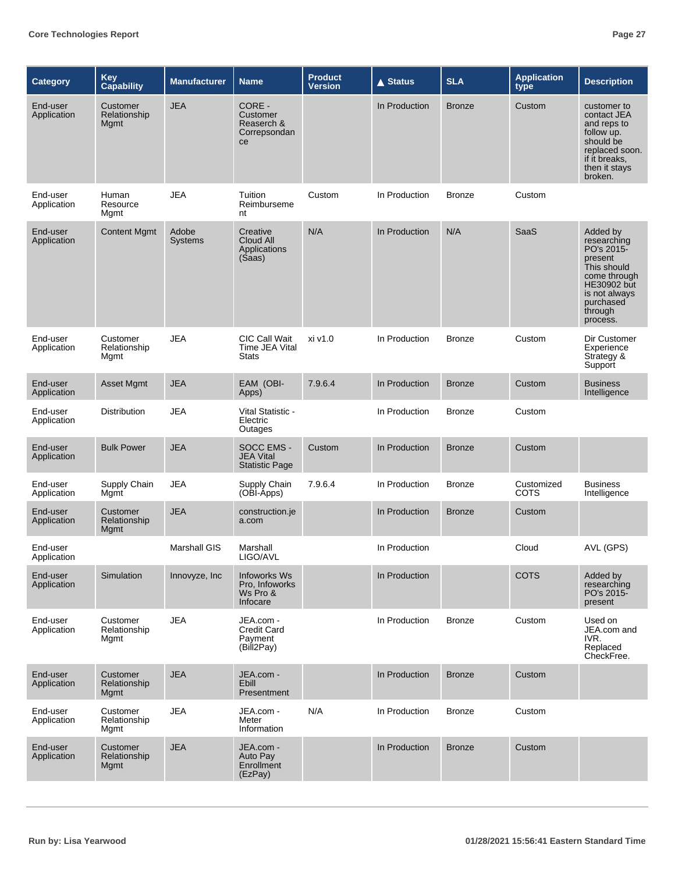| <b>Category</b>         | <b>Key</b><br><b>Capability</b>  | <b>Manufacturer</b>     | <b>Name</b>                                              | <b>Product</b><br><b>Version</b> | $\triangle$ Status | <b>SLA</b>    | <b>Application</b><br>type | <b>Description</b>                                                                                                                                  |
|-------------------------|----------------------------------|-------------------------|----------------------------------------------------------|----------------------------------|--------------------|---------------|----------------------------|-----------------------------------------------------------------------------------------------------------------------------------------------------|
| End-user<br>Application | Customer<br>Relationship<br>Mgmt | <b>JEA</b>              | CORE -<br>Customer<br>Reaserch &<br>Correpsondan<br>ce   |                                  | In Production      | <b>Bronze</b> | Custom                     | customer to<br>contact JEA<br>and reps to<br>follow up.<br>should be<br>replaced soon.<br>if it breaks.<br>then it stays<br>broken.                 |
| End-user<br>Application | Human<br>Resource<br>Mgmt        | JEA                     | Tuition<br>Reimburseme<br>nt                             | Custom                           | In Production      | <b>Bronze</b> | Custom                     |                                                                                                                                                     |
| End-user<br>Application | <b>Content Mgmt</b>              | Adobe<br><b>Systems</b> | Creative<br>Cloud All<br>Applications<br>(Saas)          | N/A                              | In Production      | N/A           | SaaS                       | Added by<br>researching<br>PO's 2015-<br>present<br>This should<br>come through<br>HE30902 but<br>is not always<br>purchased<br>through<br>process. |
| End-user<br>Application | Customer<br>Relationship<br>Mgmt | <b>JEA</b>              | <b>CIC Call Wait</b><br>Time JEA Vital<br><b>Stats</b>   | xi v1.0                          | In Production      | <b>Bronze</b> | Custom                     | Dir Customer<br>Experience<br>Strategy &<br>Support                                                                                                 |
| End-user<br>Application | Asset Mgmt                       | <b>JEA</b>              | EAM (OBI-<br>Apps)                                       | 7.9.6.4                          | In Production      | <b>Bronze</b> | Custom                     | <b>Business</b><br>Intelligence                                                                                                                     |
| End-user<br>Application | Distribution                     | <b>JEA</b>              | Vital Statistic -<br>Electric<br>Outages                 |                                  | In Production      | <b>Bronze</b> | Custom                     |                                                                                                                                                     |
| End-user<br>Application | <b>Bulk Power</b>                | <b>JEA</b>              | SOCC EMS -<br><b>JEA Vital</b><br><b>Statistic Page</b>  | Custom                           | In Production      | <b>Bronze</b> | Custom                     |                                                                                                                                                     |
| End-user<br>Application | Supply Chain<br>Mgmt             | <b>JEA</b>              | Supply Chain<br>(OBI-Apps)                               | 7.9.6.4                          | In Production      | <b>Bronze</b> | Customized<br>COTS         | <b>Business</b><br>Intelligence                                                                                                                     |
| End-user<br>Application | Customer<br>Relationship<br>Mgmt | <b>JEA</b>              | construction.je<br>a.com                                 |                                  | In Production      | <b>Bronze</b> | Custom                     |                                                                                                                                                     |
| End-user<br>Application |                                  | <b>Marshall GIS</b>     | Marshall<br>LIGO/AVL                                     |                                  | In Production      |               | Cloud                      | AVL (GPS)                                                                                                                                           |
| End-user<br>Application | Simulation                       | Innovyze, Inc           | Infoworks Ws<br>Pro, Infoworks<br>Ws Pro &<br>Infocare   |                                  | In Production      |               | <b>COTS</b>                | Added by<br>researching<br>PO's 2015-<br>present                                                                                                    |
| End-user<br>Application | Customer<br>Relationship<br>Mgmt | <b>JEA</b>              | JEA.com -<br><b>Credit Card</b><br>Payment<br>(Bill2Pay) |                                  | In Production      | Bronze        | Custom                     | Used on<br>JEA.com and<br>IVR.<br>Replaced<br>CheckFree.                                                                                            |
| End-user<br>Application | Customer<br>Relationship<br>Mgmt | <b>JEA</b>              | JEA.com -<br>Ebill<br>Presentment                        |                                  | In Production      | <b>Bronze</b> | Custom                     |                                                                                                                                                     |
| End-user<br>Application | Customer<br>Relationship<br>Mgmt | <b>JEA</b>              | JEA.com -<br>Meter<br>Information                        | N/A                              | In Production      | <b>Bronze</b> | Custom                     |                                                                                                                                                     |
| End-user<br>Application | Customer<br>Relationship<br>Mgmt | <b>JEA</b>              | JEA.com -<br>Auto Pay<br>Enrollment<br>(EzPay)           |                                  | In Production      | <b>Bronze</b> | Custom                     |                                                                                                                                                     |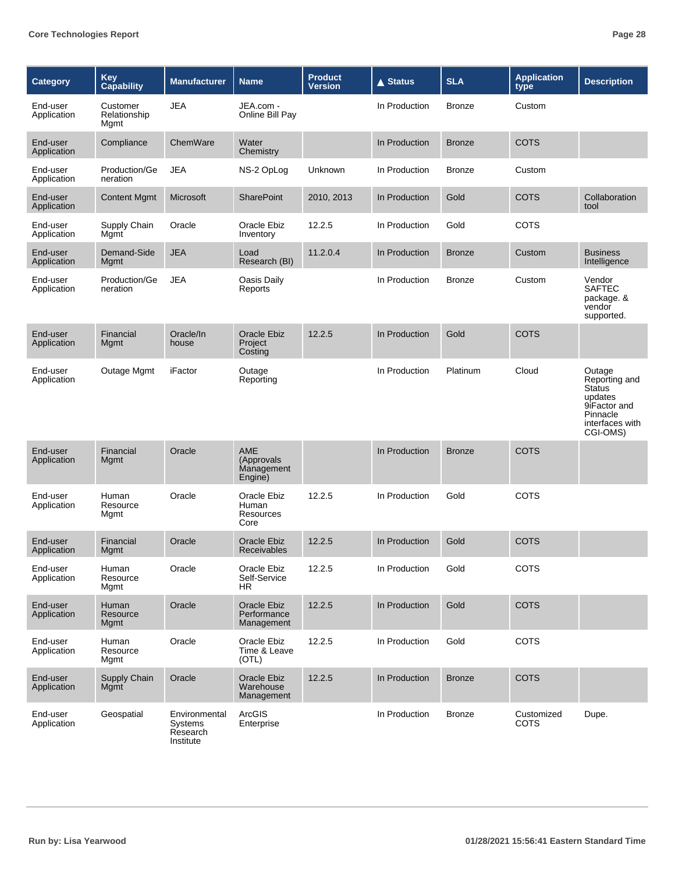| <b>Category</b>         | <b>Key</b><br>Capability         | <b>Manufacturer</b>                               | <b>Name</b>                                        | <b>Product</b><br><b>Version</b> | <b>▲ Status</b> | <b>SLA</b>    | <b>Application</b><br>type | <b>Description</b>                                                                                             |
|-------------------------|----------------------------------|---------------------------------------------------|----------------------------------------------------|----------------------------------|-----------------|---------------|----------------------------|----------------------------------------------------------------------------------------------------------------|
| End-user<br>Application | Customer<br>Relationship<br>Mgmt | <b>JEA</b>                                        | JEA.com -<br>Online Bill Pay                       |                                  | In Production   | <b>Bronze</b> | Custom                     |                                                                                                                |
| End-user<br>Application | Compliance                       | ChemWare                                          | Water<br>Chemistry                                 |                                  | In Production   | <b>Bronze</b> | <b>COTS</b>                |                                                                                                                |
| End-user<br>Application | Production/Ge<br>neration        | <b>JEA</b>                                        | NS-2 OpLog                                         | Unknown                          | In Production   | <b>Bronze</b> | Custom                     |                                                                                                                |
| End-user<br>Application | <b>Content Mgmt</b>              | Microsoft                                         | <b>SharePoint</b>                                  | 2010, 2013                       | In Production   | Gold          | <b>COTS</b>                | Collaboration<br>tool                                                                                          |
| End-user<br>Application | Supply Chain<br>Mgmt             | Oracle                                            | Oracle Ebiz<br>Inventory                           | 12.2.5                           | In Production   | Gold          | COTS                       |                                                                                                                |
| End-user<br>Application | Demand-Side<br>Mgmt              | <b>JEA</b>                                        | Load<br>Research (BI)                              | 11.2.0.4                         | In Production   | <b>Bronze</b> | Custom                     | <b>Business</b><br>Intelligence                                                                                |
| End-user<br>Application | Production/Ge<br>neration        | <b>JEA</b>                                        | Oasis Daily<br>Reports                             |                                  | In Production   | <b>Bronze</b> | Custom                     | Vendor<br><b>SAFTEC</b><br>package. &<br>vendor<br>supported.                                                  |
| End-user<br>Application | Financial<br>Mgmt                | Oracle/In<br>house                                | <b>Oracle Ebiz</b><br>Project<br>Costing           | 12.2.5                           | In Production   | Gold          | <b>COTS</b>                |                                                                                                                |
| End-user<br>Application | Outage Mgmt                      | iFactor                                           | Outage<br>Reporting                                |                                  | In Production   | Platinum      | Cloud                      | Outage<br>Reporting and<br><b>Status</b><br>updates<br>9iFactor and<br>Pinnacle<br>interfaces with<br>CGI-OMS) |
| End-user<br>Application | Financial<br>Mgmt                | Oracle                                            | <b>AME</b><br>(Approvals)<br>Management<br>Engine) |                                  | In Production   | <b>Bronze</b> | <b>COTS</b>                |                                                                                                                |
| End-user<br>Application | Human<br>Resource<br>Mgmt        | Oracle                                            | Oracle Ebiz<br>Human<br>Resources<br>Core          | 12.2.5                           | In Production   | Gold          | <b>COTS</b>                |                                                                                                                |
| End-user<br>Application | Financial<br>Mgmt                | Oracle                                            | Oracle Ebiz<br><b>Receivables</b>                  | 12.2.5                           | In Production   | Gold          | <b>COTS</b>                |                                                                                                                |
| End-user<br>Application | Human<br>Resource<br>Mgmt        | Oracle                                            | Oracle Ebiz<br>Self-Service<br>HR.                 | 12.2.5                           | In Production   | Gold          | COTS                       |                                                                                                                |
| End-user<br>Application | Human<br>Resource<br>Mgmt        | Oracle                                            | Oracle Ebiz<br>Performance<br>Management           | 12.2.5                           | In Production   | Gold          | COTS                       |                                                                                                                |
| End-user<br>Application | Human<br>Resource<br>Mgmt        | Oracle                                            | Oracle Ebiz<br>Time & Leave<br>(OTL)               | 12.2.5                           | In Production   | Gold          | COTS                       |                                                                                                                |
| End-user<br>Application | Supply Chain<br>Mgmt             | Oracle                                            | <b>Oracle Ebiz</b><br>Warehouse<br>Management      | 12.2.5                           | In Production   | <b>Bronze</b> | <b>COTS</b>                |                                                                                                                |
| End-user<br>Application | Geospatial                       | Environmental<br>Systems<br>Research<br>Institute | ArcGIS<br>Enterprise                               |                                  | In Production   | <b>Bronze</b> | Customized<br><b>COTS</b>  | Dupe.                                                                                                          |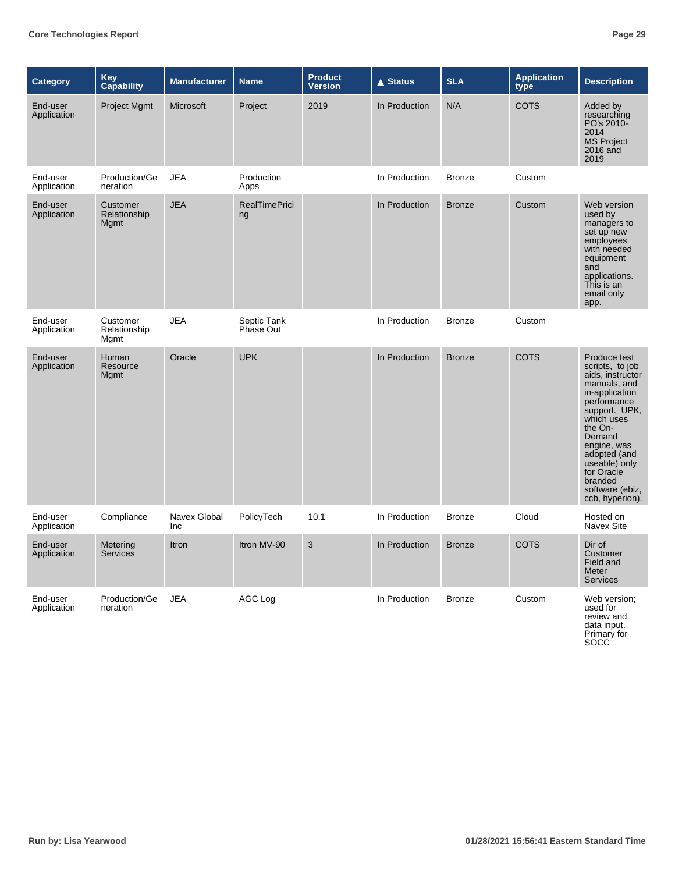| <b>Category</b>         | Key<br>Capability                       | <b>Manufacturer</b> | <b>Name</b>                | <b>Product</b><br><b>Version</b> | <b>▲ Status</b> | <b>SLA</b>    | <b>Application</b><br>type | <b>Description</b>                                                                                                                                                                                                                                                      |
|-------------------------|-----------------------------------------|---------------------|----------------------------|----------------------------------|-----------------|---------------|----------------------------|-------------------------------------------------------------------------------------------------------------------------------------------------------------------------------------------------------------------------------------------------------------------------|
| End-user<br>Application | Project Mgmt                            | Microsoft           | Project                    | 2019                             | In Production   | N/A           | <b>COTS</b>                | Added by<br>researching<br>PO's 2010-<br>2014<br><b>MS Project</b><br>2016 and<br>2019                                                                                                                                                                                  |
| End-user<br>Application | Production/Ge<br>neration               | <b>JEA</b>          | Production<br>Apps         |                                  | In Production   | <b>Bronze</b> | Custom                     |                                                                                                                                                                                                                                                                         |
| End-user<br>Application | Customer<br>Relationship<br><b>Mgmt</b> | <b>JEA</b>          | <b>RealTimePrici</b><br>ng |                                  | In Production   | <b>Bronze</b> | Custom                     | Web version<br>used by<br>managers to<br>set up new<br>employees<br>with needed<br>equipment<br>and<br>applications.<br>This is an<br>email only<br>app.                                                                                                                |
| End-user<br>Application | Customer<br>Relationship<br>Mgmt        | <b>JEA</b>          | Septic Tank<br>Phase Out   |                                  | In Production   | <b>Bronze</b> | Custom                     |                                                                                                                                                                                                                                                                         |
| End-user<br>Application | Human<br>Resource<br>Mgmt               | Oracle              | <b>UPK</b>                 |                                  | In Production   | <b>Bronze</b> | <b>COTS</b>                | Produce test<br>scripts, to job<br>aids, instructor<br>manuals, and<br>in-application<br>performance<br>support. UPK,<br>which uses<br>the On-<br>Demand<br>engine, was<br>adopted (and<br>useable) only<br>for Oracle<br>branded<br>software (ebiz,<br>ccb, hyperion). |
| End-user<br>Application | Compliance                              | Navex Global<br>Inc | PolicyTech                 | 10.1                             | In Production   | <b>Bronze</b> | Cloud                      | Hosted on<br>Navex Site                                                                                                                                                                                                                                                 |
| End-user<br>Application | Metering<br>Services                    | Itron               | Itron MV-90                | 3                                | In Production   | <b>Bronze</b> | <b>COTS</b>                | Dir of<br>Customer<br>Field and<br>Meter<br><b>Services</b>                                                                                                                                                                                                             |
| End-user<br>Application | Production/Ge<br>neration               | <b>JEA</b>          | AGC Log                    |                                  | In Production   | <b>Bronze</b> | Custom                     | Web version;<br>used for<br>review and<br>data input.<br>Primary for                                                                                                                                                                                                    |

SOCC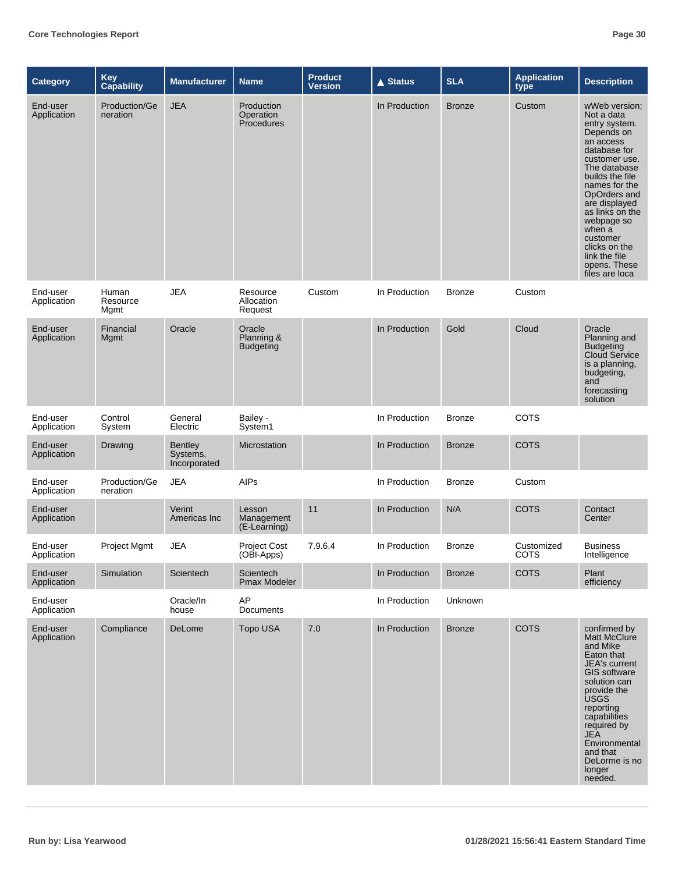| <b>Category</b>         | <b>Key</b><br>Capability         | <b>Manufacturer</b>                        | <b>Name</b>                                  | <b>Product</b><br><b>Version</b> | <b>▲ Status</b> | <b>SLA</b>    | <b>Application</b><br>type | <b>Description</b>                                                                                                                                                                                                                                                                                                       |
|-------------------------|----------------------------------|--------------------------------------------|----------------------------------------------|----------------------------------|-----------------|---------------|----------------------------|--------------------------------------------------------------------------------------------------------------------------------------------------------------------------------------------------------------------------------------------------------------------------------------------------------------------------|
| End-user<br>Application | <b>Production/Ge</b><br>neration | <b>JEA</b>                                 | <b>Production</b><br>Operation<br>Procedures |                                  | In Production   | <b>Bronze</b> | Custom                     | wWeb version:<br>Not a data<br>entry system.<br>Depends on<br>an access<br>database for<br>customer use.<br>The database<br>builds the file<br>names for the<br>OpOrders and<br>are displayed<br>as links on the<br>webpage so<br>when a<br>customer<br>clicks on the<br>link the file<br>opens. These<br>files are loca |
| End-user<br>Application | Human<br>Resource<br>Mgmt        | <b>JEA</b>                                 | Resource<br>Allocation<br>Request            | Custom                           | In Production   | <b>Bronze</b> | Custom                     |                                                                                                                                                                                                                                                                                                                          |
| End-user<br>Application | Financial<br>Mgmt                | Oracle                                     | Oracle<br>Planning &<br><b>Budgeting</b>     |                                  | In Production   | Gold          | Cloud                      | Oracle<br>Planning and<br><b>Budgeting</b><br>Cloud Service<br>is a planning,<br>budgeting,<br>and<br>forecasting<br>solution                                                                                                                                                                                            |
| End-user<br>Application | Control<br>System                | General<br>Electric                        | Bailey -<br>System1                          |                                  | In Production   | <b>Bronze</b> | <b>COTS</b>                |                                                                                                                                                                                                                                                                                                                          |
| End-user<br>Application | Drawing                          | <b>Bentley</b><br>Systems,<br>Incorporated | Microstation                                 |                                  | In Production   | <b>Bronze</b> | <b>COTS</b>                |                                                                                                                                                                                                                                                                                                                          |
| End-user<br>Application | Production/Ge<br>neration        | <b>JEA</b>                                 | <b>AIPs</b>                                  |                                  | In Production   | <b>Bronze</b> | Custom                     |                                                                                                                                                                                                                                                                                                                          |
| End-user<br>Application |                                  | Verint<br>Americas Inc                     | Lesson<br>Management<br>(E-Learning)         | 11                               | In Production   | N/A           | <b>COTS</b>                | Contact<br>Center                                                                                                                                                                                                                                                                                                        |
| End-user<br>Application | Project Mgmt                     | <b>JEA</b>                                 | <b>Project Cost</b><br>(OBI-Apps)            | 7.9.6.4                          | In Production   | <b>Bronze</b> | Customized<br>COTS         | <b>Business</b><br>Intelligence                                                                                                                                                                                                                                                                                          |
| End-user<br>Application | Simulation                       | Scientech                                  | Scientech<br>Pmax Modeler                    |                                  | In Production   | <b>Bronze</b> | <b>COTS</b>                | Plant<br>efficiency                                                                                                                                                                                                                                                                                                      |
| End-user<br>Application |                                  | Oracle/In<br>house                         | AP<br>Documents                              |                                  | In Production   | Unknown       |                            |                                                                                                                                                                                                                                                                                                                          |
| End-user<br>Application | Compliance                       | DeLome                                     | Topo USA                                     | 7.0                              | In Production   | <b>Bronze</b> | <b>COTS</b>                | confirmed by<br>Matt McClure<br>and Mike<br>Eaton that<br>JEA's current<br><b>GIS software</b><br>solution can<br>provide the<br><b>USGS</b><br>reporting<br>capabilities<br>required by<br><b>JEA</b><br>Environmental<br>and that<br>DeLorme is no<br>longer<br>needed.                                                |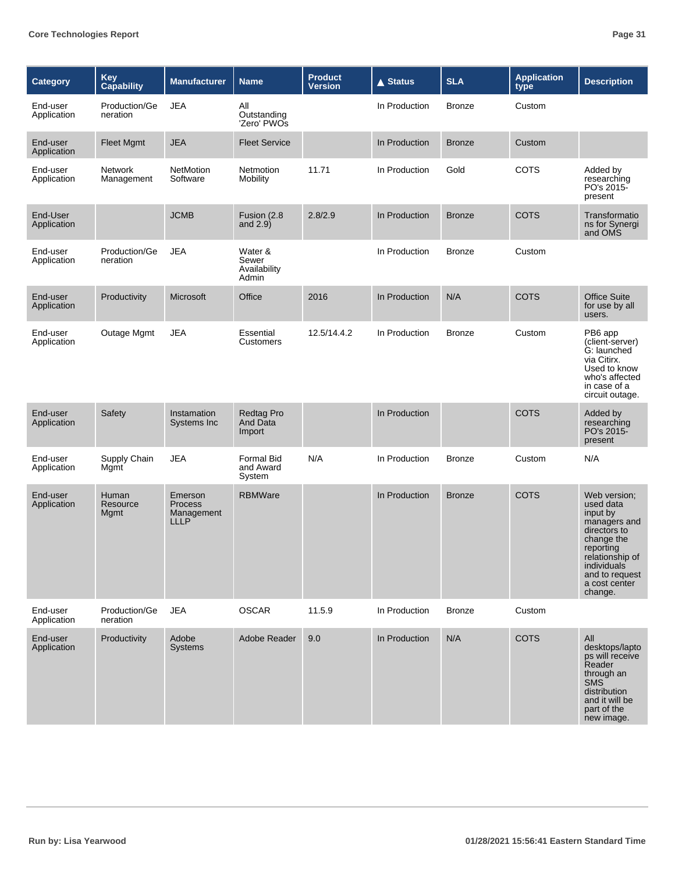| <b>Category</b>         | Key<br>Capability                | <b>Manufacturer</b>                                    | <b>Name</b>                               | <b>Product</b><br><b>Version</b> | $\triangle$ Status | <b>SLA</b>    | <b>Application</b><br>type | <b>Description</b>                                                                                                                                                                      |
|-------------------------|----------------------------------|--------------------------------------------------------|-------------------------------------------|----------------------------------|--------------------|---------------|----------------------------|-----------------------------------------------------------------------------------------------------------------------------------------------------------------------------------------|
| End-user<br>Application | Production/Ge<br>neration        | <b>JEA</b>                                             | All<br>Outstanding<br>'Zero' PWOs         |                                  | In Production      | <b>Bronze</b> | Custom                     |                                                                                                                                                                                         |
| End-user<br>Application | <b>Fleet Mgmt</b>                | <b>JEA</b>                                             | <b>Fleet Service</b>                      |                                  | In Production      | <b>Bronze</b> | Custom                     |                                                                                                                                                                                         |
| End-user<br>Application | <b>Network</b><br>Management     | <b>NetMotion</b><br>Software                           | Netmotion<br>Mobility                     | 11.71                            | In Production      | Gold          | COTS                       | Added by<br>researching<br>PO's 2015-<br>present                                                                                                                                        |
| End-User<br>Application |                                  | <b>JCMB</b>                                            | Fusion (2.8<br>and $2.9$ )                | 2.8/2.9                          | In Production      | <b>Bronze</b> | <b>COTS</b>                | Transformatio<br>ns for Synergi<br>and OMS                                                                                                                                              |
| End-user<br>Application | Production/Ge<br>neration        | <b>JEA</b>                                             | Water &<br>Sewer<br>Availability<br>Admin |                                  | In Production      | <b>Bronze</b> | Custom                     |                                                                                                                                                                                         |
| End-user<br>Application | Productivity                     | Microsoft                                              | Office                                    | 2016                             | In Production      | N/A           | <b>COTS</b>                | <b>Office Suite</b><br>for use by all<br>users.                                                                                                                                         |
| End-user<br>Application | Outage Mgmt                      | <b>JEA</b>                                             | Essential<br>Customers                    | 12.5/14.4.2                      | In Production      | <b>Bronze</b> | Custom                     | PB6 app<br>(client-server)<br>G: launched<br>via Citirx.<br>Used to know<br>who's affected<br>in case of a<br>circuit outage.                                                           |
| End-user<br>Application | Safety                           | Instamation<br>Systems Inc                             | <b>Redtag Pro</b><br>And Data<br>Import   |                                  | In Production      |               | <b>COTS</b>                | Added by<br>researching<br>PO's 2015-<br>present                                                                                                                                        |
| End-user<br>Application | Supply Chain<br>Mgmt             | <b>JEA</b>                                             | Formal Bid<br>and Award<br>System         | N/A                              | In Production      | <b>Bronze</b> | Custom                     | N/A                                                                                                                                                                                     |
| End-user<br>Application | Human<br>Resource<br><b>Mgmt</b> | Emerson<br><b>Process</b><br>Management<br><b>LLLP</b> | <b>RBMWare</b>                            |                                  | In Production      | <b>Bronze</b> | <b>COTS</b>                | Web version:<br>used data<br>input by<br>managers and<br>directors to<br>change the<br>reporting<br>relationship of<br><i>individuals</i><br>and to request<br>a cost center<br>change. |
| End-user<br>Application | Production/Ge<br>neration        | <b>JEA</b>                                             | <b>OSCAR</b>                              | 11.5.9                           | In Production      | <b>Bronze</b> | Custom                     |                                                                                                                                                                                         |
| End-user<br>Application | Productivity                     | Adobe<br><b>Systems</b>                                | Adobe Reader                              | 9.0                              | In Production      | N/A           | <b>COTS</b>                | All<br>desktops/lapto<br>ps will receive<br>Reader<br>through an<br><b>SMS</b><br>distribution<br>and it will be<br>part of the<br>new image.                                           |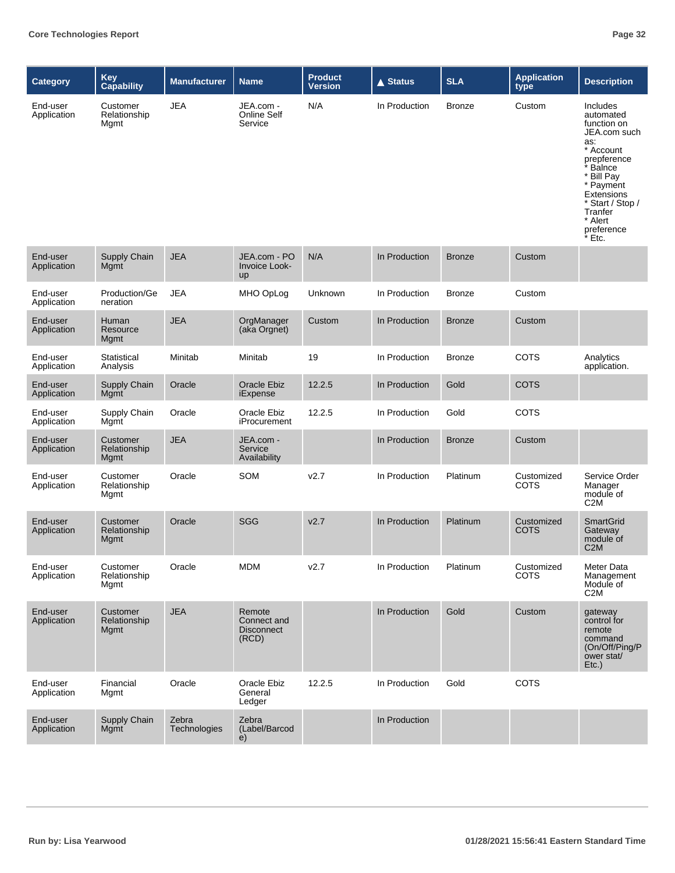| <b>Category</b>         | Key<br>Capability                | <b>Manufacturer</b>   | <b>Name</b>                                         | <b>Product</b><br><b>Version</b> | $\triangle$ Status | <b>SLA</b>    | <b>Application</b><br>type | <b>Description</b>                                                                                                                                                                                                |
|-------------------------|----------------------------------|-----------------------|-----------------------------------------------------|----------------------------------|--------------------|---------------|----------------------------|-------------------------------------------------------------------------------------------------------------------------------------------------------------------------------------------------------------------|
| End-user<br>Application | Customer<br>Relationship<br>Mgmt | <b>JEA</b>            | JEA.com -<br>Online Self<br>Service                 | N/A                              | In Production      | <b>Bronze</b> | Custom                     | <b>Includes</b><br>automated<br>function on<br>JEA.com such<br>as:<br>* Account<br>prepference<br>Balnce<br>* Bill Pay<br>* Payment<br>Extensions<br>* Start / Stop /<br>Tranfer<br>* Alert<br>preference<br>Etc. |
| End-user<br>Application | Supply Chain<br>Mgmt             | <b>JEA</b>            | JEA.com - PO<br>Invoice Look-<br>up                 | N/A                              | In Production      | <b>Bronze</b> | Custom                     |                                                                                                                                                                                                                   |
| End-user<br>Application | Production/Ge<br>neration        | <b>JEA</b>            | MHO OpLog                                           | Unknown                          | In Production      | <b>Bronze</b> | Custom                     |                                                                                                                                                                                                                   |
| End-user<br>Application | Human<br>Resource<br>Mgmt        | <b>JEA</b>            | OrgManager<br>(aka Orgnet)                          | Custom                           | In Production      | <b>Bronze</b> | Custom                     |                                                                                                                                                                                                                   |
| End-user<br>Application | Statistical<br>Analysis          | Minitab               | Minitab                                             | 19                               | In Production      | <b>Bronze</b> | <b>COTS</b>                | Analytics<br>application.                                                                                                                                                                                         |
| End-user<br>Application | Supply Chain<br>Mgmt             | Oracle                | Oracle Ebiz<br>iExpense                             | 12.2.5                           | In Production      | Gold          | <b>COTS</b>                |                                                                                                                                                                                                                   |
| End-user<br>Application | Supply Chain<br>Mgmt             | Oracle                | Oracle Ebiz<br>iProcurement                         | 12.2.5                           | In Production      | Gold          | <b>COTS</b>                |                                                                                                                                                                                                                   |
| End-user<br>Application | Customer<br>Relationship<br>Mgmt | <b>JEA</b>            | JEA.com -<br>Service<br>Availability                |                                  | In Production      | <b>Bronze</b> | Custom                     |                                                                                                                                                                                                                   |
| End-user<br>Application | Customer<br>Relationship<br>Mgmt | Oracle                | SOM                                                 | v2.7                             | In Production      | Platinum      | Customized<br><b>COTS</b>  | Service Order<br>Manager<br>module of<br>C <sub>2</sub> M                                                                                                                                                         |
| End-user<br>Application | Customer<br>Relationship<br>Mgmt | Oracle                | SGG                                                 | V <sub>2.7</sub>                 | In Production      | Platinum      | Customized<br><b>COTS</b>  | <b>SmartGrid</b><br>Gateway<br>module of<br>C2M                                                                                                                                                                   |
| End-user<br>Application | Customer<br>Relationship<br>Mgmt | Oracle                | <b>MDM</b>                                          | V <sub>2.7</sub>                 | In Production      | Platinum      | Customized<br><b>COTS</b>  | Meter Data<br>Management<br>Module of<br>C <sub>2</sub> M                                                                                                                                                         |
| End-user<br>Application | Customer<br>Relationship<br>Mgmt | <b>JEA</b>            | Remote<br>Connect and<br><b>Disconnect</b><br>(RCD) |                                  | In Production      | Gold          | Custom                     | gateway<br>control for<br>remote<br>command<br>(On/Off/Ping/P<br>ower stat/<br>$Etc.$ )                                                                                                                           |
| End-user<br>Application | Financial<br>Mgmt                | Oracle                | Oracle Ebiz<br>General<br>Ledger                    | 12.2.5                           | In Production      | Gold          | COTS                       |                                                                                                                                                                                                                   |
| End-user<br>Application | Supply Chain<br><b>Mgmt</b>      | Zebra<br>Technologies | Zebra<br>(Label/Barcod<br>$\ddot{e}$                |                                  | In Production      |               |                            |                                                                                                                                                                                                                   |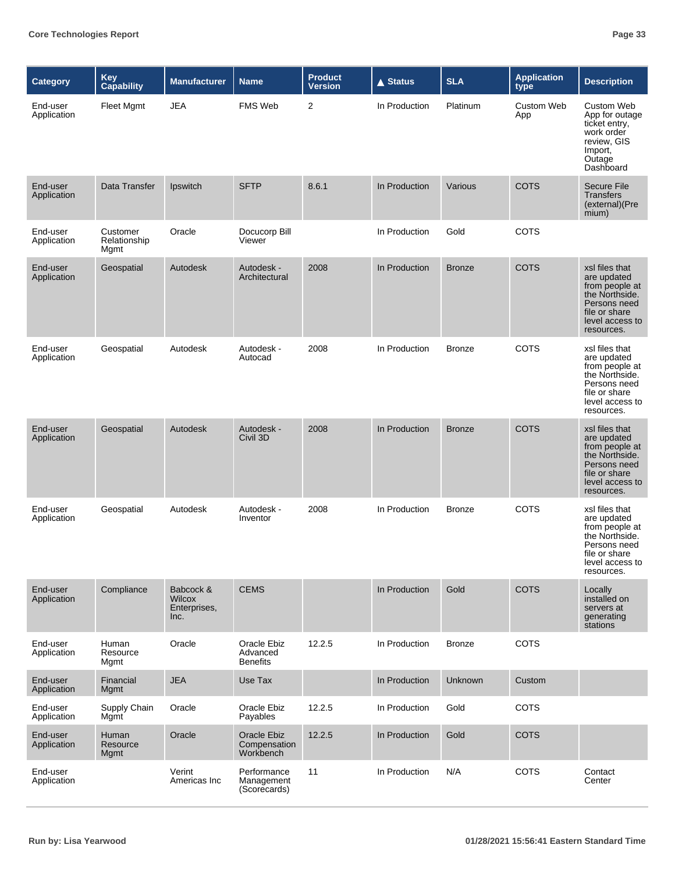| <b>Category</b>         | Key<br>Capability                | <b>Manufacturer</b>                                | <b>Name</b>                                | <b>Product</b><br><b>Version</b> | <b>▲ Status</b> | <b>SLA</b>    | <b>Application</b><br>type | <b>Description</b>                                                                                                                  |
|-------------------------|----------------------------------|----------------------------------------------------|--------------------------------------------|----------------------------------|-----------------|---------------|----------------------------|-------------------------------------------------------------------------------------------------------------------------------------|
| End-user<br>Application | <b>Fleet Mgmt</b>                | <b>JEA</b>                                         | <b>FMS Web</b>                             | $\overline{2}$                   | In Production   | Platinum      | <b>Custom Web</b><br>App   | Custom Web<br>App for outage<br>ticket entry,<br>work order<br>review, GIS<br>Import,<br>Outage<br>Dashboard                        |
| End-user<br>Application | Data Transfer                    | Ipswitch                                           | <b>SFTP</b>                                | 8.6.1                            | In Production   | Various       | <b>COTS</b>                | <b>Secure File</b><br><b>Transfers</b><br>(external)(Pre<br>mium)                                                                   |
| End-user<br>Application | Customer<br>Relationship<br>Mgmt | Oracle                                             | Docucorp Bill<br>Viewer                    |                                  | In Production   | Gold          | <b>COTS</b>                |                                                                                                                                     |
| End-user<br>Application | Geospatial                       | Autodesk                                           | Autodesk -<br>Architectural                | 2008                             | In Production   | <b>Bronze</b> | <b>COTS</b>                | xsl files that<br>are updated<br>from people at<br>the Northside.<br>Persons need<br>file or share<br>level access to<br>resources. |
| End-user<br>Application | Geospatial                       | Autodesk                                           | Autodesk -<br>Autocad                      | 2008                             | In Production   | <b>Bronze</b> | COTS                       | xsl files that<br>are updated<br>from people at<br>the Northside.<br>Persons need<br>file or share<br>level access to<br>resources. |
| End-user<br>Application | Geospatial                       | Autodesk                                           | Autodesk -<br>Civil 3D                     | 2008                             | In Production   | <b>Bronze</b> | <b>COTS</b>                | xsl files that<br>are updated<br>from people at<br>the Northside.<br>Persons need<br>file or share<br>level access to<br>resources. |
| End-user<br>Application | Geospatial                       | Autodesk                                           | Autodesk -<br>Inventor                     | 2008                             | In Production   | <b>Bronze</b> | <b>COTS</b>                | xsl files that<br>are updated<br>from people at<br>the Northside.<br>Persons need<br>file or share<br>level access to<br>resources. |
| End-user<br>Application | Compliance                       | Babcock &<br><b>Wilcox</b><br>Enterprises,<br>Inc. | <b>CEMS</b>                                |                                  | In Production   | Gold          | <b>COTS</b>                | Locally<br>installed on<br>servers at<br>generating<br>stations                                                                     |
| End-user<br>Application | Human<br>Resource<br>Mgmt        | Oracle                                             | Oracle Ebiz<br>Advanced<br><b>Benefits</b> | 12.2.5                           | In Production   | <b>Bronze</b> | COTS                       |                                                                                                                                     |
| End-user<br>Application | Financial<br>Mgmt                | <b>JEA</b>                                         | Use Tax                                    |                                  | In Production   | Unknown       | Custom                     |                                                                                                                                     |
| End-user<br>Application | Supply Chain<br>Mgmt             | Oracle                                             | Oracle Ebiz<br>Payables                    | 12.2.5                           | In Production   | Gold          | <b>COTS</b>                |                                                                                                                                     |
| End-user<br>Application | Human<br>Resource<br>Mgmt        | Oracle                                             | Oracle Ebiz<br>Compensation<br>Workbench   | 12.2.5                           | In Production   | Gold          | <b>COTS</b>                |                                                                                                                                     |
| End-user<br>Application |                                  | Verint<br>Americas Inc                             | Performance<br>Management<br>(Scorecards)  | 11                               | In Production   | N/A           | <b>COTS</b>                | Contact<br>Center                                                                                                                   |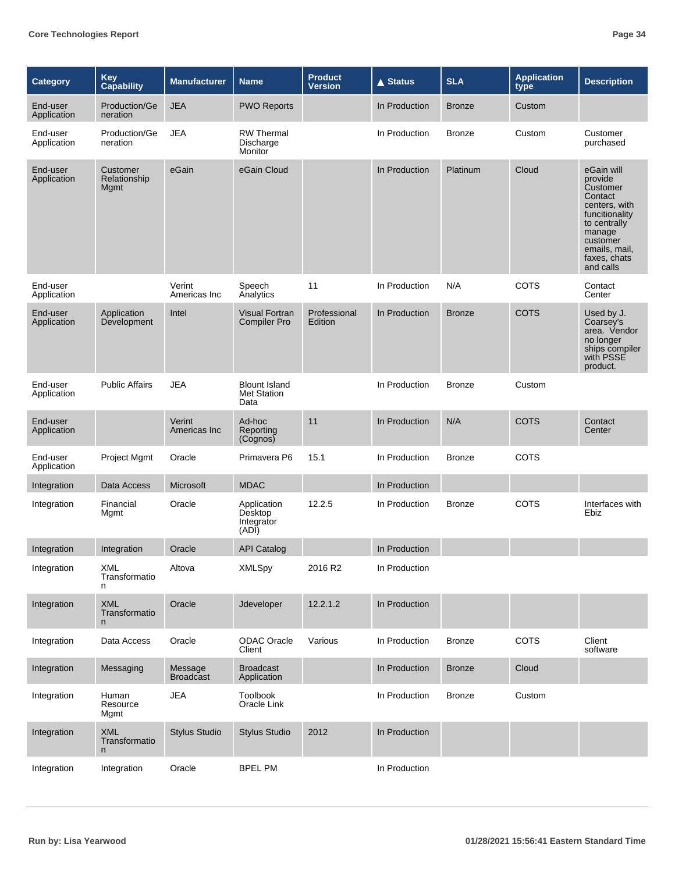| <b>Category</b>         | Key<br>Capability                 | <b>Manufacturer</b>         | <b>Name</b>                                        | <b>Product</b><br><b>Version</b> | <b>▲ Status</b> | <b>SLA</b>    | <b>Application</b><br>type | <b>Description</b>                                                                                                                                                  |
|-------------------------|-----------------------------------|-----------------------------|----------------------------------------------------|----------------------------------|-----------------|---------------|----------------------------|---------------------------------------------------------------------------------------------------------------------------------------------------------------------|
| End-user<br>Application | Production/Ge<br>neration         | <b>JEA</b>                  | <b>PWO Reports</b>                                 |                                  | In Production   | <b>Bronze</b> | Custom                     |                                                                                                                                                                     |
| End-user<br>Application | Production/Ge<br>neration         | <b>JEA</b>                  | <b>RW</b> Thermal<br>Discharge<br>Monitor          |                                  | In Production   | <b>Bronze</b> | Custom                     | Customer<br>purchased                                                                                                                                               |
| End-user<br>Application | Customer<br>Relationship<br>Mgmt  | eGain                       | eGain Cloud                                        |                                  | In Production   | Platinum      | Cloud                      | eGain will<br>provide<br>Customer<br>Contact<br>centers, with<br>funcitionality<br>to centrally<br>manage<br>customer<br>emails, mail,<br>faxes, chats<br>and calls |
| End-user<br>Application |                                   | Verint<br>Americas Inc      | Speech<br>Analytics                                | 11                               | In Production   | N/A           | <b>COTS</b>                | Contact<br>Center                                                                                                                                                   |
| End-user<br>Application | Application<br>Development        | Intel                       | <b>Visual Fortran</b><br><b>Compiler Pro</b>       | Professional<br>Edition          | In Production   | <b>Bronze</b> | COTS                       | Used by J.<br>Coarsey's<br>area. Vendor<br>no longer<br>ships compiler<br>with PSSE<br>product.                                                                     |
| End-user<br>Application | <b>Public Affairs</b>             | <b>JEA</b>                  | <b>Blount Island</b><br><b>Met Station</b><br>Data |                                  | In Production   | <b>Bronze</b> | Custom                     |                                                                                                                                                                     |
| End-user<br>Application |                                   | Verint<br>Americas Inc      | Ad-hoc<br>Reporting<br>(Cognos)                    | 11                               | In Production   | N/A           | <b>COTS</b>                | Contact<br>Center                                                                                                                                                   |
| End-user<br>Application | Project Mgmt                      | Oracle                      | Primavera P6                                       | 15.1                             | In Production   | <b>Bronze</b> | <b>COTS</b>                |                                                                                                                                                                     |
| Integration             | Data Access                       | Microsoft                   | <b>MDAC</b>                                        |                                  | In Production   |               |                            |                                                                                                                                                                     |
| Integration             | Financial<br>Mgmt                 | Oracle                      | Application<br>Desktop<br>Integrator<br>(ADI)      | 12.2.5                           | In Production   | <b>Bronze</b> | <b>COTS</b>                | Interfaces with<br>Ebiz                                                                                                                                             |
| Integration             | Integration                       | Oracle                      | <b>API Catalog</b>                                 |                                  | In Production   |               |                            |                                                                                                                                                                     |
| Integration             | XML<br>Transformatio<br>n         | Altova                      | <b>XMLSpy</b>                                      | 2016 R2                          | In Production   |               |                            |                                                                                                                                                                     |
| Integration             | <b>XML</b><br>Transformatio<br>n. | Oracle                      | Jdeveloper                                         | 12.2.1.2                         | In Production   |               |                            |                                                                                                                                                                     |
| Integration             | Data Access                       | Oracle                      | ODAC Oracle<br>Client                              | Various                          | In Production   | <b>Bronze</b> | COTS                       | Client<br>software                                                                                                                                                  |
| Integration             | Messaging                         | Message<br><b>Broadcast</b> | <b>Broadcast</b><br>Application                    |                                  | In Production   | <b>Bronze</b> | Cloud                      |                                                                                                                                                                     |
| Integration             | Human<br>Resource<br>Mgmt         | <b>JEA</b>                  | Toolbook<br>Oracle Link                            |                                  | In Production   | <b>Bronze</b> | Custom                     |                                                                                                                                                                     |
| Integration             | <b>XML</b><br>Transformatio<br>n. | <b>Stylus Studio</b>        | <b>Stylus Studio</b>                               | 2012                             | In Production   |               |                            |                                                                                                                                                                     |
| Integration             | Integration                       | Oracle                      | <b>BPEL PM</b>                                     |                                  | In Production   |               |                            |                                                                                                                                                                     |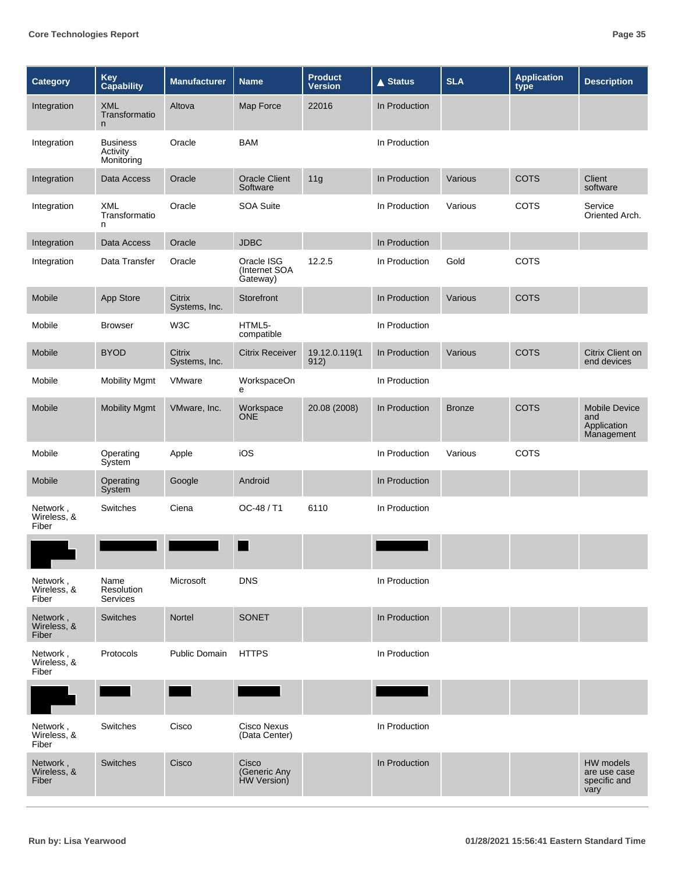| <b>Category</b>                  | <b>Key</b><br>Capability                  | <b>Manufacturer</b>     | <b>Name</b>                             | <b>Product</b><br><b>Version</b> | <b>▲ Status</b> | <b>SLA</b>    | <b>Application</b><br>type | <b>Description</b>                                       |
|----------------------------------|-------------------------------------------|-------------------------|-----------------------------------------|----------------------------------|-----------------|---------------|----------------------------|----------------------------------------------------------|
| Integration                      | <b>XML</b><br>Transformatio<br>n          | Altova                  | Map Force                               | 22016                            | In Production   |               |                            |                                                          |
| Integration                      | <b>Business</b><br>Activity<br>Monitoring | Oracle                  | <b>BAM</b>                              |                                  | In Production   |               |                            |                                                          |
| Integration                      | Data Access                               | Oracle                  | <b>Oracle Client</b><br>Software        | 11g                              | In Production   | Various       | <b>COTS</b>                | Client<br>software                                       |
| Integration                      | XML<br>Transformatio<br>n                 | Oracle                  | <b>SOA Suite</b>                        |                                  | In Production   | Various       | <b>COTS</b>                | Service<br>Oriented Arch.                                |
| Integration                      | Data Access                               | Oracle                  | <b>JDBC</b>                             |                                  | In Production   |               |                            |                                                          |
| Integration                      | Data Transfer                             | Oracle                  | Oracle ISG<br>(Internet SOA<br>Gateway) | 12.2.5                           | In Production   | Gold          | <b>COTS</b>                |                                                          |
| Mobile                           | App Store                                 | Citrix<br>Systems, Inc. | Storefront                              |                                  | In Production   | Various       | <b>COTS</b>                |                                                          |
| Mobile                           | <b>Browser</b>                            | W3C                     | HTML5-<br>compatible                    |                                  | In Production   |               |                            |                                                          |
| Mobile                           | <b>BYOD</b>                               | Citrix<br>Systems, Inc. | <b>Citrix Receiver</b>                  | 19.12.0.119(1<br>912)            | In Production   | Various       | <b>COTS</b>                | Citrix Client on<br>end devices                          |
| Mobile                           | <b>Mobility Mgmt</b>                      | VMware                  | WorkspaceOn<br>е                        |                                  | In Production   |               |                            |                                                          |
| Mobile                           | <b>Mobility Mgmt</b>                      | VMware, Inc.            | Workspace<br><b>ONE</b>                 | 20.08 (2008)                     | In Production   | <b>Bronze</b> | <b>COTS</b>                | <b>Mobile Device</b><br>and<br>Application<br>Management |
| Mobile                           | Operating<br>System                       | Apple                   | iOS                                     |                                  | In Production   | Various       | <b>COTS</b>                |                                                          |
| Mobile                           | Operating<br>System                       | Google                  | Android                                 |                                  | In Production   |               |                            |                                                          |
| Network,<br>Wireless, &<br>Fiber | Switches                                  | Ciena                   | OC-48 / T1                              | 6110                             | In Production   |               |                            |                                                          |
|                                  |                                           |                         |                                         |                                  |                 |               |                            |                                                          |
| Network,<br>Wireless, &<br>Fiber | Name<br>Resolution<br><b>Services</b>     | Microsoft               | <b>DNS</b>                              |                                  | In Production   |               |                            |                                                          |
| Network,<br>Wireless, &<br>Fiber | Switches                                  | Nortel                  | SONET                                   |                                  | In Production   |               |                            |                                                          |
| Network,<br>Wireless, &<br>Fiber | Protocols                                 | Public Domain           | <b>HTTPS</b>                            |                                  | In Production   |               |                            |                                                          |
|                                  |                                           |                         |                                         |                                  |                 |               |                            |                                                          |
| Network,<br>Wireless, &<br>Fiber | Switches                                  | Cisco                   | <b>Cisco Nexus</b><br>(Data Center)     |                                  | In Production   |               |                            |                                                          |
| Network,<br>Wireless, &<br>Fiber | Switches                                  | Cisco                   | Cisco<br>(Generic Any<br>HW Version)    |                                  | In Production   |               |                            | HW models<br>are use case<br>specific and<br>vary        |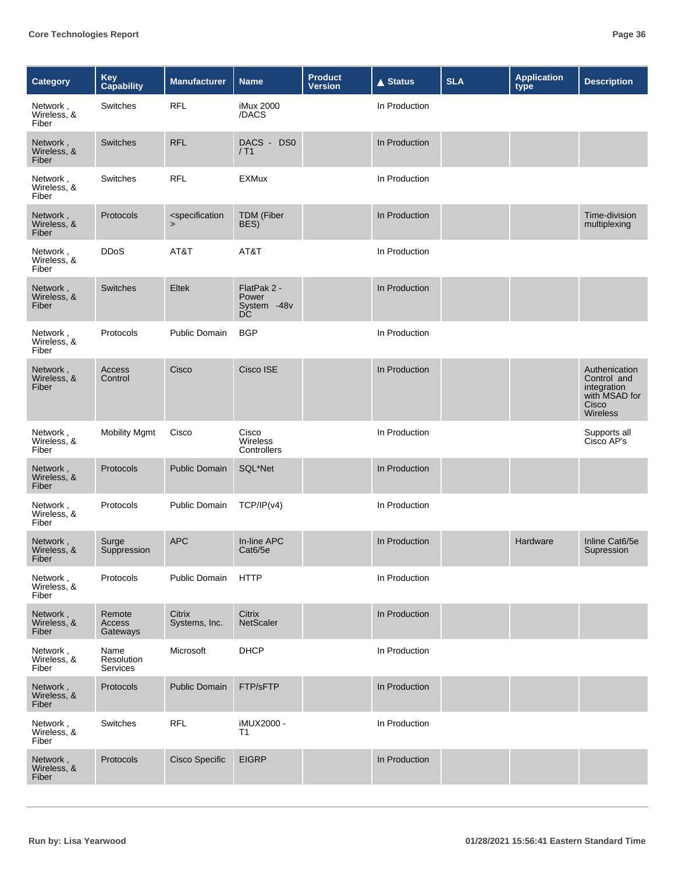| <b>Category</b>                  | Key<br>Capability                     | <b>Manufacturer</b>                                    | <b>Name</b>                               | <b>Product</b><br><b>Version</b> | <b>▲ Status</b> | <b>SLA</b> | <b>Application</b><br>type | <b>Description</b>                                                                       |
|----------------------------------|---------------------------------------|--------------------------------------------------------|-------------------------------------------|----------------------------------|-----------------|------------|----------------------------|------------------------------------------------------------------------------------------|
| Network,<br>Wireless, &<br>Fiber | Switches                              | <b>RFL</b>                                             | iMux 2000<br>/DACS                        |                                  | In Production   |            |                            |                                                                                          |
| Network,<br>Wireless, &<br>Fiber | <b>Switches</b>                       | <b>RFL</b>                                             | DACS -<br>DS <sub>0</sub><br>/ T1         |                                  | In Production   |            |                            |                                                                                          |
| Network,<br>Wireless, &<br>Fiber | Switches                              | <b>RFL</b>                                             | <b>EXMux</b>                              |                                  | In Production   |            |                            |                                                                                          |
| Network,<br>Wireless, &<br>Fiber | Protocols                             | <specification<br><math>\geq</math></specification<br> | <b>TDM</b> (Fiber<br>BES)                 |                                  | In Production   |            |                            | Time-division<br>multiplexing                                                            |
| Network,<br>Wireless, &<br>Fiber | <b>DDoS</b>                           | AT&T                                                   | AT&T                                      |                                  | In Production   |            |                            |                                                                                          |
| Network,<br>Wireless, &<br>Fiber | <b>Switches</b>                       | Eltek                                                  | FlatPak 2 -<br>Power<br>System -48v<br>DC |                                  | In Production   |            |                            |                                                                                          |
| Network,<br>Wireless, &<br>Fiber | Protocols                             | Public Domain                                          | <b>BGP</b>                                |                                  | In Production   |            |                            |                                                                                          |
| Network,<br>Wireless, &<br>Fiber | Access<br>Control                     | Cisco                                                  | Cisco ISE                                 |                                  | In Production   |            |                            | Authenication<br>Control and<br>integration<br>with MSAD for<br>Cisco<br><b>Wireless</b> |
| Network,<br>Wireless, &<br>Fiber | <b>Mobility Mgmt</b>                  | Cisco                                                  | Cisco<br>Wireless<br>Controllers          |                                  | In Production   |            |                            | Supports all<br>Cisco AP's                                                               |
| Network,<br>Wireless, &<br>Fiber | Protocols                             | <b>Public Domain</b>                                   | SQL*Net                                   |                                  | In Production   |            |                            |                                                                                          |
| Network,<br>Wireless, &<br>Fiber | Protocols                             | Public Domain                                          | TCP/IP(v4)                                |                                  | In Production   |            |                            |                                                                                          |
| Network,<br>Wireless, &<br>Fiber | Surge<br>Suppression                  | <b>APC</b>                                             | In-line APC<br>Cat6/5e                    |                                  | In Production   |            | Hardware                   | Inline Cat6/5e<br>Supression                                                             |
| Network,<br>Wireless, &<br>Fiber | Protocols                             | Public Domain                                          | <b>HTTP</b>                               |                                  | In Production   |            |                            |                                                                                          |
| Network,<br>Wireless, &<br>Fiber | Remote<br>Access<br>Gateways          | Citrix<br>Systems, Inc.                                | Citrix<br>NetScaler                       |                                  | In Production   |            |                            |                                                                                          |
| Network,<br>Wireless, &<br>Fiber | Name<br>Resolution<br><b>Services</b> | Microsoft                                              | <b>DHCP</b>                               |                                  | In Production   |            |                            |                                                                                          |
| Network,<br>Wireless, &<br>Fiber | Protocols                             | <b>Public Domain</b>                                   | FTP/sFTP                                  |                                  | In Production   |            |                            |                                                                                          |
| Network,<br>Wireless, &<br>Fiber | Switches                              | <b>RFL</b>                                             | iMUX2000 -<br>T1                          |                                  | In Production   |            |                            |                                                                                          |
| Network,<br>Wireless, &<br>Fiber | Protocols                             | <b>Cisco Specific</b>                                  | <b>EIGRP</b>                              |                                  | In Production   |            |                            |                                                                                          |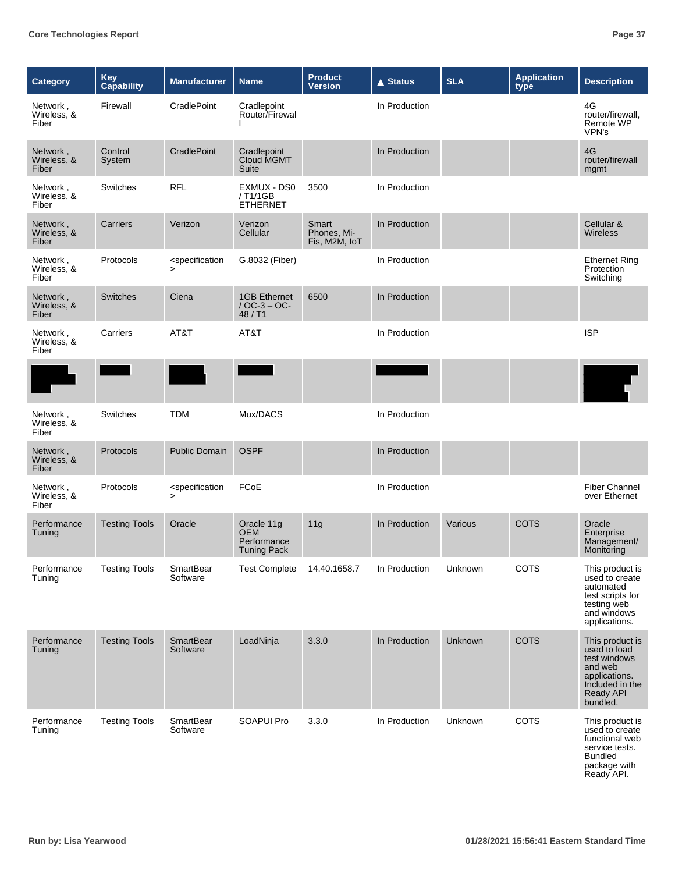| <b>Category</b>                  | <b>Key</b><br>Capability | <b>Manufacturer</b>                                    | <b>Name</b>                                                   | <b>Product</b><br><b>Version</b>      | <b>▲ Status</b> | <b>SLA</b>     | <b>Application</b><br>type | <b>Description</b>                                                                                                      |
|----------------------------------|--------------------------|--------------------------------------------------------|---------------------------------------------------------------|---------------------------------------|-----------------|----------------|----------------------------|-------------------------------------------------------------------------------------------------------------------------|
| Network,<br>Wireless, &<br>Fiber | Firewall                 | CradlePoint                                            | Cradlepoint<br>Router/Firewal                                 |                                       | In Production   |                |                            | 4G<br>router/firewall,<br><b>Remote WP</b><br>VPN's                                                                     |
| Network,<br>Wireless, &<br>Fiber | Control<br>System        | CradlePoint                                            | Cradlepoint<br>Cloud MGMT<br>Suite                            |                                       | In Production   |                |                            | 4G<br>router/firewall<br>mgmt                                                                                           |
| Network,<br>Wireless, &<br>Fiber | Switches                 | <b>RFL</b>                                             | EXMUX - DS0<br>/ T1/1GB<br><b>ETHERNET</b>                    | 3500                                  | In Production   |                |                            |                                                                                                                         |
| Network,<br>Wireless, &<br>Fiber | Carriers                 | Verizon                                                | Verizon<br>Cellular                                           | Smart<br>Phones, Mi-<br>Fis, M2M, IoT | In Production   |                |                            | Cellular &<br><b>Wireless</b>                                                                                           |
| Network,<br>Wireless, &<br>Fiber | Protocols                | <specification<br><math>\geq</math></specification<br> | G.8032 (Fiber)                                                |                                       | In Production   |                |                            | <b>Ethernet Ring</b><br>Protection<br>Switching                                                                         |
| Network,<br>Wireless, &<br>Fiber | <b>Switches</b>          | Ciena                                                  | <b>1GB Ethernet</b><br>$/OC-3 - OC-$<br>48 / T1               | 6500                                  | In Production   |                |                            |                                                                                                                         |
| Network,<br>Wireless, &<br>Fiber | Carriers                 | AT&T                                                   | AT&T                                                          |                                       | In Production   |                |                            | <b>ISP</b>                                                                                                              |
|                                  |                          |                                                        |                                                               |                                       |                 |                |                            |                                                                                                                         |
| Network,<br>Wireless, &<br>Fiber | Switches                 | <b>TDM</b>                                             | Mux/DACS                                                      |                                       | In Production   |                |                            |                                                                                                                         |
| Network,<br>Wireless, &<br>Fiber | Protocols                | <b>Public Domain</b>                                   | <b>OSPF</b>                                                   |                                       | In Production   |                |                            |                                                                                                                         |
| Network,<br>Wireless, &<br>Fiber | Protocols                | <specification<br><math>\geq</math></specification<br> | FCoE                                                          |                                       | In Production   |                |                            | <b>Fiber Channel</b><br>over Ethernet                                                                                   |
| Performance<br>Tuning            | <b>Testing Tools</b>     | Oracle                                                 | Oracle 11g<br><b>OEM</b><br>Performance<br><b>Tuning Pack</b> | 11g                                   | In Production   | Various        | <b>COTS</b>                | Oracle<br>Enterprise<br>Management/<br>Monitoring                                                                       |
| Performance<br>Tuning            | <b>Testing Tools</b>     | SmartBear<br>Software                                  | <b>Test Complete</b>                                          | 14.40.1658.7                          | In Production   | Unknown        | COTS                       | This product is<br>used to create<br>automated<br>test scripts for<br>testing web<br>and windows<br>applications.       |
| Performance<br>Tuning            | <b>Testing Tools</b>     | SmartBear<br>Software                                  | LoadNinja                                                     | 3.3.0                                 | In Production   | <b>Unknown</b> | <b>COTS</b>                | This product is<br>used to load<br>test windows<br>and web<br>applications.<br>Included in the<br>Ready API<br>bundled. |
| Performance<br>Tuning            | <b>Testing Tools</b>     | SmartBear<br>Software                                  | <b>SOAPUI Pro</b>                                             | 3.3.0                                 | In Production   | Unknown        | <b>COTS</b>                | This product is<br>used to create<br>functional web<br>service tests.<br><b>Bundled</b><br>package with<br>Ready API.   |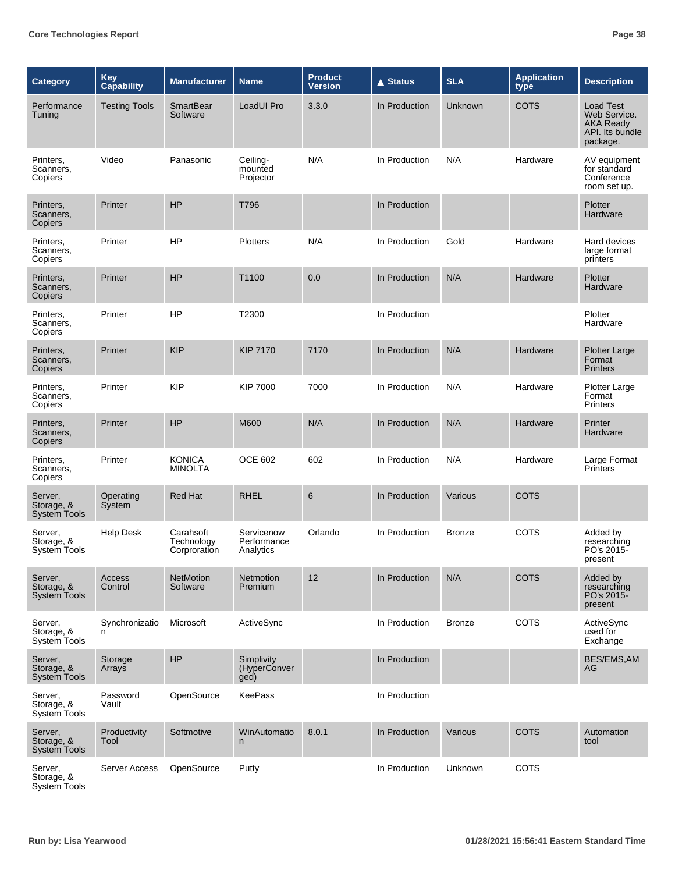| <b>Category</b>                              | <b>Key</b><br>Capability | <b>Manufacturer</b>                     | <b>Name</b>                            | <b>Product</b><br>Version | <b>▲ Status</b> | <b>SLA</b>    | <b>Application</b><br>type | <b>Description</b>                                                                  |
|----------------------------------------------|--------------------------|-----------------------------------------|----------------------------------------|---------------------------|-----------------|---------------|----------------------------|-------------------------------------------------------------------------------------|
| Performance<br>Tuning                        | <b>Testing Tools</b>     | <b>SmartBear</b><br>Software            | LoadUI Pro                             | 3.3.0                     | In Production   | Unknown       | <b>COTS</b>                | <b>Load Test</b><br>Web Service.<br><b>AKA Ready</b><br>API. Its bundle<br>package. |
| Printers,<br>Scanners,<br>Copiers            | Video                    | Panasonic                               | Ceiling-<br>mounted<br>Projector       | N/A                       | In Production   | N/A           | Hardware                   | AV equipment<br>for standard<br>Conference<br>room set up.                          |
| Printers,<br>Scanners,<br>Copiers            | Printer                  | <b>HP</b>                               | T796                                   |                           | In Production   |               |                            | Plotter<br>Hardware                                                                 |
| Printers,<br>Scanners,<br>Copiers            | Printer                  | <b>HP</b>                               | Plotters                               | N/A                       | In Production   | Gold          | Hardware                   | Hard devices<br>large format<br>printers                                            |
| Printers,<br>Scanners,<br>Copiers            | Printer                  | HP                                      | T1100                                  | 0.0                       | In Production   | N/A           | Hardware                   | Plotter<br>Hardware                                                                 |
| Printers.<br>Scanners,<br>Copiers            | Printer                  | <b>HP</b>                               | T2300                                  |                           | In Production   |               |                            | Plotter<br>Hardware                                                                 |
| Printers,<br>Scanners,<br>Copiers            | Printer                  | <b>KIP</b>                              | <b>KIP 7170</b>                        | 7170                      | In Production   | N/A           | Hardware                   | <b>Plotter Large</b><br>Format<br><b>Printers</b>                                   |
| Printers,<br>Scanners,<br>Copiers            | Printer                  | <b>KIP</b>                              | <b>KIP 7000</b>                        | 7000                      | In Production   | N/A           | Hardware                   | <b>Plotter Large</b><br>Format<br>Printers                                          |
| Printers,<br>Scanners,<br>Copiers            | Printer                  | HP                                      | M600                                   | N/A                       | In Production   | N/A           | Hardware                   | Printer<br>Hardware                                                                 |
| Printers,<br>Scanners,<br>Copiers            | Printer                  | <b>KONICA</b><br><b>MINOLTA</b>         | <b>OCE 602</b>                         | 602                       | In Production   | N/A           | Hardware                   | Large Format<br><b>Printers</b>                                                     |
| Server,<br>Storage, &<br><b>System Tools</b> | Operating<br>System      | <b>Red Hat</b>                          | <b>RHEL</b>                            | 6                         | In Production   | Various       | <b>COTS</b>                |                                                                                     |
| Server,<br>Storage, &<br><b>System Tools</b> | Help Desk                | Carahsoft<br>Technology<br>Corproration | Servicenow<br>Performance<br>Analytics | Orlando                   | In Production   | <b>Bronze</b> | <b>COTS</b>                | Added by<br>researching<br>PO's 2015-<br>present                                    |
| Server,<br>Storage, &<br>System Tools        | <b>Access</b><br>Control | <b>NetMotion</b><br>Software            | Netmotion<br>Premium                   | 12                        | In Production   | N/A           | <b>COTS</b>                | Added by<br>researching<br>PO's 2015-<br>present                                    |
| Server,<br>Storage, &<br><b>System Tools</b> | Synchronizatio<br>n      | Microsoft                               | ActiveSync                             |                           | In Production   | <b>Bronze</b> | COTS                       | ActiveSync<br>used for<br>Exchange                                                  |
| Server,<br>Storage, &<br>System Tools        | Storage<br>Arrays        | HP                                      | Simplivity<br>(HyperConver<br>ged)     |                           | In Production   |               |                            | BES/EMS, AM<br>AG                                                                   |
| Server,<br>Storage, &<br>System Tools        | Password<br>Vault        | OpenSource                              | <b>KeePass</b>                         |                           | In Production   |               |                            |                                                                                     |
| Server,<br>Storage, &<br><b>System Tools</b> | Productivity<br>Tool     | Softmotive                              | WinAutomatio<br>n                      | 8.0.1                     | In Production   | Various       | <b>COTS</b>                | Automation<br>tool                                                                  |
| Server,<br>Storage, &<br>System Tools        | <b>Server Access</b>     | OpenSource                              | Putty                                  |                           | In Production   | Unknown       | COTS                       |                                                                                     |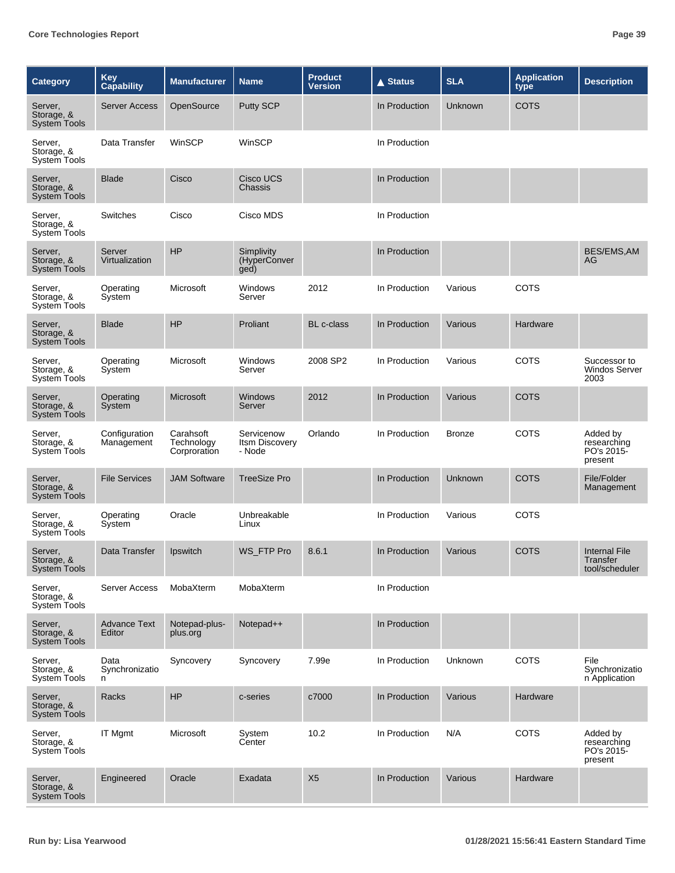| <b>Category</b>                              | <b>Key</b><br>Capability      | <b>Manufacturer</b>                     | <b>Name</b>                                   | <b>Product</b><br><b>Version</b> | <b>▲ Status</b> | <b>SLA</b>     | <b>Application</b><br>type | <b>Description</b>                                 |
|----------------------------------------------|-------------------------------|-----------------------------------------|-----------------------------------------------|----------------------------------|-----------------|----------------|----------------------------|----------------------------------------------------|
| Server,<br>Storage, &<br><b>System Tools</b> | <b>Server Access</b>          | OpenSource                              | <b>Putty SCP</b>                              |                                  | In Production   | <b>Unknown</b> | <b>COTS</b>                |                                                    |
| Server,<br>Storage, &<br><b>System Tools</b> | Data Transfer                 | WinSCP                                  | WinSCP                                        |                                  | In Production   |                |                            |                                                    |
| Server,<br>Storage, &<br><b>System Tools</b> | <b>Blade</b>                  | Cisco                                   | Cisco UCS<br>Chassis                          |                                  | In Production   |                |                            |                                                    |
| Server.<br>Storage, &<br><b>System Tools</b> | Switches                      | Cisco                                   | Cisco MDS                                     |                                  | In Production   |                |                            |                                                    |
| Server,<br>Storage, &<br><b>System Tools</b> | Server<br>Virtualization      | HP                                      | Simplivity<br>(HyperConver<br>ged)            |                                  | In Production   |                |                            | BES/EMS, AM<br>AG                                  |
| Server,<br>Storage, &<br><b>System Tools</b> | Operating<br>System           | Microsoft                               | Windows<br>Server                             | 2012                             | In Production   | Various        | <b>COTS</b>                |                                                    |
| Server,<br>Storage, &<br><b>System Tools</b> | <b>Blade</b>                  | <b>HP</b>                               | Proliant                                      | <b>BL</b> c-class                | In Production   | Various        | Hardware                   |                                                    |
| Server,<br>Storage, &<br><b>System Tools</b> | Operating<br>System           | Microsoft                               | Windows<br>Server                             | 2008 SP2                         | In Production   | Various        | <b>COTS</b>                | Successor to<br><b>Windos Server</b><br>2003       |
| Server,<br>Storage, &<br><b>System Tools</b> | Operating<br>System           | Microsoft                               | <b>Windows</b><br>Server                      | 2012                             | In Production   | Various        | <b>COTS</b>                |                                                    |
| Server,<br>Storage, &<br><b>System Tools</b> | Configuration<br>Management   | Carahsoft<br>Technology<br>Corproration | Servicenow<br><b>Itsm Discovery</b><br>- Node | Orlando                          | In Production   | <b>Bronze</b>  | <b>COTS</b>                | Added by<br>researching<br>PO's 2015-<br>present   |
| Server,<br>Storage, &<br><b>System Tools</b> | <b>File Services</b>          | <b>JAM Software</b>                     | <b>TreeSize Pro</b>                           |                                  | In Production   | Unknown        | <b>COTS</b>                | File/Folder<br>Management                          |
| Server,<br>Storage, &<br><b>System Tools</b> | Operating<br>System           | Oracle                                  | Unbreakable<br>Linux                          |                                  | In Production   | Various        | <b>COTS</b>                |                                                    |
| Server,<br>Storage, &<br>System Tools        | Data Transfer                 | Ipswitch                                | WS FTP Pro                                    | 8.6.1                            | In Production   | Various        | <b>COTS</b>                | <b>Internal File</b><br>Transfer<br>tool/scheduler |
| Server,<br>Storage, &<br>System Tools        | <b>Server Access</b>          | MobaXterm                               | MobaXterm                                     |                                  | In Production   |                |                            |                                                    |
| Server,<br>Storage, &<br><b>System Tools</b> | <b>Advance Text</b><br>Editor | Notepad-plus-<br>plus.org               | Notepad++                                     |                                  | In Production   |                |                            |                                                    |
| Server,<br>Storage, &<br>System Tools        | Data<br>Synchronizatio<br>n   | Syncovery                               | Syncovery                                     | 7.99e                            | In Production   | Unknown        | COTS                       | File<br>Synchronizatio<br>n Application            |
| Server,<br>Storage, &<br><b>System Tools</b> | Racks                         | HP                                      | c-series                                      | c7000                            | In Production   | Various        | Hardware                   |                                                    |
| Server,<br>Storage, &<br>System Tools        | <b>IT Mgmt</b>                | Microsoft                               | System<br>Center                              | 10.2                             | In Production   | N/A            | <b>COTS</b>                | Added by<br>researching<br>PO's 2015-<br>present   |
| Server,<br>Storage, &<br><b>System Tools</b> | Engineered                    | Oracle                                  | Exadata                                       | X <sub>5</sub>                   | In Production   | Various        | Hardware                   |                                                    |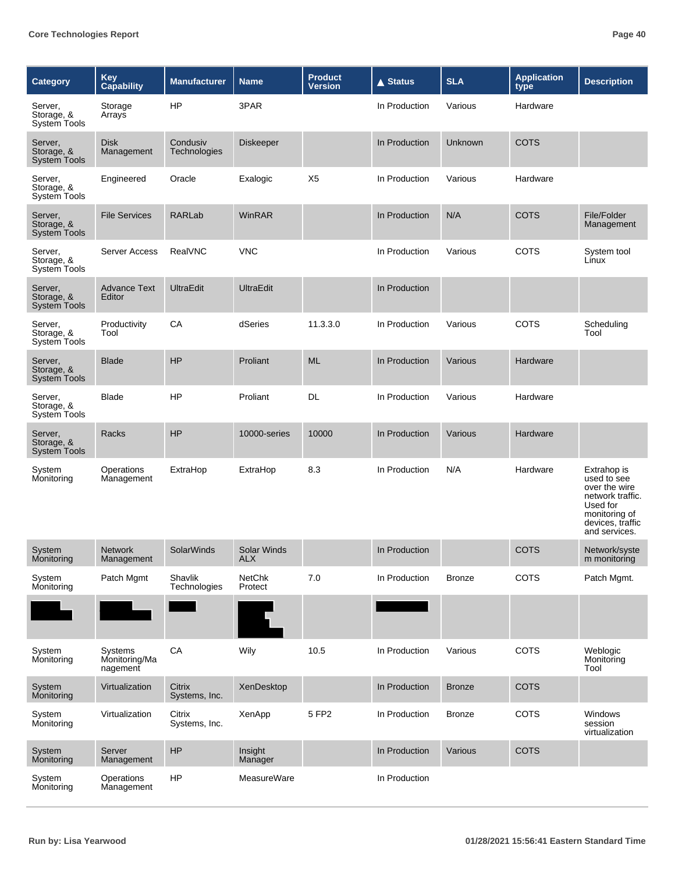| <b>Category</b>                              | Key<br>Capability                    | <b>Manufacturer</b>      | <b>Name</b>                      | <b>Product</b><br><b>Version</b> | <b>▲ Status</b> | <b>SLA</b>     | <b>Application</b><br>type | <b>Description</b>                                                                                                                |
|----------------------------------------------|--------------------------------------|--------------------------|----------------------------------|----------------------------------|-----------------|----------------|----------------------------|-----------------------------------------------------------------------------------------------------------------------------------|
| Server,<br>Storage, &<br><b>System Tools</b> | Storage<br>Arrays                    | HP                       | 3PAR                             |                                  | In Production   | Various        | Hardware                   |                                                                                                                                   |
| Server,<br>Storage, &<br><b>System Tools</b> | <b>Disk</b><br>Management            | Condusiv<br>Technologies | <b>Diskeeper</b>                 |                                  | In Production   | <b>Unknown</b> | <b>COTS</b>                |                                                                                                                                   |
| Server,<br>Storage, &<br>System Tools        | Engineered                           | Oracle                   | Exalogic                         | X <sub>5</sub>                   | In Production   | Various        | Hardware                   |                                                                                                                                   |
| Server,<br>Storage, &<br><b>System Tools</b> | <b>File Services</b>                 | <b>RARLab</b>            | WinRAR                           |                                  | In Production   | N/A            | <b>COTS</b>                | File/Folder<br>Management                                                                                                         |
| Server,<br>Storage, &<br><b>System Tools</b> | <b>Server Access</b>                 | RealVNC                  | <b>VNC</b>                       |                                  | In Production   | Various        | <b>COTS</b>                | System tool<br>Linux                                                                                                              |
| Server,<br>Storage, &<br><b>System Tools</b> | <b>Advance Text</b><br>Editor        | <b>UltraEdit</b>         | <b>UltraEdit</b>                 |                                  | In Production   |                |                            |                                                                                                                                   |
| Server,<br>Storage, &<br><b>System Tools</b> | Productivity<br>Tool                 | CA                       | dSeries                          | 11.3.3.0                         | In Production   | Various        | <b>COTS</b>                | Scheduling<br>Tool                                                                                                                |
| Server,<br>Storage, &<br><b>System Tools</b> | <b>Blade</b>                         | HP                       | Proliant                         | <b>ML</b>                        | In Production   | Various        | Hardware                   |                                                                                                                                   |
| Server,<br>Storage, &<br><b>System Tools</b> | Blade                                | HP                       | Proliant                         | DL                               | In Production   | Various        | Hardware                   |                                                                                                                                   |
| Server,<br>Storage, &<br><b>System Tools</b> | Racks                                | HP                       | 10000-series                     | 10000                            | In Production   | Various        | Hardware                   |                                                                                                                                   |
| System<br>Monitoring                         | Operations<br>Management             | ExtraHop                 | ExtraHop                         | 8.3                              | In Production   | N/A            | Hardware                   | Extrahop is<br>used to see<br>over the wire<br>network traffic.<br>Used for<br>monitoring of<br>devices, traffic<br>and services. |
| System<br>Monitoring                         | <b>Network</b><br>Management         | <b>SolarWinds</b>        | <b>Solar Winds</b><br><b>ALX</b> |                                  | In Production   |                | <b>COTS</b>                | Network/syste<br>m monitoring                                                                                                     |
| System<br>Monitoring                         | Patch Mgmt                           | Shavlik<br>Technologies  | <b>NetChk</b><br>Protect         | 7.0                              | In Production   | <b>Bronze</b>  | COTS                       | Patch Mgmt.                                                                                                                       |
|                                              |                                      |                          |                                  |                                  |                 |                |                            |                                                                                                                                   |
| System<br>Monitoring                         | Systems<br>Monitoring/Ma<br>nagement | CA                       | Wily                             | 10.5                             | In Production   | Various        | COTS                       | Weblogic<br>Monitoring<br>Tool                                                                                                    |
| System<br>Monitoring                         | Virtualization                       | Citrix<br>Systems, Inc.  | XenDesktop                       |                                  | In Production   | <b>Bronze</b>  | <b>COTS</b>                |                                                                                                                                   |
| System<br>Monitoring                         | Virtualization                       | Citrix<br>Systems, Inc.  | XenApp                           | 5 FP2                            | In Production   | <b>Bronze</b>  | COTS                       | Windows<br>session<br>virtualization                                                                                              |
| System<br>Monitoring                         | Server<br>Management                 | HP                       | Insight<br>Manager               |                                  | In Production   | Various        | <b>COTS</b>                |                                                                                                                                   |
| System<br>Monitoring                         | Operations<br>Management             | <b>HP</b>                | MeasureWare                      |                                  | In Production   |                |                            |                                                                                                                                   |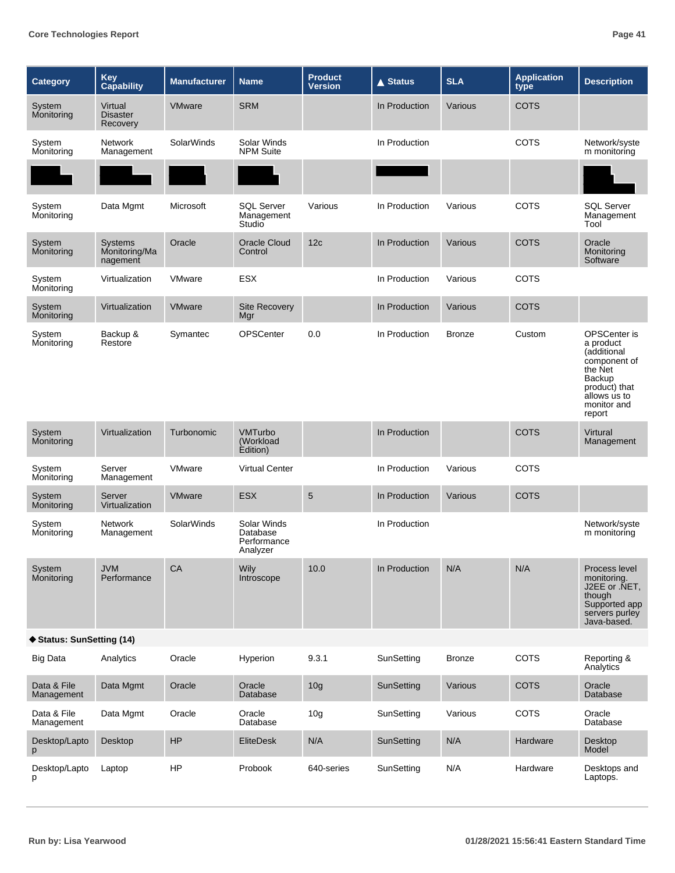| <b>Category</b>           | Key<br>Capability                           | <b>Manufacturer</b> | <b>Name</b>                                        | <b>Product</b><br><b>Version</b> | <b>▲ Status</b> | <b>SLA</b>    | <b>Application</b><br>type | <b>Description</b>                                                                                                                      |
|---------------------------|---------------------------------------------|---------------------|----------------------------------------------------|----------------------------------|-----------------|---------------|----------------------------|-----------------------------------------------------------------------------------------------------------------------------------------|
| System<br>Monitoring      | Virtual<br>Disaster<br>Recovery             | <b>VMware</b>       | <b>SRM</b>                                         |                                  | In Production   | Various       | <b>COTS</b>                |                                                                                                                                         |
| System<br>Monitoring      | <b>Network</b><br>Management                | <b>SolarWinds</b>   | Solar Winds<br><b>NPM Suite</b>                    |                                  | In Production   |               | <b>COTS</b>                | Network/syste<br>m monitoring                                                                                                           |
|                           |                                             |                     |                                                    |                                  |                 |               |                            |                                                                                                                                         |
| System<br>Monitoring      | Data Mgmt                                   | Microsoft           | <b>SQL Server</b><br>Management<br>Studio          | Various                          | In Production   | Various       | COTS                       | <b>SQL Server</b><br>Management<br>Tool                                                                                                 |
| System<br>Monitoring      | <b>Systems</b><br>Monitoring/Ma<br>nagement | Oracle              | <b>Oracle Cloud</b><br>Control                     | 12c                              | In Production   | Various       | <b>COTS</b>                | Oracle<br>Monitoring<br>Software                                                                                                        |
| System<br>Monitoring      | Virtualization                              | VMware              | <b>ESX</b>                                         |                                  | In Production   | Various       | <b>COTS</b>                |                                                                                                                                         |
| System<br>Monitoring      | Virtualization                              | <b>VMware</b>       | <b>Site Recovery</b><br>Mgr                        |                                  | In Production   | Various       | <b>COTS</b>                |                                                                                                                                         |
| System<br>Monitoring      | Backup &<br>Restore                         | Symantec            | <b>OPSCenter</b>                                   | 0.0                              | In Production   | <b>Bronze</b> | Custom                     | OPSCenter is<br>a product<br>(additional<br>component of<br>the Net<br>Backup<br>product) that<br>allows us to<br>monitor and<br>report |
| System<br>Monitoring      | Virtualization                              | Turbonomic          | <b>VMTurbo</b><br>(Workload<br>Edition)            |                                  | In Production   |               | <b>COTS</b>                | Virtural<br>Management                                                                                                                  |
| System<br>Monitoring      | Server<br>Management                        | <b>VMware</b>       | <b>Virtual Center</b>                              |                                  | In Production   | Various       | <b>COTS</b>                |                                                                                                                                         |
| System<br>Monitoring      | Server<br>Virtualization                    | <b>VMware</b>       | ESX                                                | $\sqrt{5}$                       | In Production   | Various       | <b>COTS</b>                |                                                                                                                                         |
| System<br>Monitoring      | Network<br>Management                       | <b>SolarWinds</b>   | Solar Winds<br>Database<br>Performance<br>Analyzer |                                  | In Production   |               |                            | Network/syste<br>m monitoring                                                                                                           |
| System<br>Monitoring      | <b>JVM</b><br>Performance                   | CA                  | <b>Wily</b><br>Introscope                          | 10.0                             | In Production   | N/A           | N/A                        | Process level<br>monitoring.<br>J2EE or .NET,<br>though<br>Supported app<br>servers purley<br>Java-based.                               |
| ♦ Status: SunSetting (14) |                                             |                     |                                                    |                                  |                 |               |                            |                                                                                                                                         |
| <b>Big Data</b>           | Analytics                                   | Oracle              | Hyperion                                           | 9.3.1                            | SunSetting      | <b>Bronze</b> | <b>COTS</b>                | Reporting &<br>Analytics                                                                                                                |
| Data & File<br>Management | Data Mgmt                                   | Oracle              | Oracle<br>Database                                 | 10 <sub>g</sub>                  | SunSetting      | Various       | <b>COTS</b>                | Oracle<br>Database                                                                                                                      |
| Data & File<br>Management | Data Mgmt                                   | Oracle              | Oracle<br>Database                                 | 10 <sub>g</sub>                  | SunSetting      | Various       | <b>COTS</b>                | Oracle<br>Database                                                                                                                      |
| Desktop/Lapto<br>p        | Desktop                                     | <b>HP</b>           | <b>EliteDesk</b>                                   | N/A                              | SunSetting      | N/A           | Hardware                   | Desktop<br>Model                                                                                                                        |
| Desktop/Lapto<br>p        | Laptop                                      | HP                  | Probook                                            | 640-series                       | SunSetting      | N/A           | Hardware                   | Desktops and<br>Laptops.                                                                                                                |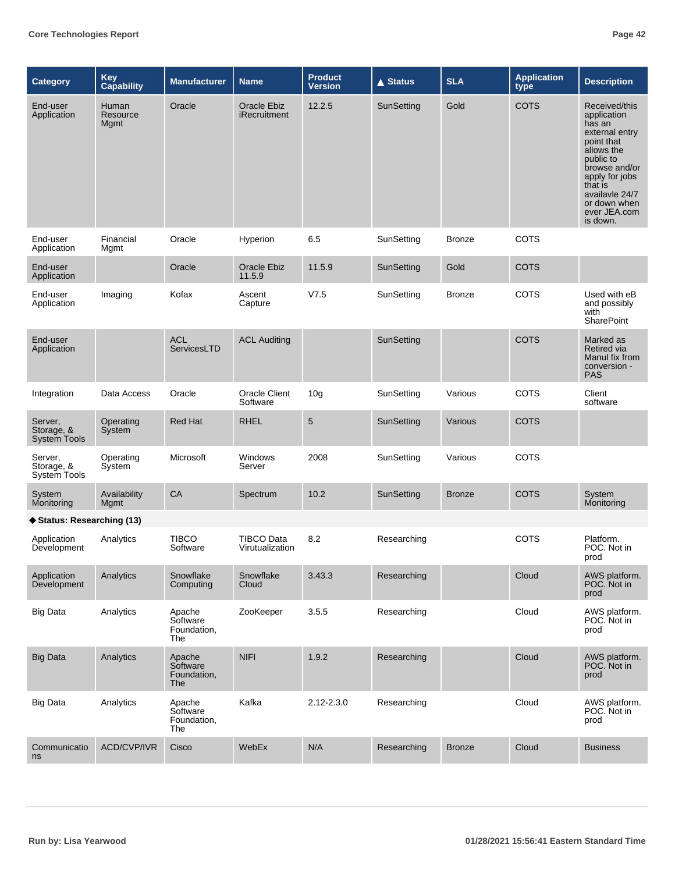| Category                                     | Key<br>Capability         | <b>Manufacturer</b>                      | <b>Name</b>                          | <b>Product</b><br><b>Version</b> | <b>▲ Status</b> | <b>SLA</b>    | <b>Application</b><br>type | <b>Description</b>                                                                                                                                                                                            |
|----------------------------------------------|---------------------------|------------------------------------------|--------------------------------------|----------------------------------|-----------------|---------------|----------------------------|---------------------------------------------------------------------------------------------------------------------------------------------------------------------------------------------------------------|
| End-user<br>Application                      | Human<br>Resource<br>Mgmt | Oracle                                   | <b>Oracle Ebiz</b><br>iRecruitment   | 12.2.5                           | SunSetting      | Gold          | <b>COTS</b>                | Received/this<br>application<br>has an<br>external entry<br>point that<br>allows the<br>public to<br>browse and/or<br>apply for jobs<br>that is<br>availavle 24/7<br>or down when<br>ever JEA.com<br>is down. |
| End-user<br>Application                      | Financial<br>Mgmt         | Oracle                                   | Hyperion                             | 6.5                              | SunSetting      | <b>Bronze</b> | <b>COTS</b>                |                                                                                                                                                                                                               |
| End-user<br>Application                      |                           | Oracle                                   | Oracle Ebiz<br>11.5.9                | 11.5.9                           | SunSetting      | Gold          | <b>COTS</b>                |                                                                                                                                                                                                               |
| End-user<br>Application                      | Imaging                   | Kofax                                    | Ascent<br>Capture                    | V7.5                             | SunSetting      | <b>Bronze</b> | COTS                       | Used with eB<br>and possibly<br>with<br><b>SharePoint</b>                                                                                                                                                     |
| End-user<br>Application                      |                           | <b>ACL</b><br>ServicesLTD                | <b>ACL Auditing</b>                  |                                  | SunSetting      |               | <b>COTS</b>                | Marked as<br><b>Retired via</b><br>Manul fix from<br>conversion -<br><b>PAS</b>                                                                                                                               |
| Integration                                  | Data Access               | Oracle                                   | <b>Oracle Client</b><br>Software     | 10 <sub>g</sub>                  | SunSetting      | Various       | COTS                       | Client<br>software                                                                                                                                                                                            |
| Server,<br>Storage, &<br><b>System Tools</b> | Operating<br>System       | <b>Red Hat</b>                           | <b>RHEL</b>                          | 5                                | SunSetting      | Various       | <b>COTS</b>                |                                                                                                                                                                                                               |
| Server,<br>Storage, &<br><b>System Tools</b> | Operating<br>System       | Microsoft                                | Windows<br>Server                    | 2008                             | SunSetting      | Various       | <b>COTS</b>                |                                                                                                                                                                                                               |
| System<br>Monitoring                         | Availability<br>Mgmt      | CA                                       | Spectrum                             | 10.2                             | SunSetting      | <b>Bronze</b> | <b>COTS</b>                | System<br>Monitoring                                                                                                                                                                                          |
| ◆ Status: Researching (13)                   |                           |                                          |                                      |                                  |                 |               |                            |                                                                                                                                                                                                               |
| Application<br>Development                   | Analytics                 | <b>TIBCO</b><br>Software                 | <b>TIBCO Data</b><br>Virutualization | 8.2                              | Researching     |               | COTS                       | Platform.<br>POC. Not in<br>prod                                                                                                                                                                              |
| Application<br>Development                   | Analytics                 | Snowflake<br>Computing                   | Snowflake<br>Cloud                   | 3.43.3                           | Researching     |               | Cloud                      | AWS platform.<br>POC. Not in<br>prod                                                                                                                                                                          |
| <b>Big Data</b>                              | Analytics                 | Apache<br>Software<br>Foundation,<br>The | ZooKeeper                            | 3.5.5                            | Researching     |               | Cloud                      | AWS platform.<br>POC. Not in<br>prod                                                                                                                                                                          |
| <b>Big Data</b>                              | Analytics                 | Apache<br>Software<br>Foundation,<br>The | <b>NIFI</b>                          | 1.9.2                            | Researching     |               | Cloud                      | AWS platform.<br>POC. Not in<br>prod                                                                                                                                                                          |
| <b>Big Data</b>                              | Analytics                 | Apache<br>Software<br>Foundation,<br>The | Kafka                                | 2.12-2.3.0                       | Researching     |               | Cloud                      | AWS platform.<br>POC. Not in<br>prod                                                                                                                                                                          |
| Communicatio<br>ns                           | ACD/CVP/IVR               | Cisco                                    | WebEx                                | N/A                              | Researching     | <b>Bronze</b> | Cloud                      | <b>Business</b>                                                                                                                                                                                               |